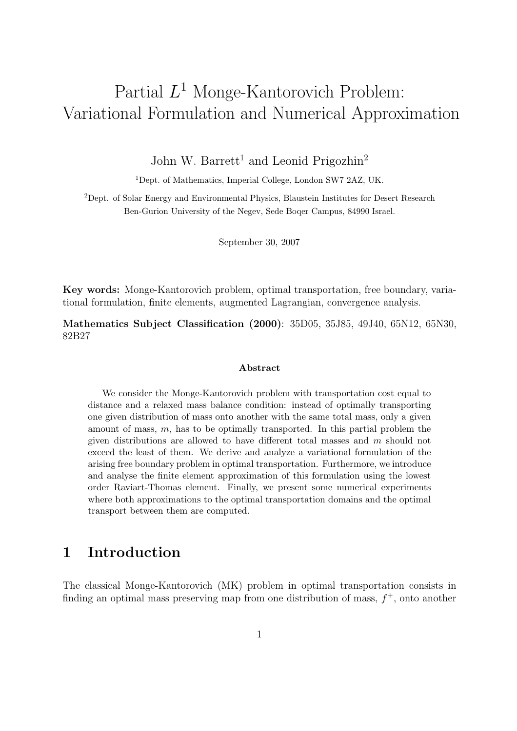# Partial  $L^1$  Monge-Kantorovich Problem: Variational Formulation and Numerical Approximation

John W. Barrett<sup>1</sup> and Leonid Prigozhin<sup>2</sup>

<sup>1</sup>Dept. of Mathematics, Imperial College, London SW7 2AZ, UK.

<sup>2</sup>Dept. of Solar Energy and Environmental Physics, Blaustein Institutes for Desert Research Ben-Gurion University of the Negev, Sede Boqer Campus, 84990 Israel.

September 30, 2007

Key words: Monge-Kantorovich problem, optimal transportation, free boundary, variational formulation, finite elements, augmented Lagrangian, convergence analysis.

Mathematics Subject Classification (2000): 35D05, 35J85, 49J40, 65N12, 65N30, 82B27

#### Abstract

We consider the Monge-Kantorovich problem with transportation cost equal to distance and a relaxed mass balance condition: instead of optimally transporting one given distribution of mass onto another with the same total mass, only a given amount of mass, m, has to be optimally transported. In this partial problem the given distributions are allowed to have different total masses and m should not exceed the least of them. We derive and analyze a variational formulation of the arising free boundary problem in optimal transportation. Furthermore, we introduce and analyse the finite element approximation of this formulation using the lowest order Raviart-Thomas element. Finally, we present some numerical experiments where both approximations to the optimal transportation domains and the optimal transport between them are computed.

## 1 Introduction

The classical Monge-Kantorovich (MK) problem in optimal transportation consists in finding an optimal mass preserving map from one distribution of mass,  $f^+$ , onto another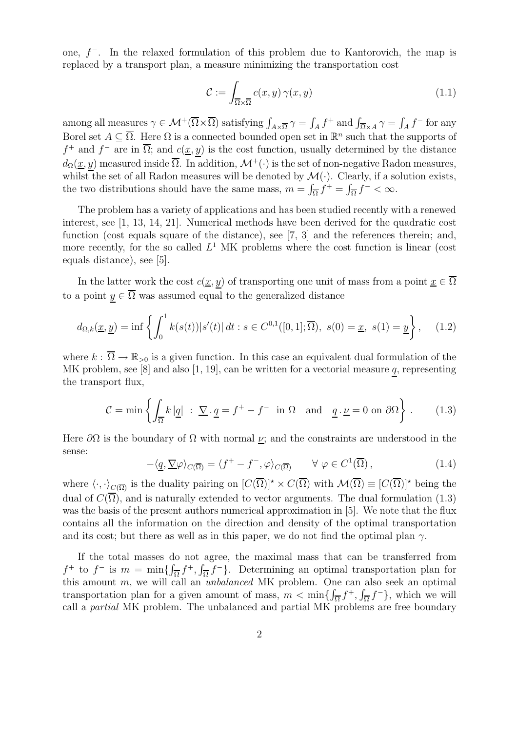one,  $f^-$ . In the relaxed formulation of this problem due to Kantorovich, the map is replaced by a transport plan, a measure minimizing the transportation cost

$$
\mathcal{C} := \int_{\overline{\Omega} \times \overline{\Omega}} c(x, y) \gamma(x, y) \tag{1.1}
$$

among all measures  $\gamma \in \mathcal{M}^+(\overline{\Omega} \times \overline{\Omega})$  satisfying  $\int_{A \times \overline{\Omega}} \gamma = \int_A f^+$  and  $\int_{\overline{\Omega} \times A} \gamma = \int_A f^-$  for any Borel set  $A \subseteq \overline{\Omega}$ . Here  $\Omega$  is a connected bounded open set in  $\mathbb{R}^n$  such that the supports of  $f^+$  and  $f^-$  are in  $\overline{\Omega}$ ; and  $c(\underline{x}, y)$  is the cost function, usually determined by the distance  $d_{\Omega}(\underline{x}, y)$  measured inside  $\overline{\Omega}$ . In addition,  $\mathcal{M}^+(\cdot)$  is the set of non-negative Radon measures, whilst the set of all Radon measures will be denoted by  $\mathcal{M}(\cdot)$ . Clearly, if a solution exists, the two distributions should have the same mass,  $m = \int_{\overline{\Omega}} f^{+} = \int_{\overline{\Omega}} f^{-} < \infty$ .

The problem has a variety of applications and has been studied recently with a renewed interest, see [1, 13, 14, 21]. Numerical methods have been derived for the quadratic cost function (cost equals square of the distance), see [7, 3] and the references therein; and, more recently, for the so called  $L^1$  MK problems where the cost function is linear (cost equals distance), see [5].

In the latter work the cost  $c(\underline{x}, y)$  of transporting one unit of mass from a point  $\underline{x} \in \overline{\Omega}$ to a point  $y \in \overline{\Omega}$  was assumed equal to the generalized distance

$$
d_{\Omega,k}(\underline{x}, \underline{y}) = \inf \left\{ \int_0^1 k(s(t)) |s'(t)| dt : s \in C^{0,1}([0,1]; \overline{\Omega}), \ s(0) = \underline{x}, \ s(1) = \underline{y} \right\}, \tag{1.2}
$$

where  $k : \overline{\Omega} \to \mathbb{R}_{>0}$  is a given function. In this case an equivalent dual formulation of the MK problem, see [8] and also [1, 19], can be written for a vectorial measure  $q$ , representing the transport flux,

$$
\mathcal{C} = \min \left\{ \int_{\overline{\Omega}} k \, |\underline{q}| \; : \; \underline{\nabla} \cdot \underline{q} = f^+ - f^- \text{ in } \Omega \quad \text{and} \quad \underline{q} \cdot \underline{\nu} = 0 \text{ on } \partial \Omega \right\} \,. \tag{1.3}
$$

Here  $\partial\Omega$  is the boundary of  $\Omega$  with normal  $\nu$ ; and the constraints are understood in the sense:

$$
-\langle \underline{q}, \underline{\nabla} \varphi \rangle_{C(\overline{\Omega})} = \langle f^+ - f^-, \varphi \rangle_{C(\overline{\Omega})} \qquad \forall \varphi \in C^1(\overline{\Omega}), \tag{1.4}
$$

where  $\langle \cdot, \cdot \rangle_{C(\overline{\Omega})}$  is the duality pairing on  $[C(\overline{\Omega})]^* \times C(\overline{\Omega})$  with  $\mathcal{M}(\overline{\Omega}) \equiv [C(\overline{\Omega})]^*$  being the dual of  $C(\overline{\Omega})$ , and is naturally extended to vector arguments. The dual formulation (1.3) was the basis of the present authors numerical approximation in [5]. We note that the flux contains all the information on the direction and density of the optimal transportation and its cost; but there as well as in this paper, we do not find the optimal plan  $\gamma$ .

If the total masses do not agree, the maximal mass that can be transferred from  $f^+$  to  $f^-$  is  $m = \min\{\int_{\overline{\Omega}} f^+, \int_{\overline{\Omega}} f^-\}$ . Determining an optimal transportation plan for this amount m, we will call an unbalanced MK problem. One can also seek an optimal transportation plan for a given amount of mass,  $m < \min\{\int_{\overline{\Omega}} f^+, \int_{\overline{\Omega}} f^-\}$ , which we will call a partial MK problem. The unbalanced and partial MK problems are free boundary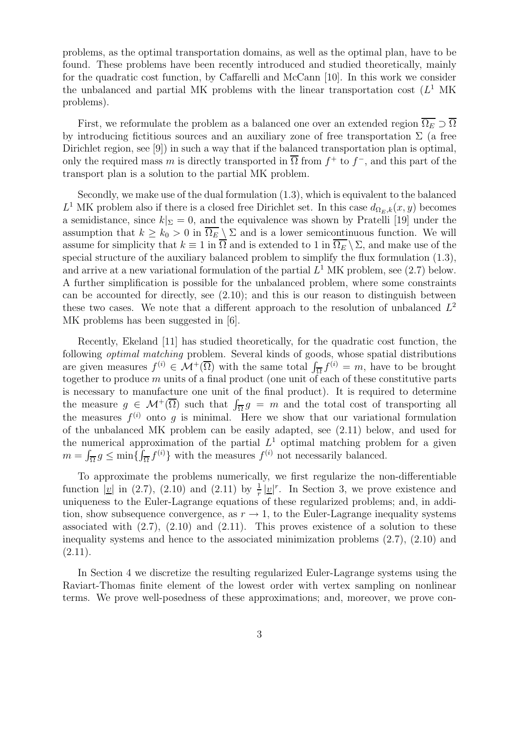problems, as the optimal transportation domains, as well as the optimal plan, have to be found. These problems have been recently introduced and studied theoretically, mainly for the quadratic cost function, by Caffarelli and McCann [10]. In this work we consider the unbalanced and partial MK problems with the linear transportation cost  $(L<sup>1</sup>$  MK problems).

First, we reformulate the problem as a balanced one over an extended region  $\overline{\Omega_E} \supset \overline{\Omega}$ by introducing fictitious sources and an auxiliary zone of free transportation  $\Sigma$  (a free Dirichlet region, see [9]) in such a way that if the balanced transportation plan is optimal, only the required mass m is directly transported in  $\overline{\Omega}$  from  $f^+$  to  $f^-$ , and this part of the transport plan is a solution to the partial MK problem.

Secondly, we make use of the dual formulation (1.3), which is equivalent to the balanced  $L^1$  MK problem also if there is a closed free Dirichlet set. In this case  $d_{\Omega_E,k}(x,y)$  becomes a semidistance, since  $k|_{\Sigma} = 0$ , and the equivalence was shown by Pratelli [19] under the assumption that  $k \geq k_0 > 0$  in  $\overline{\Omega_E} \setminus \Sigma$  and is a lower semicontinuous function. We will assume for simplicity that  $k \equiv 1$  in  $\overline{\Omega}$  and is extended to 1 in  $\overline{\Omega_E} \setminus \Sigma$ , and make use of the special structure of the auxiliary balanced problem to simplify the flux formulation (1.3), and arrive at a new variational formulation of the partial  $L^1$  MK problem, see (2.7) below. A further simplification is possible for the unbalanced problem, where some constraints can be accounted for directly, see (2.10); and this is our reason to distinguish between these two cases. We note that a different approach to the resolution of unbalanced  $L^2$ MK problems has been suggested in [6].

Recently, Ekeland [11] has studied theoretically, for the quadratic cost function, the following optimal matching problem. Several kinds of goods, whose spatial distributions are given measures  $f^{(i)} \in \mathcal{M}^+(\overline{\Omega})$  with the same total  $\int_{\overline{\Omega}} f^{(i)} = m$ , have to be brought together to produce  $m$  units of a final product (one unit of each of these constitutive parts is necessary to manufacture one unit of the final product). It is required to determine the measure  $g \in \mathcal{M}^+(\overline{\Omega})$  such that  $\int_{\overline{\Omega}} g = m$  and the total cost of transporting all the measures  $f^{(i)}$  onto g is minimal. Here we show that our variational formulation of the unbalanced MK problem can be easily adapted, see (2.11) below, and used for the numerical approximation of the partial  $L^1$  optimal matching problem for a given  $m = \int_{\overline{\Omega}} g \le \min\{\int_{\overline{\Omega}} f^{(i)}\}\$  with the measures  $f^{(i)}$  not necessarily balanced.

To approximate the problems numerically, we first regularize the non-differentiable function  $|\underline{v}|$  in (2.7), (2.10) and (2.11) by  $\frac{1}{r}|\underline{v}|^r$ . In Section 3, we prove existence and uniqueness to the Euler-Lagrange equations of these regularized problems; and, in addition, show subsequence convergence, as  $r \to 1$ , to the Euler-Lagrange inequality systems associated with  $(2.7)$ ,  $(2.10)$  and  $(2.11)$ . This proves existence of a solution to these inequality systems and hence to the associated minimization problems (2.7), (2.10) and  $(2.11).$ 

In Section 4 we discretize the resulting regularized Euler-Lagrange systems using the Raviart-Thomas finite element of the lowest order with vertex sampling on nonlinear terms. We prove well-posedness of these approximations; and, moreover, we prove con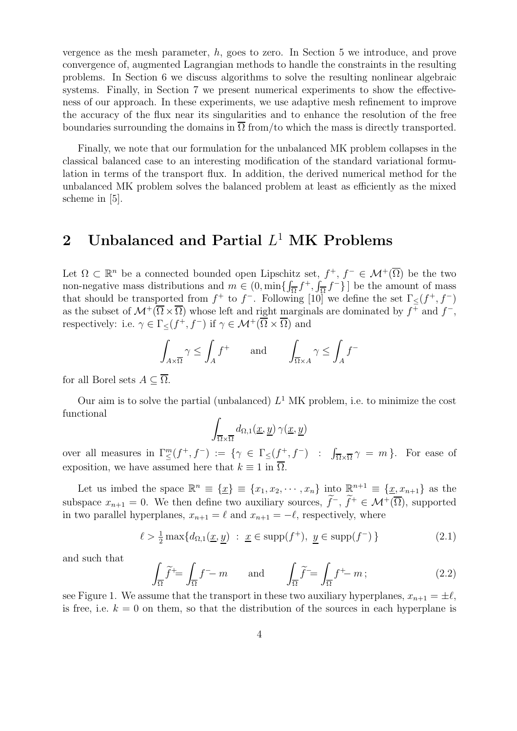vergence as the mesh parameter, h, goes to zero. In Section 5 we introduce, and prove convergence of, augmented Lagrangian methods to handle the constraints in the resulting problems. In Section 6 we discuss algorithms to solve the resulting nonlinear algebraic systems. Finally, in Section 7 we present numerical experiments to show the effectiveness of our approach. In these experiments, we use adaptive mesh refinement to improve the accuracy of the flux near its singularities and to enhance the resolution of the free boundaries surrounding the domains in  $\overline{\Omega}$  from/to which the mass is directly transported.

Finally, we note that our formulation for the unbalanced MK problem collapses in the classical balanced case to an interesting modification of the standard variational formulation in terms of the transport flux. In addition, the derived numerical method for the unbalanced MK problem solves the balanced problem at least as efficiently as the mixed scheme in [5].

# 2 Unbalanced and Partial  $L^1$  MK Problems

Let  $\Omega \subset \mathbb{R}^n$  be a connected bounded open Lipschitz set,  $f^+, f^- \in \mathcal{M}^+(\overline{\Omega})$  be the two non-negative mass distributions and  $m \in (0, \min\{\int_{\overline{\Omega}} f^+, \int_{\overline{\Omega}} f^-\}\]$  be the amount of mass that should be transported from  $f^+$  to  $f^-$ . Following [10] we define the set  $\Gamma_{\leq}(f^+, f^-)$ as the subset of  $\mathcal{M}^+(\overline{\Omega}\times\overline{\Omega})$  whose left and right marginals are dominated by  $f^+$  and  $f^-$ , respectively: i.e.  $\gamma \in \Gamma_{\leq}(f^+, f^-)$  if  $\gamma \in \mathcal{M}^+(\overline{\Omega} \times \overline{\Omega})$  and

$$
\int_{A \times \overline{\Omega}} \gamma \le \int_A f^+ \quad \text{and} \quad \int_{\overline{\Omega} \times A} \gamma \le \int_A f^-
$$

for all Borel sets  $A \subseteq \overline{\Omega}$ .

Our aim is to solve the partial (unbalanced)  $L^1$  MK problem, i.e. to minimize the cost functional

$$
\int_{\overline{\Omega}\times\overline{\Omega}}d_{\Omega,1}(\underline{x},\underline{y})\,\gamma(\underline{x},\underline{y})
$$

over all measures in  $\Gamma_{\leq}^m(f^+, f^-) := \{ \gamma \in \Gamma_{\leq}(f^+, f^-) : \int_{\overline{\Omega} \times \overline{\Omega}} \gamma = m \}.$  For ease of exposition, we have assumed here that  $k \equiv 1$  in  $\overline{\Omega}$ .

Let us imbed the space  $\mathbb{R}^n \equiv \{ \underline{x} \} \equiv \{ x_1, x_2, \cdots, x_n \}$  into  $\mathbb{R}^{n+1} \equiv \{ \underline{x}, x_{n+1} \}$  as the subspace  $x_{n+1} = 0$ . We then define two auxiliary sources,  $\tilde{f}^-$ ,  $\tilde{f}^+ \in \mathcal{M}^+(\overline{\Omega})$ , supported in two parallel hyperplanes,  $x_{n+1} = \ell$  and  $x_{n+1} = -\ell$ , respectively, where

$$
\ell > \frac{1}{2} \max\{d_{\Omega,1}(\underline{x}, \underline{y}) \ : \ \underline{x} \in \text{supp}(f^+), \ \underline{y} \in \text{supp}(f^-)\}\
$$
 (2.1)

and such that

$$
\int_{\overline{\Omega}} \widetilde{f}^{\dagger} = \int_{\overline{\Omega}} f^- - m \qquad \text{and} \qquad \int_{\overline{\Omega}} \widetilde{f}^- = \int_{\overline{\Omega}} f^+ - m \tag{2.2}
$$

see Figure 1. We assume that the transport in these two auxiliary hyperplanes,  $x_{n+1} = \pm \ell$ , is free, i.e.  $k = 0$  on them, so that the distribution of the sources in each hyperplane is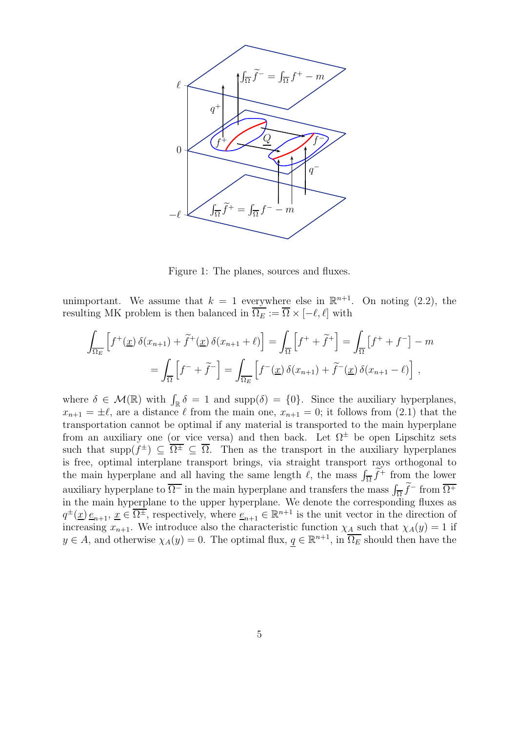

Figure 1: The planes, sources and fluxes.

unimportant. We assume that  $k = 1$  everywhere else in  $\mathbb{R}^{n+1}$ . On noting (2.2), the resulting MK problem is then balanced in  $\overline{\Omega_E} := \overline{\Omega} \times [-\ell, \ell]$  with

$$
\int_{\overline{\Omega_E}} \left[ f^+(\underline{x}) \, \delta(x_{n+1}) + \tilde{f}^+(\underline{x}) \, \delta(x_{n+1} + \ell) \right] = \int_{\overline{\Omega}} \left[ f^+ + \tilde{f}^+ \right] = \int_{\overline{\Omega}} \left[ f^+ + f^- \right] - m
$$
\n
$$
= \int_{\overline{\Omega}} \left[ f^- + \tilde{f}^- \right] = \int_{\overline{\Omega_E}} \left[ f^-(\underline{x}) \, \delta(x_{n+1}) + \tilde{f}^-(\underline{x}) \, \delta(x_{n+1} - \ell) \right] \,,
$$

where  $\delta \in \mathcal{M}(\mathbb{R})$  with  $\int_{\mathbb{R}} \delta = 1$  and supp $(\delta) = \{0\}$ . Since the auxiliary hyperplanes,  $x_{n+1} = \pm \ell$ , are a distance  $\ell$  from the main one,  $x_{n+1} = 0$ ; it follows from (2.1) that the transportation cannot be optimal if any material is transported to the main hyperplane from an auxiliary one (or vice versa) and then back. Let  $\Omega^{\pm}$  be open Lipschitz sets such that supp $(f^{\pm}) \subseteq \overline{\Omega^{\pm}} \subseteq \overline{\Omega}$ . Then as the transport in the auxiliary hyperplanes is free, optimal interplane transport brings, via straight transport rays orthogonal to the main hyperplane and all having the same length  $\ell$ , the mass  $\int_{\overline{\Omega}} \widetilde{f}^+$  from the lower auxiliary hyperplane to  $\overline{\Omega^{-}}$  in the main hyperplane and transfers the mass  $\int_{\overline{\Omega}} \widetilde{f}^{-}$  from  $\overline{\Omega^{+}}$  $\alpha$  is the main hyperplane to  $\Omega$ . In the main hyperplane and transfers the mass  $J_{\Omega}$ , if form  $\Omega$  $q^{\pm}(\underline{x}) \underline{e}_{n+1}, \underline{x} \in \overline{\Omega^{\pm}}$ , respectively, where  $\underline{e}_{n+1} \in \mathbb{R}^{n+1}$  is the unit vector in the direction of increasing  $x_{n+1}$ . We introduce also the characteristic function  $\chi_A$  such that  $\chi_A(y) = 1$  if  $y \in A$ , and otherwise  $\chi_A(y) = 0$ . The optimal flux,  $\underline{q} \in \mathbb{R}^{n+1}$ , in  $\overline{\Omega_E}$  should then have the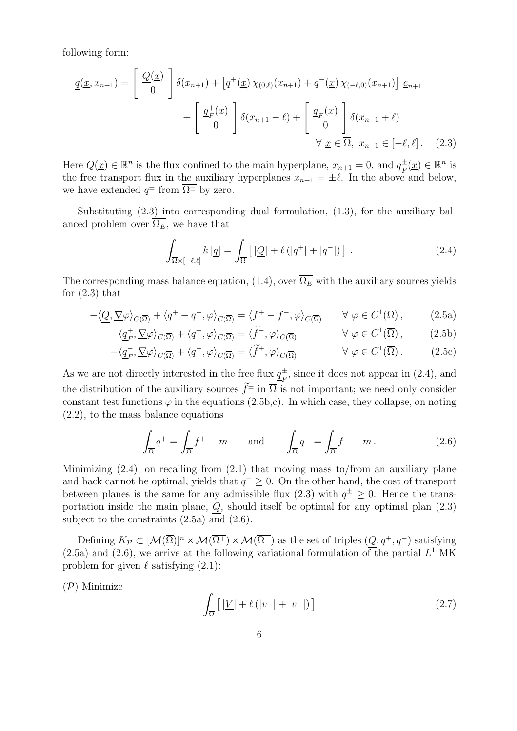following form:

$$
\underline{q}(\underline{x}, x_{n+1}) = \begin{bmatrix} \underline{Q}(\underline{x}) \\ 0 \end{bmatrix} \delta(x_{n+1}) + \left[q^+(\underline{x}) \chi_{(0,\ell)}(x_{n+1}) + q^-(\underline{x}) \chi_{(-\ell,0)}(x_{n+1})\right] \underline{e}_{n+1} + \begin{bmatrix} \underline{q}_F^+(\underline{x}) \\ 0 \end{bmatrix} \delta(x_{n+1} - \ell) + \begin{bmatrix} \underline{q}_F^-(\underline{x}) \\ 0 \end{bmatrix} \delta(x_{n+1} + \ell) + \n\forall \underline{x} \in \overline{\Omega}, \ x_{n+1} \in [-\ell, \ell]. \tag{2.3}
$$

Here  $Q(\underline{x}) \in \mathbb{R}^n$  is the flux confined to the main hyperplane,  $x_{n+1} = 0$ , and  $q_F^{\pm}(\underline{x}) \in \mathbb{R}^n$  is the free transport flux in the auxiliary hyperplanes  $x_{n+1} = \pm \ell$ . In the above and below, we have extended  $q^{\pm}$  from  $\overline{\Omega^{\pm}}$  by zero.

Substituting (2.3) into corresponding dual formulation, (1.3), for the auxiliary balanced problem over  $\overline{\Omega_E}$ , we have that

$$
\int_{\overline{\Omega}\times[-\ell,\ell]} k|\underline{q}| = \int_{\overline{\Omega}} \left[ |\underline{Q}| + \ell(|q^+| + |q^-|) \right]. \tag{2.4}
$$

The corresponding mass balance equation, (1.4), over  $\overline{\Omega_E}$  with the auxiliary sources yields for  $(2.3)$  that

$$
-\langle \underline{Q}, \underline{\nabla}\varphi \rangle_{C(\overline{\Omega})} + \langle q^+ - q^-, \varphi \rangle_{C(\overline{\Omega})} = \langle f^+ - f^-, \varphi \rangle_{C(\overline{\Omega})} \qquad \forall \varphi \in C^1(\overline{\Omega}), \tag{2.5a}
$$

$$
\langle \underline{q}_F^+, \underline{\nabla} \varphi \rangle_{C(\overline{\Omega})} + \langle q^+, \varphi \rangle_{C(\overline{\Omega})} = \langle \tilde{f}^-, \varphi \rangle_{C(\overline{\Omega})} \qquad \forall \varphi \in C^1(\overline{\Omega}), \qquad (2.5b)
$$

$$
-\langle \underline{q}_{F}^{-}, \underline{\nabla}\varphi \rangle_{C(\overline{\Omega})} + \langle q^{-}, \varphi \rangle_{C(\overline{\Omega})} = \langle \widetilde{f}^{+}, \varphi \rangle_{C(\overline{\Omega})} \qquad \forall \varphi \in C^{1}(\overline{\Omega}). \qquad (2.5c)
$$

As we are not directly interested in the free flux  $q_{\nu}^{\pm}$  $_{F}^{\pm}$ , since it does not appear in (2.4), and the distribution of the auxiliary sources  $\tilde{f}^{\pm}$  in  $\overline{\Omega}$  is not important; we need only consider constant test functions  $\varphi$  in the equations (2.5b,c). In which case, they collapse, on noting (2.2), to the mass balance equations

$$
\int_{\overline{\Omega}} q^+ = \int_{\overline{\Omega}} f^+ - m \qquad \text{and} \qquad \int_{\overline{\Omega}} q^- = \int_{\overline{\Omega}} f^- - m \,. \tag{2.6}
$$

Minimizing (2.4), on recalling from (2.1) that moving mass to/from an auxiliary plane and back cannot be optimal, yields that  $q^{\pm} \geq 0$ . On the other hand, the cost of transport between planes is the same for any admissible flux (2.3) with  $q^{\pm} \ge 0$ . Hence the transportation inside the main plane,  $Q$ , should itself be optimal for any optimal plan  $(2.3)$ subject to the constraints (2.5a) and (2.6).

Defining  $K_{\mathcal{P}} \subset [\mathcal{M}(\overline{\Omega})]^n \times \mathcal{M}(\overline{\Omega^+}) \times \mathcal{M}(\overline{\Omega^-})$  as the set of triples  $(Q, q^+, q^-)$  satisfying  $(2.5a)$  and  $(2.6)$ , we arrive at the following variational formulation of the partial  $L<sup>1</sup>$  MK problem for given  $\ell$  satisfying  $(2.1)$ :

 $(\mathcal{P})$  Minimize

$$
\int_{\overline{\Omega}} \left[ \left| \underline{V} \right| + \ell \left( |v^+| + |v^-| \right) \right] \tag{2.7}
$$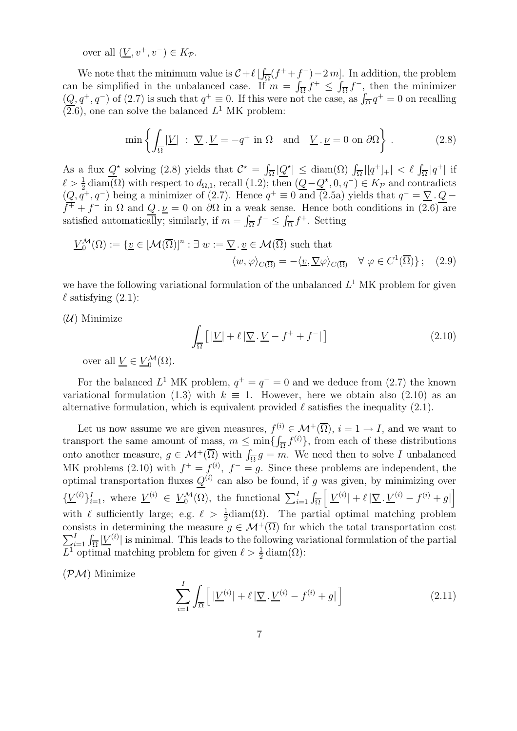over all  $(V, v^+, v^-) \in K_{\mathcal{P}}$ .

We note that the minimum value is  $C + \ell \left[ \int_{\overline{\Omega}} (f^+ + f^-) - 2m \right]$ . In addition, the problem can be simplified in the unbalanced case. If  $m = \int_{\overline{\Omega}} f^+ \leq \int_{\overline{\Omega}} f^-$ , then the minimizer  $(\underline{Q}, q^+, q^-)$  of (2.7) is such that  $q^+ \equiv 0$ . If this were not the case, as  $\int_{\overline{\Omega}} q^+ = 0$  on recalling  $(\overline{2.6})$ , one can solve the balanced  $L^1$  MK problem:

$$
\min\left\{\int_{\overline{\Omega}}|\underline{V}| \; : \; \underline{\nabla} \cdot \underline{V} = -q^+ \text{ in } \Omega \quad \text{and} \quad \underline{V} \cdot \underline{\nu} = 0 \text{ on } \partial\Omega\right\} \; . \tag{2.8}
$$

As a flux  $Q^*$  solving (2.8) yields that  $C^* = \int_{\overline{\Omega}} |\underline{Q}^*| \leq \text{diam}(\Omega) \int_{\overline{\Omega}} |[q^+]_+ | < \ell \int_{\overline{\Omega}} |q^+|$  if  $\ell > \frac{1}{2} \operatorname{diam}(\Omega)$  with respect to  $d_{\Omega,1}$ , recall  $(1.2)$ ; then  $(\underline{Q} - \underline{Q}^{\star}, 0, q^{-}) \in K_{\mathcal{P}}$  and contradicts  $(Q, q^+, q^-)$  being a minimizer of (2.7). Hence  $q^+ \equiv 0$  and (2.5a) yields that  $q^- = \nabla \cdot Q$  $f^+ + f^-$  in  $\Omega$  and  $Q \cdot \nu = 0$  on  $\partial \Omega$  in a weak sense. Hence both conditions in  $(2.6)$  are satisfied automatically; similarly, if  $m = \int_{\overline{\Omega}} f^{-} \leq \int_{\overline{\Omega}} f^{+}$ . Setting

$$
\underline{V}_{0}^{\mathcal{M}}(\Omega) := \{ \underline{v} \in [\mathcal{M}(\overline{\Omega})]^{n} : \exists \ w := \underline{\nabla} \cdot \underline{v} \in \mathcal{M}(\overline{\Omega}) \text{ such that}
$$

$$
\langle w, \varphi \rangle_{C(\overline{\Omega})} = -\langle \underline{v}, \underline{\nabla} \varphi \rangle_{C(\overline{\Omega})} \quad \forall \ \varphi \in C^{1}(\overline{\Omega}) \}; \quad (2.9)
$$

we have the following variational formulation of the unbalanced  $L<sup>1</sup>$  MK problem for given  $\ell$  satisfying  $(2.1)$ :

 $(\mathcal{U})$  Minimize

$$
\int_{\overline{\Omega}} \left[ \left| \underline{V} \right| + \ell \left| \underline{\nabla} \cdot \underline{V} - f^+ + f^- \right| \right] \tag{2.10}
$$

over all  $\underline{V} \in \underline{V}_0^{\mathcal{M}}(\Omega)$ .

For the balanced  $L^1$  MK problem,  $q^+ = q^- = 0$  and we deduce from (2.7) the known variational formulation (1.3) with  $k \equiv 1$ . However, here we obtain also (2.10) as an alternative formulation, which is equivalent provided  $\ell$  satisfies the inequality (2.1).

Let us now assume we are given measures,  $f^{(i)} \in \mathcal{M}^+(\overline{\Omega})$ ,  $i = 1 \to I$ , and we want to transport the same amount of mass,  $m \leq \min\{\int_{\overline{\Omega}} f^{(i)}\}$ , from each of these distributions onto another measure,  $g \in \mathcal{M}^+(\overline{\Omega})$  with  $\int_{\overline{\Omega}} g = m$ . We need then to solve I unbalanced MK problems (2.10) with  $f^+ = f^{(i)}$ ,  $f^- = g$ . Since these problems are independent, the optimal transportation fluxes  $Q^{(i)}$  can also be found, if g was given, by minimizing over  $\{\underline{V}^{(i)}\}_{i=1}^I$ , where  $\underline{V}^{(i)} \in \underline{V}_0^{\mathcal{M}}(\Omega)$ , the functional  $\sum_{i=1}^I \int_{\overline{\Omega}}$  $\left\lceil \vert \underline{V}^{(i)} \vert + \ell \, \vert \underline{\nabla} \, . \, \underline{V}^{(i)} - f^{(i)} + g \vert \right\rceil$ with  $\ell$  sufficiently large; e.g.  $\ell > \frac{1}{2}$ diam( $\Omega$ ). The partial optimal matching problem consists in determining the measure  $g \in \mathcal{M}^+(\overline{\Omega})$  for which the total transportation cost  $\sum_{i=1}^{I} \int_{\overline{\Omega}} |\underline{V}^{(i)}|$  is minimal. This leads to the following variational formulation of the partial  $L^1$  optimal matching problem for given  $\ell > \frac{1}{2}$  diam( $\Omega$ ):

 $(\mathcal{PM})$  Minimize

$$
\sum_{i=1}^{I} \int_{\overline{\Omega}} \left[ | \underline{V}^{(i)} | + \ell | \nabla \cdot \underline{V}^{(i)} - f^{(i)} + g | \right] \tag{2.11}
$$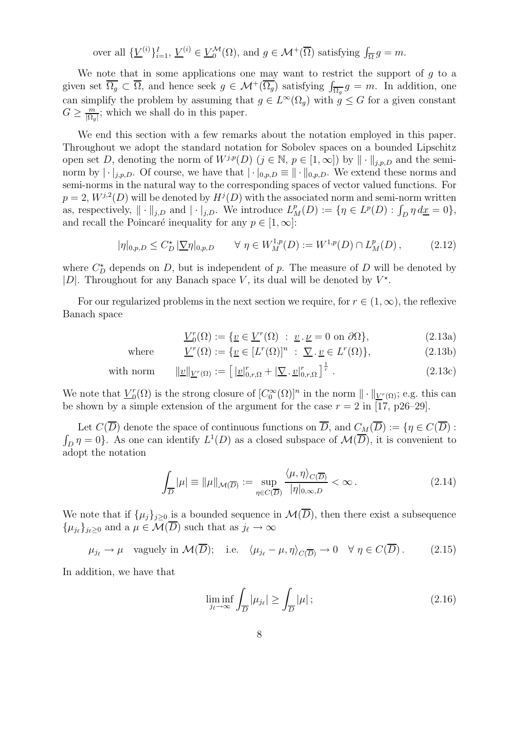over all  $\{\underline{V}^{(i)}\}_{i=1}^I$ ,  $\underline{V}^{(i)} \in \underline{V}_0^{\mathcal{M}}(\Omega)$ , and  $g \in \mathcal{M}^+(\overline{\Omega})$  satisfying  $\int_{\overline{\Omega}} g = m$ .

We note that in some applications one may want to restrict the support of  $g$  to a given set  $\overline{\Omega_g} \subset \overline{\Omega}$ , and hence seek  $g \in \mathcal{M}^+(\overline{\Omega_g})$  satisfying  $\int_{\overline{\Omega_g}} g = m$ . In addition, one can simplify the problem by assuming that  $g \in L^{\infty}(\Omega_g)$  with  $g \leq G$  for a given constant  $G \geq \frac{m}{\left|\Omega_{g}\right|}$  $\frac{m}{|\Omega_g|}$ ; which we shall do in this paper.

We end this section with a few remarks about the notation employed in this paper. Throughout we adopt the standard notation for Sobolev spaces on a bounded Lipschitz open set D, denoting the norm of  $W^{j,p}(D)$   $(j \in \mathbb{N}, p \in [1,\infty])$  by  $\|\cdot\|_{j,p,D}$  and the seminorm by  $|\cdot|_{j,p,D}$ . Of course, we have that  $|\cdot|_{0,p,D} \equiv ||\cdot||_{0,p,D}$ . We extend these norms and semi-norms in the natural way to the corresponding spaces of vector valued functions. For  $p = 2$ ,  $W^{j,2}(D)$  will be denoted by  $H^j(D)$  with the associated norm and semi-norm written as, respectively,  $\|\cdot\|_{j,D}$  and  $|\cdot|_{j,D}$ . We introduce  $L_M^p(D) := \{\eta \in L^p(D) : \int_D \eta \, d\underline{x} = 0\},\$ and recall the Poincaré inequality for any  $p \in [1, \infty]$ :

$$
|\eta|_{0,p,D} \le C_D^* |\nabla \eta|_{0,p,D} \qquad \forall \ \eta \in W_M^{1,p}(D) := W^{1,p}(D) \cap L_M^p(D), \tag{2.12}
$$

where  $C_D^*$  depends on D, but is independent of p. The measure of D will be denoted by |D|. Throughout for any Banach space V, its dual will be denoted by  $V^*$ .

For our regularized problems in the next section we require, for  $r \in (1,\infty)$ , the reflexive Banach space

$$
\underline{V}_0^r(\Omega) := \{ \underline{v} \in \underline{V}^r(\Omega) \; : \; \underline{v} \cdot \underline{\nu} = 0 \text{ on } \partial\Omega \},\tag{2.13a}
$$

where 
$$
\underline{V}^r(\Omega) := \{ \underline{v} \in [L^r(\Omega)]^n : \underline{\nabla} \cdot \underline{v} \in L^r(\Omega) \},
$$
 (2.13b)

with norm 
$$
\|\underline{v}\|_{\underline{V}^r(\Omega)} := \left[\|\underline{v}\|_{0,r,\Omega}^r + \left|\underline{\nabla} \cdot \underline{v}\|_{0,r,\Omega}^r\right|^{\frac{1}{r}}\right].
$$
 (2.13c)

We note that  $\underline{V}_0^r$  $C_0^r(\Omega)$  is the strong closure of  $[C_0^{\infty}(\Omega)]^n$  in the norm  $\|\cdot\|_{\underline{V}^r(\Omega)}$ ; e.g. this can be shown by a simple extension of the argument for the case  $r = 2$  in [17, p26–29].

Let  $C(\overline{D})$  denote the space of continuous functions on  $\overline{D}$ , and  $C_M(\overline{D}) := \{ \eta \in C(\overline{D}) :$  $\int_D \eta = 0$ . As one can identify  $L^1(D)$  as a closed subspace of  $\mathcal{M}(\overline{D})$ , it is convenient to adopt the notation

$$
\int_{\overline{D}} |\mu| \equiv ||\mu||_{\mathcal{M}(\overline{D})} := \sup_{\eta \in C(\overline{D})} \frac{\langle \mu, \eta \rangle_{C(\overline{D})}}{|\eta|_{0,\infty,D}} < \infty.
$$
\n(2.14)

We note that if  $\{\mu_i\}_{i>0}$  is a bounded sequence in  $\mathcal{M}(\overline{D})$ , then there exist a subsequence  $\{\mu_{j_\ell}\}_{j_\ell\geq 0}$  and a  $\mu \in \mathcal{M}(D)$  such that as  $j_\ell \to \infty$ 

 $\mu_{j_\ell} \to \mu$  vaguely in  $\mathcal{M}(\overline{D});$  i.e.  $\langle \mu_{j_\ell} - \mu, \eta \rangle_{C(\overline{D})} \to 0 \quad \forall \eta \in C(\overline{D}).$  (2.15)

In addition, we have that

$$
\liminf_{j_{\ell}\to\infty} \int_{\overline{D}} |\mu_{j_{\ell}}| \ge \int_{\overline{D}} |\mu| \, ; \tag{2.16}
$$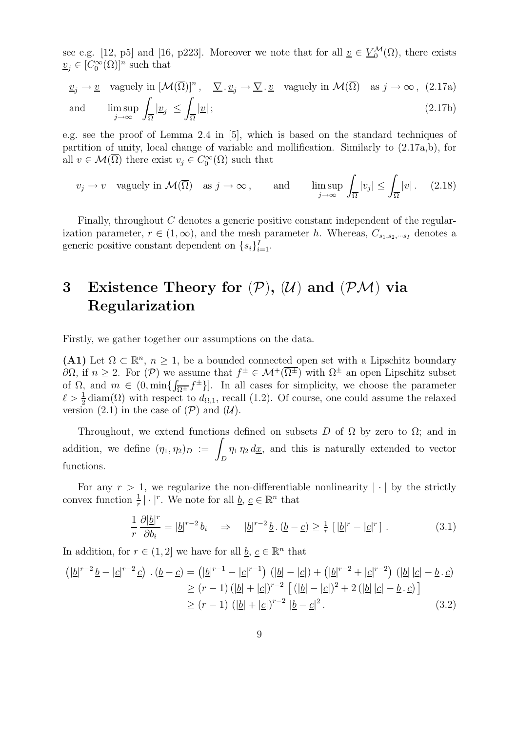see e.g. [12, p5] and [16, p223]. Moreover we note that for all  $\underline{v} \in \underline{V}_0^{\mathcal{M}}(\Omega)$ , there exists  $\underline{v}_j \in [C_0^{\infty}(\Omega)]^n$  such that

$$
\underline{v}_j \to \underline{v} \quad \text{vaguely in } [\mathcal{M}(\overline{\Omega})]^n, \quad \underline{\nabla} \cdot \underline{v}_j \to \underline{\nabla} \cdot \underline{v} \quad \text{vaguely in } \mathcal{M}(\overline{\Omega}) \quad \text{as } j \to \infty, \tag{2.17a}
$$
\n
$$
\text{and} \quad \limsup_{j \to \infty} \int_{\overline{\Omega}} |\underline{v}_j| \le \int_{\overline{\Omega}} |\underline{v}|;
$$
\n
$$
(2.17b)
$$

e.g. see the proof of Lemma 2.4 in [5], which is based on the standard techniques of partition of unity, local change of variable and mollification. Similarly to (2.17a,b), for all  $v \in \mathcal{M}(\overline{\Omega})$  there exist  $v_j \in C_0^{\infty}(\Omega)$  such that

$$
v_j \to v
$$
 vagyely in  $\mathcal{M}(\overline{\Omega})$  as  $j \to \infty$ , and  $\limsup_{j \to \infty} \int_{\overline{\Omega}} |v_j| \le \int_{\overline{\Omega}} |v|$ . (2.18)

Finally, throughout C denotes a generic positive constant independent of the regularization parameter,  $r \in (1,\infty)$ , and the mesh parameter h. Whereas,  $C_{s_1,s_2,\dots s_l}$  denotes a generic positive constant dependent on  $\{s_i\}_{i=1}^I$ .

# 3 Existence Theory for  $(\mathcal{P}), (\mathcal{U})$  and  $(\mathcal{P}\mathcal{M})$  via Regularization

Firstly, we gather together our assumptions on the data.

(A1) Let  $\Omega \subset \mathbb{R}^n$ ,  $n \geq 1$ , be a bounded connected open set with a Lipschitz boundary  $\partial\Omega$ , if  $n \geq 2$ . For  $(\mathcal{P})$  we assume that  $f^{\pm} \in \mathcal{M}^+(\overline{\Omega^{\pm}})$  with  $\Omega^{\pm}$  an open Lipschitz subset of  $\Omega$ , and  $m \in (0, \min\{\int_{\overline{\Omega^{\pm}}} f^{\pm}\}]$ . In all cases for simplicity, we choose the parameter  $\ell > \frac{1}{2}$  diam( $\Omega$ ) with respect to  $d_{\Omega,1}$ , recall (1.2). Of course, one could assume the relaxed version (2.1) in the case of  $(\mathcal{P})$  and  $(\mathcal{U})$ .

Throughout, we extend functions defined on subsets D of  $\Omega$  by zero to  $\Omega$ ; and in addition, we define  $(\eta_1, \eta_2)_D :=$ D  $\eta_1 \eta_2 d\underline{x}$ , and this is naturally extended to vector functions.

For any  $r > 1$ , we regularize the non-differentiable nonlinearity  $|\cdot|$  by the strictly convex function  $\frac{1}{r} | \cdot |^r$ . We note for all  $\underline{b}, \underline{c} \in \mathbb{R}^n$  that

$$
\frac{1}{r}\frac{\partial |\underline{b}|^r}{\partial b_i} = |\underline{b}|^{r-2}b_i \quad \Rightarrow \quad |\underline{b}|^{r-2}\underline{b} \cdot (\underline{b}-\underline{c}) \ge \frac{1}{r} \left[ |\underline{b}|^r - |\underline{c}|^r \right]. \tag{3.1}
$$

In addition, for  $r \in (1, 2]$  we have for all  $\underline{b}, \underline{c} \in \mathbb{R}^n$  that

$$
\left(|\underline{b}|^{r-2}\underline{b}-|\underline{c}|^{r-2}\underline{c}\right)\cdot(\underline{b}-\underline{c}) = \left(|\underline{b}|^{r-1}-|\underline{c}|^{r-1}\right)\left(|\underline{b}|-|\underline{c}|\right) + \left(|\underline{b}|^{r-2}+|\underline{c}|^{r-2}\right)\left(|\underline{b}||\underline{c}|-\underline{b}\cdot\underline{c}\right)
$$

$$
\geq (r-1)\left(|\underline{b}|+|\underline{c}|\right)^{r-2}\left[\left(|\underline{b}|-|\underline{c}|\right)^{2}+2\left(|\underline{b}||\underline{c}|-\underline{b}\cdot\underline{c}\right)\right]
$$

$$
\geq (r-1)\left(|\underline{b}|+|\underline{c}|\right)^{r-2}\left|\underline{b}-\underline{c}\right|^{2}.
$$
(3.2)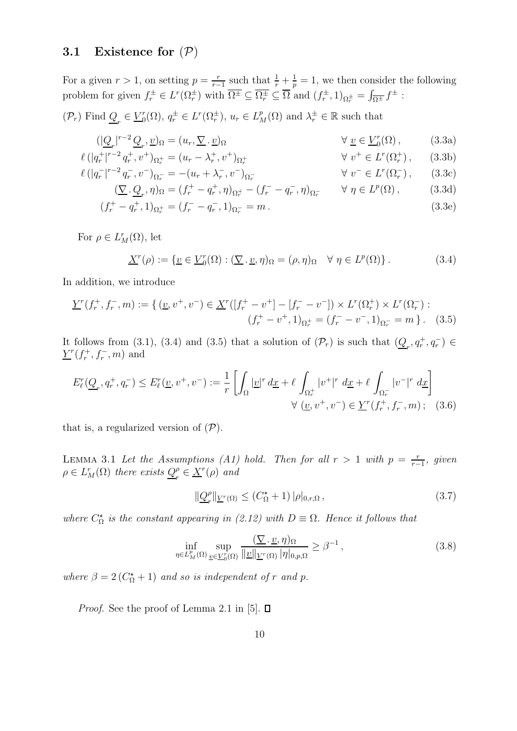#### 3.1 Existence for  $(\mathcal{P})$

For a given  $r > 1$ , on setting  $p = \frac{r}{r-1}$  $\frac{r}{r-1}$  such that  $\frac{1}{r} + \frac{1}{p} = 1$ , we then consider the following problem for given  $f_r^{\pm} \in L^r(\Omega_r^{\pm})$  with  $\overline{\Omega^{\pm}} \subseteq \overline{\Omega_r^{\pm}} \subseteq \overline{\Omega}$  and  $(f_r^{\pm}, 1)_{\Omega_r^{\pm}} = \int_{\overline{\Omega^{\pm}}} f^{\pm}$ :

 $(\mathcal{P}_r)$  Find  $\underline{Q}_r \in \underline{V}_0^r$  $L_0^r(\Omega)$ ,  $q_r^{\pm} \in L^r(\Omega_r^{\pm})$ ,  $u_r \in L_M^p(\Omega)$  and  $\lambda_r^{\pm} \in \mathbb{R}$  such that

$$
(|\underline{Q}_r|^{r-2}\underline{Q}_r,\underline{v})_{\Omega} = (u_r, \underline{\nabla} \cdot \underline{v})_{\Omega} \qquad \forall \underline{v} \in \underline{V}_0^r(\Omega), \qquad (3.3a)
$$

$$
\ell(|q_r^+|^{r-2}q_r^+, v^+)_{{\Omega}_r^+} = (u_r - {\lambda}_r^+, v^+)_{{\Omega}_r^+} \qquad \forall v^+ \in L^r({\Omega}_r^+), \qquad (3.3b)
$$

$$
\ell(|q_r^{-}|^{r-2}q_r^{-}, v^{-})_{\Omega_r^{-}} = -(u_r + \lambda_r^{-}, v^{-})_{\Omega_r^{-}}
$$
\n
$$
\forall v^{-} \in L^{r}(\Omega_r^{-}), \qquad (3.3c)
$$

$$
(\nabla \cdot \underline{Q}_r, \eta)_{\Omega} = (f_r^+ - q_r^+, \eta)_{\Omega_r^+} - (f_r^- - q_r^-, \eta)_{\Omega_r^-} \qquad \forall \ \eta \in L^p(\Omega), \tag{3.3d}
$$

$$
(f_r^+ - q_r^+, 1)_{\Omega_r^+} = (f_r^- - q_r^-, 1)_{\Omega_r^-} = m.
$$
\n(3.3e)

For  $\rho \in L_M^r(\Omega)$ , let

$$
\underline{X}^r(\rho) := \{ \underline{v} \in \underline{V}_0^r(\Omega) : (\underline{\nabla} \cdot \underline{v}, \eta)_{\Omega} = (\rho, \eta)_{\Omega} \quad \forall \ \eta \in L^p(\Omega) \}.
$$
 (3.4)

In addition, we introduce

$$
\underline{Y}^r(f_r^+, f_r^-, m) := \{ (\underline{v}, v^+, v^-) \in \underline{X}^r([f_r^+ - v^+] - [f_r^- - v^-]) \times L^r(\Omega_r^+) \times L^r(\Omega_r^-) : (f_r^+ - v^+, 1)_{\Omega_r^+} = (f_r^- - v^-, 1)_{\Omega_r^-} = m \}.
$$
 (3.5)

It follows from (3.1), (3.4) and (3.5) that a solution of  $(\mathcal{P}_r)$  is such that  $(\underline{Q}_r, q_r^+, q_r^-) \in$  $\underline{Y}^r(f_r^+, f_r^-, m)$  and

$$
E_{\ell}^{r}(\underline{Q}_{r}, q_{r}^{+}, q_{r}^{-}) \leq E_{\ell}^{r}(\underline{v}, v^{+}, v^{-}) := \frac{1}{r} \left[ \int_{\Omega} |\underline{v}|^{r} d\underline{x} + \ell \int_{\Omega_{r}^{+}} |v^{+}|^{r} d\underline{x} + \ell \int_{\Omega_{r}^{-}} |v^{-}|^{r} d\underline{x} \right]
$$
  

$$
\forall (\underline{v}, v^{+}, v^{-}) \in \underline{Y}^{r}(f_{r}^{+}, f_{r}^{-}, m); \quad (3.6)
$$

that is, a regularized version of  $(\mathcal{P})$ .

LEMMA 3.1 Let the Assumptions (A1) hold. Then for all  $r > 1$  with  $p = \frac{r}{r-1}$  $\frac{r}{r-1}$ , given  $\rho \in L^r_M(\Omega)$  there exists  $Q_r^{\rho}$  $e_r^{\rho} \in \underline{X}^r(\rho)$  and

$$
\|\underline{Q}_r^{\rho}\|_{\underline{V}^r(\Omega)} \le (C_{\Omega}^{\star} + 1) \, |\rho|_{0,r,\Omega} \,, \tag{3.7}
$$

where  $C_{\Omega}^{\star}$  is the constant appearing in (2.12) with  $D \equiv \Omega$ . Hence it follows that

$$
\inf_{\eta \in L_M^p(\Omega)} \sup_{\underline{v} \in \underline{V}_0^r(\Omega)} \frac{(\nabla \cdot \underline{v}, \eta)_{\Omega}}{\|\underline{v}\|_{\underline{V}^r(\Omega)} |\eta|_{0, p, \Omega}} \ge \beta^{-1},
$$
\n(3.8)

where  $\beta = 2(C_{\Omega}^* + 1)$  and so is independent of r and p.

*Proof.* See the proof of Lemma 2.1 in [5].  $\Box$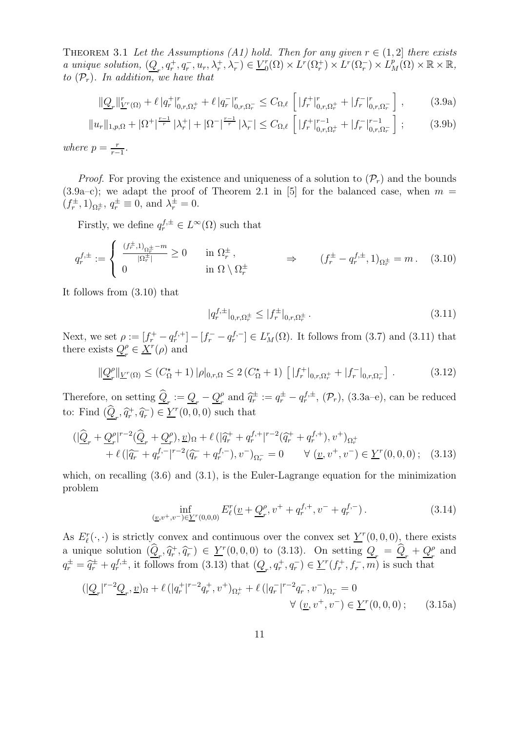THEOREM 3.1 Let the Assumptions (A1) hold. Then for any given  $r \in (1,2]$  there exists a unique solution,  $(\underline{Q}_r, q_r^+, q_r^-, u_r, \lambda_r^+, \lambda_r^-) \in \underline{V}_0^r$  $L^r(\Omega) \times L^r(\Omega_r^+) \times L^r(\Omega_r^-) \times L^p_M(\Omega) \times \mathbb{R} \times \mathbb{R},$ to  $(\mathcal{P}_r)$ . In addition, we have that

$$
\|\underline{Q}_r\|_{\underline{V}^r(\Omega)}^r + \ell |q_r^+|_{0,r,\Omega_r^+}^r + \ell |q_r^-|_{0,r,\Omega_r^-}^r \le C_{\Omega,\ell} \left[|f_r^+|_{0,r,\Omega_r^+}^r + |f_r^-|_{0,r,\Omega_r^-}^r\right],\tag{3.9a}
$$

$$
||u_r||_{1,p,\Omega} + |\Omega^+|^{\frac{r-1}{r}} |\lambda_r^+| + |\Omega^-|^{\frac{r-1}{r}} |\lambda_r^-| \leq C_{\Omega,\ell} \left[ |f_r^+|_{0,r,\Omega_r^+}^{r-1} + |f_r^-|_{0,r,\Omega_r^-}^{r-1} \right];\tag{3.9b}
$$

where  $p = \frac{r}{r-1}$  $\frac{r}{r-1}$ .

*Proof.* For proving the existence and uniqueness of a solution to  $(\mathcal{P}_r)$  and the bounds  $(3.9a-c)$ ; we adapt the proof of Theorem 2.1 in [5] for the balanced case, when  $m =$  $(f_r^{\pm}, 1)_{\Omega_r^{\pm}}, q_r^{\pm} \equiv 0$ , and  $\lambda_r^{\pm} = 0$ .

Firstly, we define  $q_r^{f,\pm} \in L^{\infty}(\Omega)$  such that

$$
q_r^{f,\pm} := \begin{cases} \frac{(f_r^{\pm},1)_{\Omega_r^{\pm}} - m}{|\Omega_r^{\pm}|} \ge 0 & \text{in } \Omega_r^{\pm}, \\ 0 & \text{in } \Omega \setminus \Omega_r^{\pm} \end{cases} \Rightarrow (f_r^{\pm} - q_r^{f,\pm}, 1)_{\Omega_r^{\pm}} = m. \quad (3.10)
$$

It follows from (3.10) that

$$
|q_r^{f,\pm}|_{0,r,\Omega_r^{\pm}} \le |f_r^{\pm}|_{0,r,\Omega_r^{\pm}}.
$$
\n(3.11)

Next, we set  $\rho := [f_r^+ - q_r^{f,+}] - [f_r^- - q_r^{f,-}] \in L_M^r(\Omega)$ . It follows from (3.7) and (3.11) that there exists  $Q_{\tau}^{\rho}$  $\frac{\rho}{r} \in \underline{X}^r(\rho)$  and

$$
\|\underline{Q}_r^{\rho}\|_{\underline{V}^r(\Omega)} \le (C_{\Omega}^{\star} + 1) \, |\rho|_{0,r,\Omega} \le 2 \, (C_{\Omega}^{\star} + 1) \, \left[ \, |f_r^+|_{0,r,\Omega_r^+} + |f_r^-|_{0,r,\Omega_r^-} \right] \,. \tag{3.12}
$$

Therefore, on setting  $\widehat{\mathcal{Q}}_r := \mathcal{Q}_r - \mathcal{Q}_r^{\rho}$  $f_r^{\rho}$  and  $\hat{q}_r^{\pm} := q_r^{\pm} - q_r^{f,\pm}$ ,  $(\mathcal{P}_r)$ ,  $(3.3a-e)$ , can be reduced to: Find  $(\widehat{\underline{Q}}_r, \widehat{q}_r^+, \widehat{q}_r^-) \in \underline{Y}^r(0,0,0)$  such that

$$
\begin{split} \n(\vert \underline{\widehat{Q}}_r + \underline{Q}_r^{\rho} \vert^{r-2} (\underline{\widehat{Q}}_r + \underline{Q}_r^{\rho}), \underline{v})_{\Omega} + \ell \left( \vert \widehat{q}_r^+ + q_r^{f,+} \vert^{r-2} (\widehat{q}_r^+ + q_r^{f,+}), v^+ \right)_{\Omega_r^+} \\
&+ \ell \left( \vert \widehat{q}_r^- + q_r^{f,-} \vert^{r-2} (\widehat{q}_r^- + q_r^{f,-}), v^- \right)_{\Omega_r^-} = 0 \qquad \forall \ (\underline{v}, v^+, v^-) \in \underline{Y}^r(0,0,0); \tag{3.13} \n\end{split}
$$

which, on recalling  $(3.6)$  and  $(3.1)$ , is the Euler-Lagrange equation for the minimization problem

$$
\inf_{(\underline{v},v^+,v^-)\in \underline{Y}^r(0,0,0)} E^r_{\ell}(\underline{v} + \underline{Q}^{\rho}_{r}, v^+ + q^{f,+}_{r}, v^- + q^{f,-}_{r}). \tag{3.14}
$$

As  $E_{\ell}^r(\cdot, \cdot)$  is strictly convex and continuous over the convex set  $\underline{Y}^r(0,0,0)$ , there exists a unique solution  $(\widehat{Q}_r, \widehat{q}_r^+, \widehat{q}_r^-) \in \underline{Y}^r(0, 0, 0)$  to (3.13). On setting  $Q_r = \widehat{Q}_r + Q_r^{\rho}$  $\frac{\rho}{r}$  and  $q_r^{\pm} = \hat{q}_r^{\pm} + q_r^{f,\pm}$ , it follows from (3.13) that  $(\underline{Q}_r, q_r^+, q_r^-) \in \underline{Y}^r(f_r^+, f_r^-, m)$  is such that

$$
(|\underline{Q}_r|^{r-2}\underline{Q}_r,\underline{v})_{\Omega} + \ell (|q_r^+|^{r-2}q_r^+,\nu^+)_{\Omega_r^+} + \ell (|q_r^-|^{r-2}q_r^-, \nu^-)_{\Omega_r^-} = 0
$$
  

$$
\forall (\underline{v}, v^+, v^-) \in \underline{Y}^r(0,0,0) \, ; \qquad (3.15a)
$$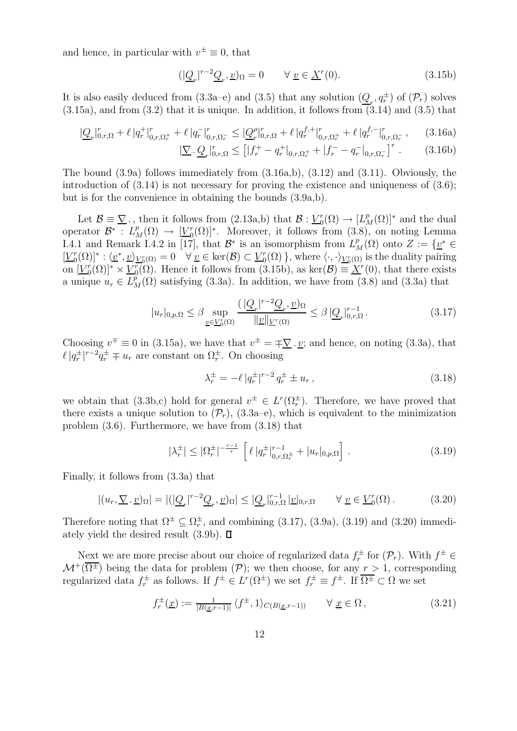and hence, in particular with  $v^{\pm} \equiv 0$ , that

$$
(|\underline{Q}_r|^{r-2}\underline{Q}_r, \underline{v})_{\Omega} = 0 \qquad \forall \underline{v} \in \underline{X}^r(0). \tag{3.15b}
$$

It is also easily deduced from  $(3.3a-e)$  and  $(3.5)$  that any solution  $(\underline{Q}_r, q_r^{\pm})$  of  $(\mathcal{P}_r)$  solves  $(3.15a)$ , and from  $(3.2)$  that it is unique. In addition, it follows from  $(3.14)$  and  $(3.5)$  that

$$
|\underline{Q}_r|_{0,r,\Omega}^r + \ell |q_r^+|_{0,r,\Omega_r^+}^r + \ell |q_r^-|_{0,r,\Omega_r^-}^r \le |\underline{Q}_r^{\rho}|_{0,r,\Omega}^r + \ell |q_r^{f,+}|_{0,r,\Omega_r^+}^r + \ell |q_r^{f,-}|_{0,r,\Omega_r^-}^r,\tag{3.16a}
$$

$$
\left| \underline{\nabla} \cdot \underline{Q}_r \right|_{0,r,\Omega}^r \le \left[ \left| f_r^+ - q_r^+ \right|_{0,r,\Omega_r^+} + \left| f_r^- - q_r^- \right|_{0,r,\Omega_r^-} \right]^r. \tag{3.16b}
$$

The bound (3.9a) follows immediately from (3.16a,b), (3.12) and (3.11). Obviously, the introduction of  $(3.14)$  is not necessary for proving the existence and uniqueness of  $(3.6)$ ; but is for the convenience in obtaining the bounds (3.9a,b).

Let  $\mathcal{B} \equiv \nabla$ , then it follows from (2.13a,b) that  $\mathcal{B} : V_0^r$  $L_0^r(\Omega) \to [L_M^p(\Omega)]^*$  and the dual operator  $\mathcal{B}^*$  :  $L_M^p(\Omega) \to \underline{[V_0^r]}$  $\binom{r}{0}$ ( $\Omega$ )<sup>\*</sup>. Moreover, it follows from (3.8), on noting Lemma I.4.1 and Remark I.4.2 in [17], that  $\mathcal{B}^*$  is an isomorphism from  $L_M^p(\Omega)$  onto  $Z := \{ \underline{v}^* \in \mathbb{R}^n : \text{supp}(\Omega) \}$  $\underline{V}_0^r$  $\big[ \begin{array}{c} \binom{r}{0} \binom{r}{1} \ \vdots \ \frac{\binom{r}{v}}{v} \ \frac{r}{v} \binom{r}{v} \end{array} \big] = 0 \quad \forall \underline{v} \in \text{ker}(\mathcal{B}) \subset \underline{V}_{0}^{r}$  $\binom{r}{0}$ , where  $\langle \cdot, \cdot \rangle_{\underline{V}_0^r(\Omega)}$  is the duality pairing on  $\boxed{V_0^r}$  $\binom{r}{0}$  $(\Omega)$ <sup>\*</sup> ×  $\frac{V_r^r}{2}$  $\overline{C_0(\Omega)}$ . Hence it follows from (3.15b), as ker $(\mathcal{B}) \equiv \underline{X}^r(0)$ , that there exists a unique  $u_r \in L^p_M(\Omega)$  satisfying (3.3a). In addition, we have from (3.8) and (3.3a) that

$$
|u_r|_{0,p,\Omega} \leq \beta \sup_{\underline{v} \in \underline{V}_0^r(\Omega)} \frac{\left(|\underline{Q}_r|^{r-2}\underline{Q}_r, \underline{v}\right)_\Omega}{\|\underline{v}\|_{\underline{V}^r(\Omega)}} \leq \beta \left|\underline{Q}_r\right|_{0,r,\Omega}^{r-1}.
$$
\n(3.17)

Choosing  $v^{\pm} \equiv 0$  in (3.15a), we have that  $v^{\pm} = \pm \sqrt{\underline{v}} \cdot \underline{v}$ ; and hence, on noting (3.3a), that  $\ell |q_r^{\pm}|^{r-2} q_r^{\pm} \mp u_r$  are constant on  $\Omega_r^{\pm}$ . On choosing

$$
\lambda_r^{\pm} = -\ell \, |q_r^{\pm}|^{r-2} \, q_r^{\pm} \pm u_r \,, \tag{3.18}
$$

we obtain that  $(3.3b,c)$  hold for general  $v^{\pm} \in L^r(\Omega_r^{\pm})$ . Therefore, we have proved that there exists a unique solution to  $(\mathcal{P}_r)$ ,  $(3.3a-e)$ , which is equivalent to the minimization problem (3.6). Furthermore, we have from (3.18) that

$$
|\lambda_r^{\pm}| \le |\Omega_r^{\pm}|^{-\frac{r-1}{r}} \left[ \ell |q_r^{\pm}|_{0,r,\Omega_r^{\pm}}^{r-1} + |u_r|_{0,p,\Omega} \right]. \tag{3.19}
$$

Finally, it follows from (3.3a) that

$$
|(u_r, \nabla \cdot \underline{v})_{\Omega}| = |(|\underline{Q}_r|^{r-2} \underline{Q}_r, \underline{v})_{\Omega}| \leq |\underline{Q}_r|_{0,r,\Omega}^{r-1} |\underline{v}|_{0,r,\Omega} \qquad \forall \underline{v} \in \underline{V}_0^r(\Omega).
$$
 (3.20)

Therefore noting that  $\Omega^{\pm} \subseteq \Omega_r^{\pm}$ , and combining (3.17), (3.9a), (3.19) and (3.20) immediately yield the desired result  $(3.9b)$ .  $\Box$ 

Next we are more precise about our choice of regularized data  $f_r^{\pm}$  for  $(\mathcal{P}_r)$ . With  $f^{\pm} \in$  $\mathcal{M}^+(\overline{\Omega^{\pm}})$  being the data for problem  $(\mathcal{P})$ ; we then choose, for any  $r > 1$ , corresponding regularized data  $f_r^{\pm}$  as follows. If  $f^{\pm} \in L^r(\Omega^{\pm})$  we set  $f_r^{\pm} \equiv f^{\pm}$ . If  $\overline{\Omega^{\pm}} \subset \Omega$  we set

$$
f_r^{\pm}(\underline{x}) := \frac{1}{|B(\underline{x}, r-1)|} \langle f^{\pm}, 1 \rangle_{C(B(\underline{x}, r-1))} \qquad \forall \underline{x} \in \Omega, \qquad (3.21)
$$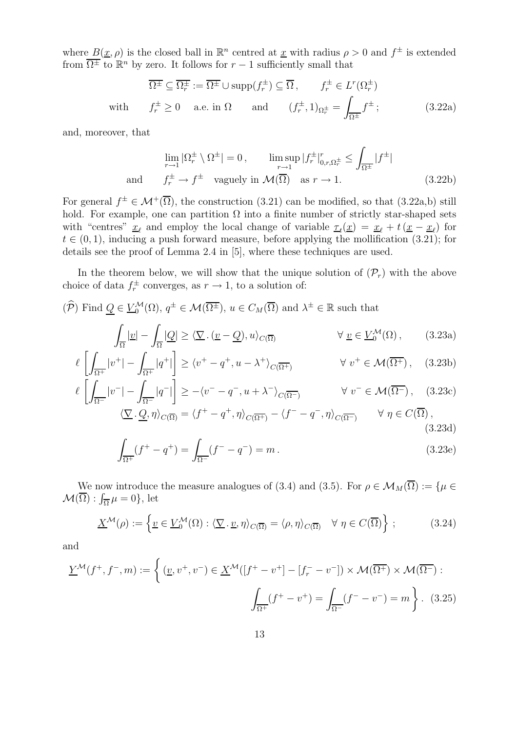where  $B(\underline{x}, \rho)$  is the closed ball in  $\mathbb{R}^n$  centred at  $\underline{x}$  with radius  $\rho > 0$  and  $f^{\pm}$  is extended from  $\overline{\Omega^{\pm}}$  to  $\mathbb{R}^{n}$  by zero. It follows for  $r-1$  sufficiently small that

$$
\overline{\Omega^{\pm}} \subseteq \overline{\Omega_r^{\pm}} := \overline{\Omega^{\pm}} \cup \text{supp}(f_r^{\pm}) \subseteq \overline{\Omega}, \qquad f_r^{\pm} \in L^r(\Omega_r^{\pm})
$$
  
with  $f_r^{\pm} \ge 0$  a.e. in  $\Omega$  and  $(f_r^{\pm}, 1)_{\Omega_r^{\pm}} = \int_{\overline{\Omega^{\pm}}} f^{\pm};$  (3.22a)

and, moreover, that

$$
\lim_{r \to 1} |\Omega_r^{\pm} \setminus \Omega^{\pm}| = 0, \qquad \limsup_{r \to 1} |f_r^{\pm}|_{0,r,\Omega_r^{\pm}}^r \le \int_{\overline{\Omega^{\pm}}} |f^{\pm}|
$$
  
and  $f_r^{\pm} \to f^{\pm}$  vagyely in  $\mathcal{M}(\overline{\Omega})$  as  $r \to 1$ . (3.22b)

For general  $f^{\pm} \in \mathcal{M}^+(\overline{\Omega})$ , the construction (3.21) can be modified, so that (3.22a,b) still hold. For example, one can partition  $\Omega$  into a finite number of strictly star-shaped sets with "centres"  $\underline{x}_{\ell}$  and employ the local change of variable  $\underline{\tau}_t(\underline{x}) = \underline{x}_{\ell} + t(\underline{x} - \underline{x}_{\ell})$  for  $t \in (0, 1)$ , inducing a push forward measure, before applying the mollification (3.21); for details see the proof of Lemma 2.4 in [5], where these techniques are used.

In the theorem below, we will show that the unique solution of  $(\mathcal{P}_r)$  with the above choice of data  $f_r^{\pm}$  converges, as  $r \to 1$ , to a solution of:

$$
(\widehat{\mathcal{P}})
$$
 Find  $\underline{Q} \in \underline{V}_0^{\mathcal{M}}(\Omega)$ ,  $q^{\pm} \in \mathcal{M}(\overline{\Omega^{\pm}})$ ,  $u \in C_M(\overline{\Omega})$  and  $\lambda^{\pm} \in \mathbb{R}$  such that

$$
\int_{\overline{\Omega}} |\underline{v}| - \int_{\overline{\Omega}} |\underline{Q}| \ge \langle \underline{\nabla} \cdot (\underline{v} - \underline{Q}), u \rangle_{C(\overline{\Omega})} \qquad \forall \underline{v} \in \underline{V}_0^{\mathcal{M}}(\Omega), \qquad (3.23a)
$$

$$
\ell \left[ \int_{\overline{\Omega^+}} |v^+| - \int_{\overline{\Omega^+}} |q^+| \right] \ge \langle v^+ - q^+, u - \lambda^+ \rangle_{C(\overline{\Omega^+})} \qquad \forall \ v^+ \in \mathcal{M}(\overline{\Omega^+}), \quad (3.23b)
$$

$$
\ell \left[ \int_{\overline{\Omega^-}} |v^-| - \int_{\overline{\Omega^-}} |q^-| \right] \ge -\langle v^- - q^-, u + \lambda^- \rangle_{C(\overline{\Omega^-})} \qquad \forall \ v^- \in \mathcal{M}(\overline{\Omega^-}), \quad (3.23c)
$$

$$
\langle \underline{\nabla} \cdot \underline{Q}, \eta \rangle_{C(\overline{\Omega})} = \langle f^+ - q^+, \eta \rangle_{C(\overline{\Omega^+})} - \langle f^- - q^-, \eta \rangle_{C(\overline{\Omega^-})} \qquad \forall \ \eta \in C(\overline{\Omega}),
$$
\n(3.23d)

$$
\int_{\overline{\Omega^+}} (f^+ - q^+) = \int_{\overline{\Omega^-}} (f^- - q^-) = m.
$$
\n(3.23e)

We now introduce the measure analogues of (3.4) and (3.5). For  $\rho \in \mathcal{M}_M(\overline{\Omega}) := \{ \mu \in \Omega \}$  $\mathcal{M}(\overline{\Omega}): \int_{\overline{\Omega}} \mu = 0$ , let

$$
\underline{X}^{\mathcal{M}}(\rho) := \left\{ \underline{v} \in \underline{V}_0^{\mathcal{M}}(\Omega) : \langle \underline{\nabla} \cdot \underline{v}, \eta \rangle_{C(\overline{\Omega})} = \langle \rho, \eta \rangle_{C(\overline{\Omega})} \quad \forall \ \eta \in C(\overline{\Omega}) \right\};\tag{3.24}
$$

and

$$
\underline{Y}^{\mathcal{M}}(f^+, f^-, m) := \left\{ (\underline{v}, v^+, v^-) \in \underline{X}^{\mathcal{M}}([f^+ - v^+] - [f_r^- - v^-]) \times \mathcal{M}(\overline{\Omega^+}) \times \mathcal{M}(\overline{\Omega^-}) : \right.
$$

$$
\int_{\overline{\Omega^+}} (f^+ - v^+) = \int_{\overline{\Omega^-}} (f^- - v^-) = m \right\}.
$$
(3.25)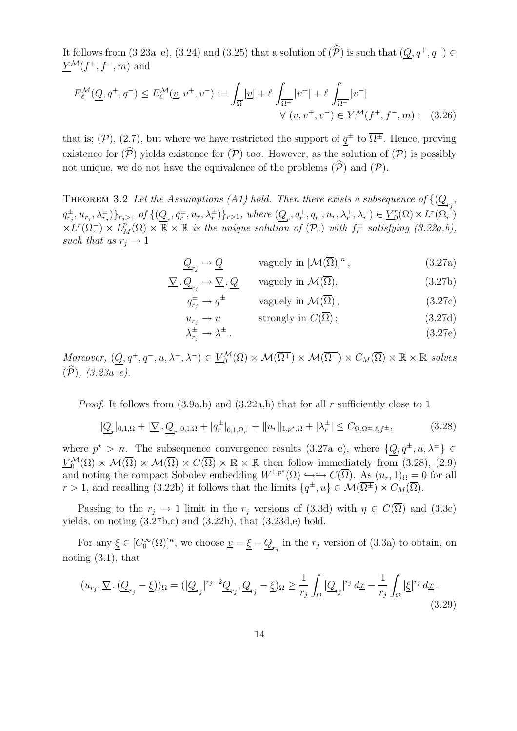It follows from (3.23a–e), (3.24) and (3.25) that a solution of  $(\widehat{\mathcal{P}})$  is such that  $(Q, q^+, q^-) \in$  $\underline{Y}^{\mathcal{M}}(f^+, f^-, m)$  and

$$
E_{\ell}^{\mathcal{M}}(\underline{Q}, q^{+}, q^{-}) \leq E_{\ell}^{\mathcal{M}}(\underline{v}, v^{+}, v^{-}) := \int_{\overline{\Omega}} |\underline{v}| + \ell \int_{\overline{\Omega^{+}}} |v^{+}| + \ell \int_{\overline{\Omega^{-}}} |v^{-}|
$$
  

$$
\forall (\underline{v}, v^{+}, v^{-}) \in \underline{Y}^{\mathcal{M}}(f^{+}, f^{-}, m); \quad (3.26)
$$

that is;  $(\mathcal{P})$ ,  $(2.7)$ , but where we have restricted the support of  $\underline{q}^{\pm}$  to  $\overline{\Omega^{\pm}}$ . Hence, proving existence for  $(\widehat{P})$  yields existence for  $(P)$  too. However, as the solution of  $(P)$  is possibly not unique, we do not have the equivalence of the problems  $(\widehat{\mathcal{P}})$  and  $(\mathcal{P})$ .

THEOREM 3.2 Let the Assumptions (A1) hold. Then there exists a subsequence of  $\{(\underline{Q}_{r_j},\)}$  $(q_{r_j}^{\pm}, u_{r_j}, \lambda_{r_j}^{\pm})\}_{r_j>1}$  of  $\{(\underline{Q}_r, q_r^{\pm}, u_r, \lambda_r^{\pm})\}_{r>1}$ , where  $(\underline{Q}_r, q_r^+, q_r^-, u_r, \lambda_r^+, \lambda_r^-) \in \underline{V}_0^r$  $L^r(\Omega) \times L^r(\Omega_r^+)$  $\times L^{r}(\Omega_{r}^{-}) \times L^{p}_{M}(\Omega) \times \mathbb{R} \times \mathbb{R}$  is the unique solution of  $(\mathcal{P}_{r})$  with  $f_{r}^{\pm}$  satisfying  $(3.22a,b),$ such that as  $r_i \rightarrow 1$ 

$$
\underline{Q}_{r_j} \to \underline{Q} \qquad \text{vaguely in } [\mathcal{M}(\overline{\Omega})]^n, \qquad (3.27a)
$$

$$
\underline{\nabla} \cdot \underline{Q}_{r_j} \to \underline{\nabla} \cdot \underline{Q} \qquad \text{vaguely in } \mathcal{M}(\overline{\Omega}), \tag{3.27b}
$$

 $q_{r_j}^{\pm} \to q^{\pm}$  vaguely in  $\mathcal{M}(\overline{\Omega})$ , (3.27c)

$$
u_{r_j} \to u \qquad \text{strongly in } C(\Omega) \, ; \tag{3.27d}
$$

$$
\lambda_{r_j}^{\pm} \to \lambda^{\pm} \,. \tag{3.27e}
$$

Moreover,  $(\underline{Q}, q^+, q^-, u, \lambda^+, \lambda^-) \in \underline{V}_0^{\mathcal{M}}(\Omega) \times \mathcal{M}(\overline{\Omega^+}) \times \mathcal{M}(\overline{\Omega^-}) \times C_M(\overline{\Omega}) \times \mathbb{R} \times \mathbb{R}$  solves  $(\widehat{\mathcal{P}}), (3.23a-e).$ 

*Proof.* It follows from  $(3.9a,b)$  and  $(3.22a,b)$  that for all r sufficiently close to 1

$$
|\underline{Q}_r|_{0,1,\Omega} + |\nabla \cdot \underline{Q}_r|_{0,1,\Omega} + |q_r^{\pm}|_{0,1,\Omega_r^+} + ||u_r||_{1,p^\star,\Omega} + |\lambda_r^{\pm}| \leq C_{\Omega,\Omega^{\pm},\ell,f^{\pm}},\tag{3.28}
$$

where  $p^* > n$ . The subsequence convergence results  $(3.27a-e)$ , where  $\{\underline{Q}, q^{\pm}, u, \lambda^{\pm}\}\in$  $\underline{V}_{0}^{\mathcal{M}}(\Omega) \times \mathcal{M}(\overline{\Omega}) \times \mathcal{M}(\overline{\Omega}) \times C(\overline{\Omega}) \times \mathbb{R} \times \mathbb{R}$  then follow immediately from (3.28), (2.9) and noting the compact Sobolev embedding  $W^{1,p^*}(\Omega) \hookrightarrow \hookrightarrow C(\overline{\Omega})$ . As  $(u_r, 1)_{\Omega} = 0$  for all r > 1, and recalling (3.22b) it follows that the limits  $\{q^{\pm}, u\} \in \mathcal{M}(\overline{\Omega^{\pm}}) \times C_M(\overline{\Omega})$ .

Passing to the  $r_j \to 1$  limit in the  $r_j$  versions of (3.3d) with  $\eta \in C(\overline{\Omega})$  and (3.3e) yields, on noting  $(3.27b,c)$  and  $(3.22b)$ , that  $(3.23d,e)$  hold.

For any  $\underline{\xi} \in [C_0^{\infty}(\Omega)]^n$ , we choose  $\underline{v} = \underline{\xi} - \underline{Q}_{r_j}$  in the  $r_j$  version of (3.3a) to obtain, on noting  $(3.1)$ , that

$$
(u_{r_j}, \nabla \cdot (\underline{Q}_{r_j} - \underline{\xi}))_{\Omega} = (|\underline{Q}_{r_j}|^{r_j - 2} \underline{Q}_{r_j}, \underline{Q}_{r_j} - \underline{\xi})_{\Omega} \ge \frac{1}{r_j} \int_{\Omega} |\underline{Q}_{r_j}|^{r_j} dx - \frac{1}{r_j} \int_{\Omega} |\underline{\xi}|^{r_j} dx. \tag{3.29}
$$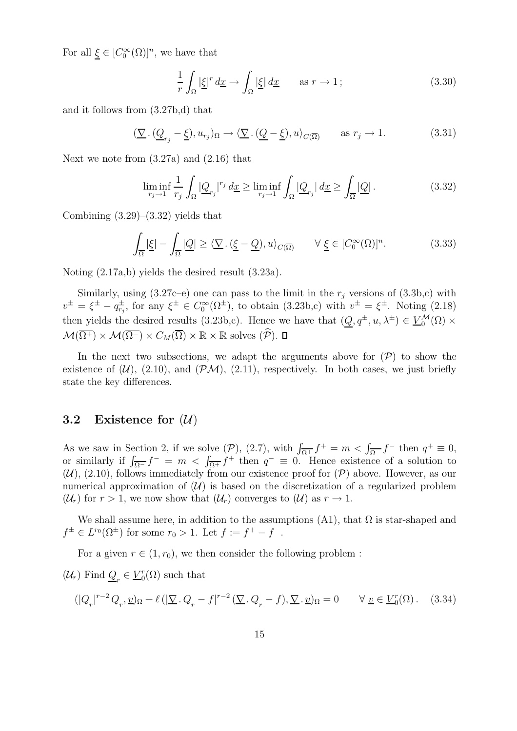For all  $\underline{\xi} \in [C_0^{\infty}(\Omega)]^n$ , we have that

$$
\frac{1}{r} \int_{\Omega} |\underline{\xi}|^r \, d\underline{x} \to \int_{\Omega} |\underline{\xi}| \, d\underline{x} \qquad \text{as } r \to 1 \, ; \tag{3.30}
$$

and it follows from (3.27b,d) that

$$
(\underline{\nabla} \cdot (\underline{Q}_{r_j} - \underline{\xi}), u_{r_j})_{\Omega} \to \langle \underline{\nabla} \cdot (\underline{Q} - \underline{\xi}), u \rangle_{C(\overline{\Omega})} \quad \text{as } r_j \to 1.
$$
 (3.31)

Next we note from (3.27a) and (2.16) that

$$
\liminf_{r_j \to 1} \frac{1}{r_j} \int_{\Omega} |\underline{Q}_{r_j}|^{r_j} \, dx \ge \liminf_{r_j \to 1} \int_{\Omega} |\underline{Q}_{r_j}| \, dx \ge \int_{\overline{\Omega}} |\underline{Q}| \, . \tag{3.32}
$$

Combining  $(3.29)$ – $(3.32)$  yields that

$$
\int_{\overline{\Omega}} |\underline{\xi}| - \int_{\overline{\Omega}} |\underline{Q}| \ge \langle \underline{\nabla} \cdot (\underline{\xi} - \underline{Q}), u \rangle_{C(\overline{\Omega})} \qquad \forall \underline{\xi} \in [C_0^{\infty}(\Omega)]^n.
$$
 (3.33)

Noting (2.17a,b) yields the desired result (3.23a).

Similarly, using  $(3.27c-e)$  one can pass to the limit in the  $r_j$  versions of  $(3.3b,c)$  with  $v^{\pm} = \xi^{\pm} - q_{r_j}^{\pm}$ , for any  $\xi^{\pm} \in C_0^{\infty}(\Omega^{\pm})$ , to obtain (3.23b,c) with  $v^{\pm} = \xi^{\pm}$ . Noting (2.18) then yields the desired results (3.23b,c). Hence we have that  $(\underline{Q}, q^{\pm}, u, \lambda^{\pm}) \in \underline{V}_{0}^{\mathcal{M}}(\Omega) \times$  $\mathcal{M}(\overline{\Omega^+}) \times \mathcal{M}(\overline{\Omega^-}) \times C_M(\overline{\Omega}) \times \mathbb{R} \times \mathbb{R}$  solves  $(\widehat{\mathcal{P}})$ .  $\Box$ 

In the next two subsections, we adapt the arguments above for  $(\mathcal{P})$  to show the existence of  $(\mathcal{U})$ ,  $(2.10)$ , and  $(\mathcal{PM})$ ,  $(2.11)$ , respectively. In both cases, we just briefly state the key differences.

#### 3.2 Existence for  $(\mathcal{U})$

As we saw in Section 2, if we solve  $(\mathcal{P})$ ,  $(2.7)$ , with  $\int_{\overline{\Omega^+}} f^+ = m < \int_{\overline{\Omega^-}} f^-$  then  $q^+ \equiv 0$ , or similarly if  $\int_{\overline{\Omega^-}} f^- = m < \int_{\overline{\Omega^+}} f^+$  then  $q^- \equiv 0$ . Hence existence of a solution to  $(\mathcal{U})$ , (2.10), follows immediately from our existence proof for  $(\mathcal{P})$  above. However, as our numerical approximation of  $(\mathcal{U})$  is based on the discretization of a regularized problem  $(\mathcal{U}_r)$  for  $r > 1$ , we now show that  $(\mathcal{U}_r)$  converges to  $(\mathcal{U})$  as  $r \to 1$ .

We shall assume here, in addition to the assumptions  $(A1)$ , that  $\Omega$  is star-shaped and  $f^{\pm} \in L^{r_0}(\Omega^{\pm})$  for some  $r_0 > 1$ . Let  $f := f^+ - f^-$ .

For a given  $r \in (1, r_0)$ , we then consider the following problem :

 $(\mathcal{U}_r)$  Find  $\underline{Q}_r \in \underline{V}_0^r$  $_{0}^{r}(\Omega)$  such that

$$
(|\underline{Q}_r|^{r-2}\underline{Q}_r,\underline{v})_{\Omega} + \ell (|\underline{\nabla} \cdot \underline{Q}_r - f|^{r-2} (\underline{\nabla} \cdot \underline{Q}_r - f), \underline{\nabla} \cdot \underline{v})_{\Omega} = 0 \qquad \forall \underline{v} \in \underline{V}_0^r(\Omega). \tag{3.34}
$$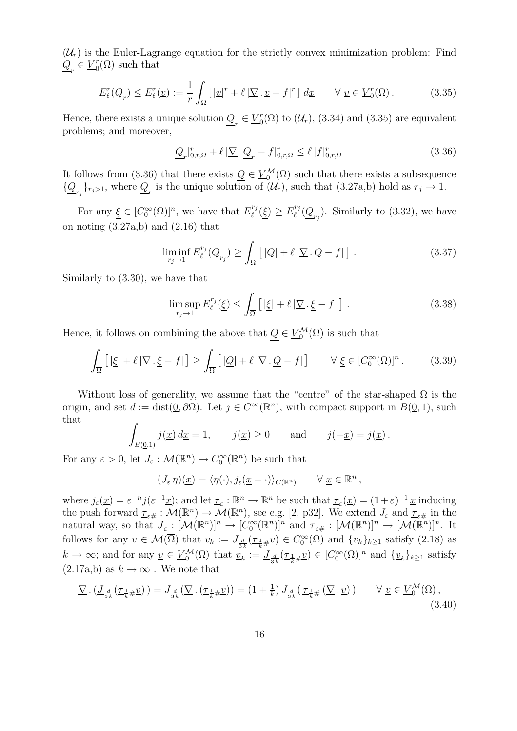$(\mathcal{U}_r)$  is the Euler-Lagrange equation for the strictly convex minimization problem: Find  $Q_r \in V_0^r$  $_{0}^{r}(\Omega)$  such that

$$
E_{\ell}^{r}(\underline{Q}_{r}) \leq E_{\ell}^{r}(\underline{v}) := \frac{1}{r} \int_{\Omega} \left[ |\underline{v}|^{r} + \ell |\nabla \cdot \underline{v} - f|^{r} \right] d\underline{x} \qquad \forall \underline{v} \in \underline{V}_{0}^{r}(\Omega). \tag{3.35}
$$

Hence, there exists a unique solution  $\underline{Q}_r \in \underline{V}_0^r$  $C_0^r(\Omega)$  to  $(\mathcal{U}_r)$ , (3.34) and (3.35) are equivalent problems; and moreover,

$$
|\underline{Q}_r|_{0,r,\Omega}^r + \ell |\underline{\nabla} \cdot \underline{Q}_r - f|_{0,r,\Omega}^r \le \ell |f|_{0,r,\Omega}^r. \tag{3.36}
$$

It follows from (3.36) that there exists  $Q \in V_0^{\mathcal{M}}(\Omega)$  such that there exists a subsequence  $\{\underline{Q}_{r_j}\}_{r_j>1}$ , where  $\underline{Q}_r$  is the unique solution of  $(\mathcal{U}_r)$ , such that  $(3.27a,b)$  hold as  $r_j \to 1$ .

For any  $\underline{\xi} \in [C_0^{\infty}(\Omega)]^n$ , we have that  $E_{\ell}^{r_j}$  $\int_{\ell}^{r_j}(\underline{\xi}) \geq E_{\ell}^{r_j}$  $\mathcal{U}^{r_j}(\underline{Q}_{r_j})$ . Similarly to (3.32), we have on noting  $(3.27a,b)$  and  $(2.16)$  that

$$
\liminf_{r_j \to 1} E_{\ell}^{r_j}(\underline{Q}_{r_j}) \ge \int_{\overline{\Omega}} \left[ |\underline{Q}| + \ell |\underline{\nabla} \cdot \underline{Q} - f| \right]. \tag{3.37}
$$

Similarly to (3.30), we have that

$$
\limsup_{r_j \to 1} E_{\ell}^{r_j}(\underline{\xi}) \le \int_{\overline{\Omega}} \left[ \left| \underline{\xi} \right| + \ell \left| \nabla \cdot \underline{\xi} - f \right| \right]. \tag{3.38}
$$

Hence, it follows on combining the above that  $\underline{Q} \in \underline{V}_0^{\mathcal{M}}(\Omega)$  is such that

$$
\int_{\overline{\Omega}} \left[ \left| \underline{\xi} \right| + \ell \left| \underline{\nabla} \cdot \underline{\xi} - f \right| \right] \ge \int_{\overline{\Omega}} \left[ \left| \underline{Q} \right| + \ell \left| \underline{\nabla} \cdot \underline{Q} - f \right| \right] \qquad \forall \underline{\xi} \in [C_0^{\infty}(\Omega)]^n. \tag{3.39}
$$

Without loss of generality, we assume that the "centre" of the star-shaped  $\Omega$  is the origin, and set  $d := \text{dist}(\underline{0}, \partial \Omega)$ . Let  $j \in C^{\infty}(\mathbb{R}^n)$ , with compact support in  $B(\underline{0}, 1)$ , such that Z

$$
\int_{B(\underline{0},1)} j(\underline{x}) d\underline{x} = 1, \qquad j(\underline{x}) \ge 0 \qquad \text{and} \qquad j(-\underline{x}) = j(\underline{x}).
$$

For any  $\varepsilon > 0$ , let  $J_{\varepsilon} : \mathcal{M}(\mathbb{R}^n) \to C_0^{\infty}(\mathbb{R}^n)$  be such that

$$
(J_{\varepsilon}\eta)(\underline{x}) = \langle \eta(\cdot), j_{\varepsilon}(\underline{x}-\cdot) \rangle_{C(\mathbb{R}^n)} \qquad \forall \underline{x} \in \mathbb{R}^n,
$$

where  $j_{\varepsilon}(\underline{x}) = \varepsilon^{-n} j(\varepsilon^{-1} \underline{x});$  and let  $\underline{\tau}_{\varepsilon} : \mathbb{R}^n \to \mathbb{R}^n$  be such that  $\underline{\tau}_{\varepsilon}(\underline{x}) = (1+\varepsilon)^{-1} \underline{x}$  inducing the push forward  $\underline{\tau}_{\varepsilon\#}: \mathcal{M}(\mathbb{R}^n) \to \mathcal{M}(\mathbb{R}^n)$ , see e.g. [2, p32]. We extend  $J_{\varepsilon}$  and  $\underline{\tau}_{\varepsilon\#}$  in the natural way, so that  $\underline{J}_{\varepsilon} : [\mathcal{M}(\mathbb{R}^n)]^n \to [C_0^{\infty}(\mathbb{R}^n)]^n$  and  $\underline{\tau}_{\varepsilon\#} : [\mathcal{M}(\mathbb{R}^n)]^n \to [\mathcal{M}(\mathbb{R}^n)]^n$ . It follows for any  $v \in \mathcal{M}(\overline{\Omega})$  that  $v_k := J_{\frac{d}{3k}}(\underline{\tau}_{\frac{1}{k}\#}v) \in C_0^{\infty}(\Omega)$  and  $\{v_k\}_{k\geq 1}$  satisfy (2.18) as  $k \to \infty$ ; and for any  $\underline{v} \in \underline{V}_0^{\mathcal{M}}(\Omega)$  that  $\underline{v}_k := \underline{J}_{\frac{d}{3k}}(\underline{\tau}_{\frac{1}{k}} \underline{\mu} \underline{v}) \in [C_0^{\infty}(\Omega)]^n$  and  $\{\underline{v}_k\}_{k \geq 1}$  satisfy  $(2.17a,b)$  as  $k \to \infty$ . We note that

$$
\underline{\nabla} \cdot \left( \underline{J}_{\frac{d}{3k}}(\underline{\tau}_{\frac{1}{k}\#}\underline{v}) \right) = J_{\frac{d}{3k}}(\underline{\nabla} \cdot (\underline{\tau}_{\frac{1}{k}\#}\underline{v})) = \left(1 + \frac{1}{k}\right) J_{\frac{d}{3k}}(\underline{\tau}_{\frac{1}{k}\#}\left(\underline{\nabla} \cdot \underline{v}\right)) \qquad \forall \underline{v} \in \underline{V}_0^{\mathcal{M}}(\Omega),\tag{3.40}
$$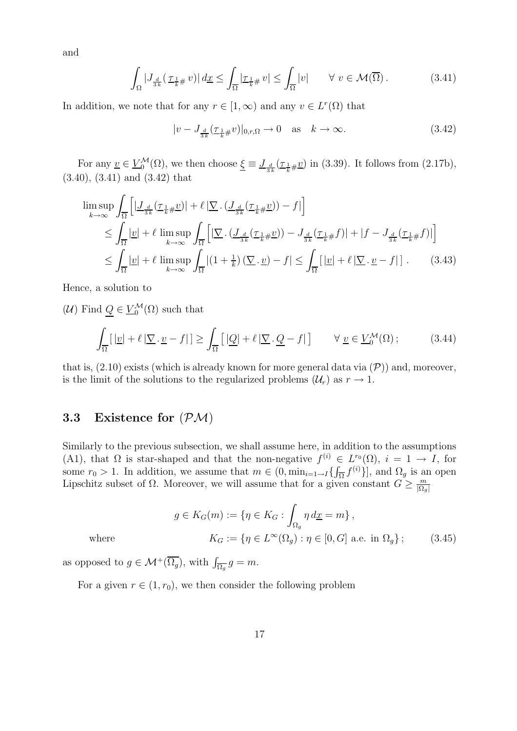and

$$
\int_{\Omega} |J_{\frac{d}{3k}}(\underline{\tau}_{\frac{1}{k}\#}v)| d\underline{x} \le \int_{\overline{\Omega}} |\underline{\tau}_{\frac{1}{k}\#}v| \le \int_{\overline{\Omega}} |v| \qquad \forall \ v \in \mathcal{M}(\overline{\Omega}). \tag{3.41}
$$

In addition, we note that for any  $r \in [1, \infty)$  and any  $v \in L^r(\Omega)$  that

$$
|v - J_{\frac{d}{3k}}(\underline{\tau}_{\frac{1}{k}\#}v)|_{0,r,\Omega} \to 0 \quad \text{as} \quad k \to \infty. \tag{3.42}
$$

For any  $\underline{v} \in \underline{V}_0^{\mathcal{M}}(\Omega)$ , we then choose  $\underline{\xi} \equiv \underline{J}_{\frac{d}{3k}}(\underline{\tau}_{\frac{1}{k}\#}\underline{v})$  in (3.39). It follows from (2.17b), (3.40), (3.41) and (3.42) that

$$
\limsup_{k \to \infty} \int_{\overline{\Omega}} \left[ \left| \underline{J}_{\frac{d}{3k}} (\underline{\tau}_{\frac{1}{k} \#} \underline{v}) \right| + \ell \left| \underline{\nabla} \cdot (\underline{J}_{\frac{d}{3k}} (\underline{\tau}_{\frac{1}{k} \#} \underline{v})) - f \right| \right]
$$
\n
$$
\leq \int_{\overline{\Omega}} |\underline{v}| + \ell \limsup_{k \to \infty} \int_{\overline{\Omega}} \left[ \left| \underline{\nabla} \cdot (\underline{J}_{\frac{d}{3k}} (\underline{\tau}_{\frac{1}{k} \#} \underline{v})) - J_{\frac{d}{3k}} (\underline{\tau}_{\frac{1}{k} \#} f) \right| + |f - J_{\frac{d}{3k}} (\underline{\tau}_{\frac{1}{k} \#} f) | \right]
$$
\n
$$
\leq \int_{\overline{\Omega}} |\underline{v}| + \ell \limsup_{k \to \infty} \int_{\overline{\Omega}} |(1 + \frac{1}{k}) (\underline{\nabla} \cdot \underline{v}) - f| \leq \int_{\overline{\Omega}} \left[ |\underline{v}| + \ell \left| \underline{\nabla} \cdot \underline{v} - f \right| \right]. \tag{3.43}
$$

Hence, a solution to

 $(\mathcal{U})$  Find  $\underline{Q} \in \underline{V}_0^{\mathcal{M}}(\Omega)$  such that

$$
\int_{\overline{\Omega}} \left[ |\underline{v}| + \ell |\nabla \cdot \underline{v} - f| \right] \ge \int_{\overline{\Omega}} \left[ |\underline{Q}| + \ell |\nabla \cdot \underline{Q} - f| \right] \qquad \forall \underline{v} \in \underline{V}_0^{\mathcal{M}}(\Omega) ; \tag{3.44}
$$

that is,  $(2.10)$  exists (which is already known for more general data via  $(\mathcal{P})$ ) and, moreover, is the limit of the solutions to the regularized problems  $(\mathcal{U}_r)$  as  $r \to 1$ .

#### 3.3 Existence for (PM)

Similarly to the previous subsection, we shall assume here, in addition to the assumptions (A1), that  $\Omega$  is star-shaped and that the non-negative  $f^{(i)} \in L^{r_0}(\Omega)$ ,  $i = 1 \to I$ , for some  $r_0 > 1$ . In addition, we assume that  $m \in (0, \min_{i=1 \to I} {\{\int_{\overline{\Omega}} f^{(i)}\} }]$ , and  $\Omega_g$  is an open Lipschitz subset of  $\Omega$ . Moreover, we will assume that for a given constant  $G \geq \frac{m}{\Omega_g}$  $|\Omega_g|$ 

$$
g \in K_G(m) := \{ \eta \in K_G : \int_{\Omega_g} \eta \, d\underline{x} = m \},
$$
  
where  

$$
K_G := \{ \eta \in L^{\infty}(\Omega_g) : \eta \in [0, G] \text{ a.e. in } \Omega_g \};
$$
 (3.45)

as opposed to  $g \in \mathcal{M}^+(\overline{\Omega_g})$ , with  $\int_{\overline{\Omega_g}} g = m$ .

For a given  $r \in (1, r_0)$ , we then consider the following problem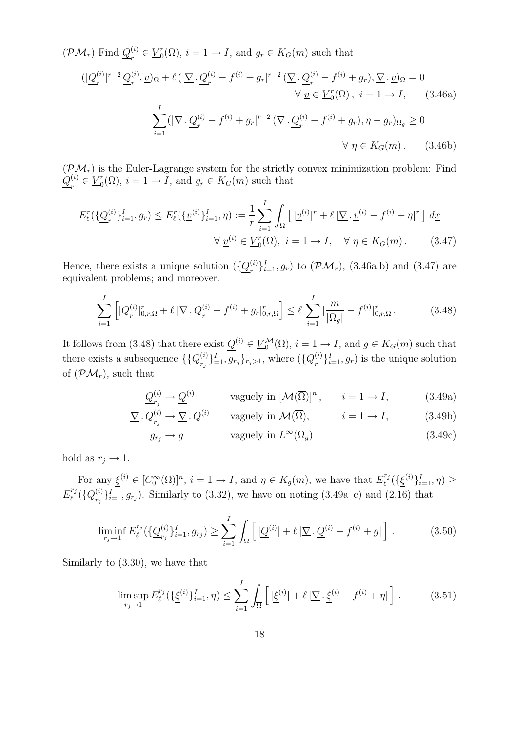$(\mathcal{PM}_r)$  Find  $Q_r^{(i)}$  $r^{(i)} \in \underline{V}_0^r$  $g_0^r(\Omega)$ ,  $i = 1 \rightarrow I$ , and  $g_r \in K_G(m)$  such that

$$
\langle \left| \underline{Q}_r^{(i)} \right|^{r-2} \underline{Q}_r^{(i)}, \underline{v} \rangle_{\Omega} + \ell \left( \left| \nabla \cdot \underline{Q}_r^{(i)} - f^{(i)} + g_r \right|^{r-2} \left( \nabla \cdot \underline{Q}_r^{(i)} - f^{(i)} + g_r \right), \nabla \cdot \underline{v} \rangle_{\Omega} = 0
$$
\n
$$
\forall \underline{v} \in \underline{V}_0^r(\Omega), \ i = 1 \to I, \qquad (3.46a)
$$
\n
$$
\sum_{i=1}^I (|\nabla \cdot \underline{Q}_r^{(i)} - f^{(i)} + g_r|^{r-2} \left( \nabla \cdot \underline{Q}_r^{(i)} - f^{(i)} + g_r \right), \eta - g_r \rangle_{\Omega_g} \ge 0
$$
\n
$$
\forall \eta \in K_G(m). \qquad (3.46b)
$$

 $(\mathcal{PM}_r)$  is the Euler-Lagrange system for the strictly convex minimization problem: Find  $Q^{(i)}_{\scriptscriptstyle\pi}$  $r^{(i)} \in \underline{V}_0^r$  $g_0^r(\Omega)$ ,  $i = 1 \to I$ , and  $g_r \in K_G(m)$  such that

$$
E_{\ell}^{r}(\{\underline{Q}_{r}^{(i)}\}_{i=1}^{I}, g_{r}) \le E_{\ell}^{r}(\{\underline{v}^{(i)}\}_{i=1}^{I}, \eta) := \frac{1}{r} \sum_{i=1}^{I} \int_{\Omega} \left[ |\underline{v}^{(i)}|^{r} + \ell |\nabla \cdot \underline{v}^{(i)} - f^{(i)} + \eta|^{r} \right] d\underline{x} \n\forall \underline{v}^{(i)} \in \underline{V}_{0}^{r}(\Omega), \ i = 1 \to I, \quad \forall \ \eta \in K_{G}(m).
$$
\n(3.47)

Hence, there exists a unique solution  $(\{\mathcal{Q}_r^{(i)}\})$  $\{F_r^{(i)}\}_{i=1}^I, g_r$  to  $(\mathcal{PM}_r)$ ,  $(3.46a,b)$  and  $(3.47)$  are equivalent problems; and moreover,

$$
\sum_{i=1}^{I} \left[ \left| \underline{Q}_r^{(i)} \right|_{0,r,\Omega}^r + \ell \left| \underline{\nabla} \cdot \underline{Q}_r^{(i)} - f^{(i)} + g_r \right|_{0,r,\Omega}^r \right] \le \ell \sum_{i=1}^{I} \left| \frac{m}{|\Omega_g|} - f^{(i)} \right|_{0,r,\Omega}^r. \tag{3.48}
$$

It follows from (3.48) that there exist  $Q^{(i)} \in \underline{V}_0^{\mathcal{M}}(\Omega)$ ,  $i = 1 \to I$ , and  $g \in K_G(m)$  such that there exists a subsequence  $\{\{\underline{Q}_{r_i}^{(i)}\}$  $\{c_i^{(i)}\}_{i=1}^I, g_{r_j}\}_{r_j>1}$ , where  $(\{\underline{Q}_r^{(i)}\}_{r_j})$  $\{e_i^{(i)}\}_{i=1}^I, g_r$  is the unique solution of  $(\mathcal{PM}_r)$ , such that

$$
\underline{Q}_{r_j}^{(i)} \to \underline{Q}^{(i)} \qquad \text{vaguely in } [\mathcal{M}(\overline{\Omega})]^n, \qquad i = 1 \to I,
$$
 (3.49a)

$$
\underline{\nabla} \cdot \underline{Q}_{r_j}^{(i)} \to \underline{\nabla} \cdot \underline{Q}^{(i)} \qquad \text{vaguely in } \mathcal{M}(\overline{\Omega}), \qquad i = 1 \to I,
$$
 (3.49b)

$$
g_{r_j} \to g \qquad \text{vaguely in } L^{\infty}(\Omega_g) \tag{3.49c}
$$

hold as  $r_j \rightarrow 1$ .

For any  $\underline{\xi}^{(i)} \in [C_0^{\infty}(\Omega)]^n$ ,  $i = 1 \to I$ , and  $\eta \in K_g(m)$ , we have that  $E_{\ell}^{r_j}$  $\sum_{\ell}^{r_j}(\{\underline{\xi}^{(i)}\}_{i=1}^I, \eta) \ge$  $E_{\ell}^{r_j}$  $l^{{r_j}}(\{\underline{Q}_{r_i}^{(i)}% ,Q_{r_i}^{(i)}\})$  ${}_{r_j}^{(i)}\}_{i=1}^I, g_{r_j}$ ). Similarly to (3.32), we have on noting (3.49a–c) and (2.16) that

$$
\liminf_{r_j \to 1} E_{\ell}^{r_j}(\{\underline{Q}_{r_j}^{(i)}\}_{i=1}^I, g_{r_j}) \ge \sum_{i=1}^I \int_{\overline{\Omega}} \left[ |\underline{Q}^{(i)}| + \ell \, |\nabla \cdot \underline{Q}^{(i)} - f^{(i)} + g| \right]. \tag{3.50}
$$

Similarly to (3.30), we have that

$$
\limsup_{r_j \to 1} E_{\ell}^{r_j}(\{\underline{\xi}^{(i)}\}_{i=1}^I, \eta) \le \sum_{i=1}^I \int_{\overline{\Omega}} \left[ |\underline{\xi}^{(i)}| + \ell \, |\nabla \cdot \underline{\xi}^{(i)} - f^{(i)} + \eta| \right]. \tag{3.51}
$$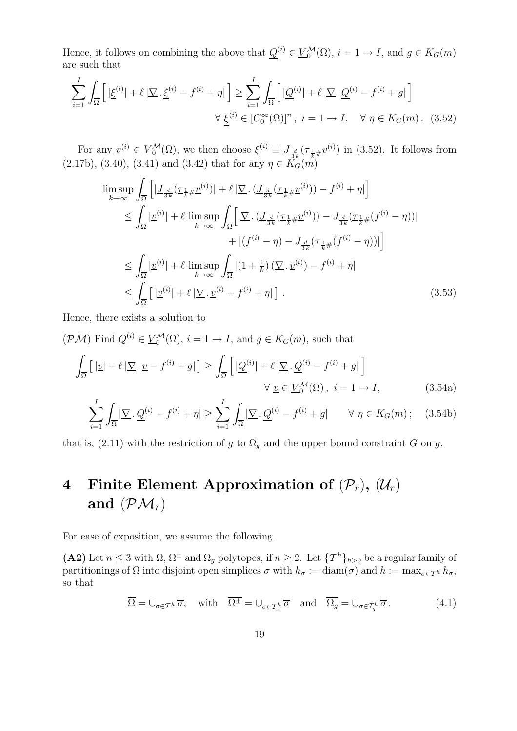Hence, it follows on combining the above that  $Q^{(i)} \in \underline{V}_{0}^{\mathcal{M}}(\Omega)$ ,  $i = 1 \to I$ , and  $g \in K_G(m)$ are such that

$$
\sum_{i=1}^{I} \int_{\overline{\Omega}} \left[ \left| \underline{\xi}^{(i)} \right| + \ell \left| \nabla \cdot \underline{\xi}^{(i)} - f^{(i)} + \eta \right| \right] \ge \sum_{i=1}^{I} \int_{\overline{\Omega}} \left[ \left| \underline{Q}^{(i)} \right| + \ell \left| \nabla \cdot \underline{Q}^{(i)} - f^{(i)} + g \right| \right] \times \underline{\xi}^{(i)} \in [C_0^{\infty}(\Omega)]^n, \ i = 1 \to I, \ \ \forall \ \eta \in K_G(m). \ (3.52)
$$

For any  $\underline{v}^{(i)} \in \underline{V}_{0}^{\mathcal{M}}(\Omega)$ , we then choose  $\underline{\xi}^{(i)} \equiv \underline{J}_{\frac{d}{3k}}(\underline{\tau}_{\frac{1}{k}}\underline{\mu}\underline{v}^{(i)})$  in (3.52). It follows from  $(2.17b), (3.40), (3.41)$  and  $(3.42)$  that for any  $\eta \in K_G(m)$ 

$$
\limsup_{k \to \infty} \int_{\overline{\Omega}} \left[ | \underline{J}_{\frac{d}{3k}} (\underline{\tau}_{\frac{1}{k} \#} \underline{v}^{(i)}) | + \ell | \underline{\nabla} \cdot (\underline{J}_{\frac{d}{3k}} (\underline{\tau}_{\frac{1}{k} \#} \underline{v}^{(i)}) ) - f^{(i)} + \eta | \right]
$$
\n
$$
\leq \int_{\overline{\Omega}} | \underline{v}^{(i)} | + \ell \limsup_{k \to \infty} \int_{\overline{\Omega}} \left[ | \underline{\nabla} \cdot (\underline{J}_{\frac{d}{3k}} (\underline{\tau}_{\frac{1}{k} \#} \underline{v}^{(i)}) ) - J_{\frac{d}{3k}} (\underline{\tau}_{\frac{1}{k} \#} (f^{(i)} - \eta)) | \right]
$$
\n
$$
+ | (f^{(i)} - \eta) - J_{\frac{d}{3k}} (\underline{\tau}_{\frac{1}{k} \#} (f^{(i)} - \eta)) | \right]
$$
\n
$$
\leq \int_{\overline{\Omega}} | \underline{v}^{(i)} | + \ell \limsup_{k \to \infty} \int_{\overline{\Omega}} | (1 + \frac{1}{k}) (\underline{\nabla} \cdot \underline{v}^{(i)}) - f^{(i)} + \eta |
$$
\n
$$
\leq \int_{\overline{\Omega}} \left[ | \underline{v}^{(i)} | + \ell | \underline{\nabla} \cdot \underline{v}^{(i)} - f^{(i)} + \eta | \right] .
$$
\n(3.53)

Hence, there exists a solution to

$$
(\mathcal{PM}) \text{ Find } \underline{Q}^{(i)} \in \underline{V}_0^{\mathcal{M}}(\Omega), \, i = 1 \to I, \text{ and } g \in K_G(m), \text{ such that}
$$
\n
$$
\int_{\overline{\Omega}} \left[ |\underline{v}| + \ell |\nabla \cdot \underline{v} - f^{(i)} + g| \right] \ge \int_{\overline{\Omega}} \left[ |\underline{Q}^{(i)}| + \ell |\nabla \cdot \underline{Q}^{(i)} - f^{(i)} + g| \right]
$$
\n
$$
\forall \, \underline{v} \in \underline{V}_0^{\mathcal{M}}(\Omega), \, i = 1 \to I,
$$
\n(3.54a)

$$
\sum_{i=1}^{I} \int_{\overline{\Omega}} |\nabla \cdot \underline{Q}^{(i)} - f^{(i)} + \eta| \ge \sum_{i=1}^{I} \int_{\overline{\Omega}} |\nabla \cdot \underline{Q}^{(i)} - f^{(i)} + g| \qquad \forall \ \eta \in K_G(m); \quad (3.54b)
$$

that is, (2.11) with the restriction of g to  $\Omega_g$  and the upper bound constraint G on g.

# 4 Finite Element Approximation of  $(\mathcal{P}_r)$ ,  $(\mathcal{U}_r)$ and  $(\mathcal{PM}_r)$

For ease of exposition, we assume the following.

(A2) Let  $n \leq 3$  with  $\Omega$ ,  $\Omega^{\pm}$  and  $\Omega_{g}$  polytopes, if  $n \geq 2$ . Let  $\{T^{h}\}_{h>0}$  be a regular family of partitionings of  $\Omega$  into disjoint open simplices  $\sigma$  with  $h_{\sigma} := \text{diam}(\sigma)$  and  $h := \max_{\sigma \in \mathcal{T}^h} h_{\sigma}$ , so that

$$
\overline{\Omega} = \bigcup_{\sigma \in \mathcal{T}^h} \overline{\sigma}, \quad \text{with} \quad \overline{\Omega^{\pm}} = \bigcup_{\sigma \in \mathcal{T}^h_{\pm}} \overline{\sigma} \quad \text{and} \quad \overline{\Omega_g} = \bigcup_{\sigma \in \mathcal{T}^h_g} \overline{\sigma}. \tag{4.1}
$$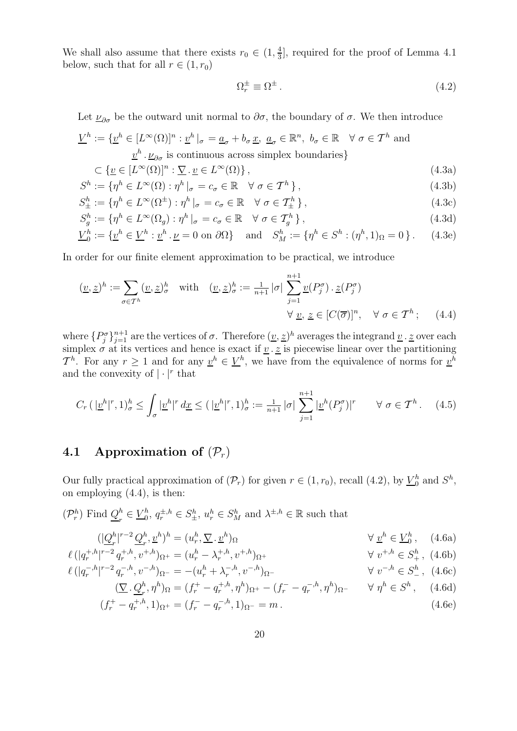We shall also assume that there exists  $r_0 \in (1, \frac{4}{3})$  $\frac{4}{3}$ , required for the proof of Lemma 4.1 below, such that for all  $r \in (1, r_0)$ 

$$
\Omega_r^{\pm} \equiv \Omega^{\pm} \,. \tag{4.2}
$$

Let  $\underline{\nu}_{\partial\sigma}$  be the outward unit normal to  $\partial\sigma$ , the boundary of  $\sigma$ . We then introduce

$$
\underline{V}^h := \{ \underline{v}^h \in [L^{\infty}(\Omega)]^n : \underline{v}^h \mid \sigma = \underline{a}_{\sigma} + b_{\sigma} \underline{x}, \ \underline{a}_{\sigma} \in \mathbb{R}^n, \ b_{\sigma} \in \mathbb{R} \quad \forall \ \sigma \in \mathcal{T}^h \text{ and}
$$
  

$$
\underline{v}^h \cdot \underline{\nu}_{\partial \sigma} \text{ is continuous across simplex boundaries} \}
$$

$$
\subset \{ \underline{v} \in [L^{\infty}(\Omega)]^n : \underline{\nabla} \cdot \underline{v} \in L^{\infty}(\Omega) \},
$$
\n(4.3a)

$$
S^h := \{ \eta^h \in L^\infty(\Omega) : \eta^h \mid_{\sigma} = c_{\sigma} \in \mathbb{R} \quad \forall \ \sigma \in \mathcal{T}^h \}, \tag{4.3b}
$$

$$
S_{\pm}^{h} := \{ \eta^{h} \in L^{\infty}(\Omega^{\pm}) : \eta^{h} \mid_{\sigma} = c_{\sigma} \in \mathbb{R} \quad \forall \ \sigma \in \mathcal{T}_{\pm}^{h} \}, \tag{4.3c}
$$

$$
S_g^h := \{ \eta^h \in L^\infty(\Omega_g) : \eta^h \mid_{\sigma} = c_{\sigma} \in \mathbb{R} \quad \forall \ \sigma \in \mathcal{T}_g^h \},\tag{4.3d}
$$

$$
\underline{V}_0^h := \{ \underline{v}^h \in \underline{V}^h : \underline{v}^h \cdot \underline{\nu} = 0 \text{ on } \partial \Omega \} \quad \text{and} \quad S_M^h := \{ \eta^h \in S^h : (\eta^h, 1)_{\Omega} = 0 \} \,.
$$
 (4.3e)

In order for our finite element approximation to be practical, we introduce

$$
(\underline{v}, \underline{z})^h := \sum_{\sigma \in \mathcal{T}^h} (\underline{v}, \underline{z})^h_{\sigma} \quad \text{with} \quad (\underline{v}, \underline{z})^h_{\sigma} := \frac{1}{n+1} |\sigma| \sum_{j=1}^{n+1} \underline{v}(P_j^{\sigma}) \cdot \underline{z}(P_j^{\sigma})
$$

$$
\forall \underline{v}, \underline{z} \in [C(\overline{\sigma})]^n, \quad \forall \sigma \in \mathcal{T}^h; \tag{4.4}
$$

where  $\{P_j^{\sigma}\}_{j=1}^{n+1}$  are the vertices of  $\sigma$ . Therefore  $(\underline{v}, \underline{z})^h$  averages the integrand  $\underline{v} \cdot \underline{z}$  over each simplex  $\sigma$  at its vertices and hence is exact if <u>v</u>  $\cdot z$  is piecewise linear over the partitioning  $\mathcal{T}^h$ . For any  $r \geq 1$  and for any  $\underline{v}^h \in \underline{V}^h$ , we have from the equivalence of norms for  $\underline{v}^h$ and the convexity of  $|\cdot|^r$  that

$$
C_r \left( \left| \underline{v}^h \right|^r, 1 \right)^h_{\sigma} \le \int_{\sigma} \left| \underline{v}^h \right|^r d\underline{x} \le \left( \left| \underline{v}^h \right|^r, 1 \right)^h_{\sigma} := \frac{1}{n+1} |\sigma| \sum_{j=1}^{n+1} \left| \underline{v}^h (P_j^{\sigma}) \right|^r \quad \forall \sigma \in \mathcal{T}^h. \tag{4.5}
$$

#### 4.1 Approximation of  $(\mathcal{P}_r)$

Our fully practical approximation of  $(\mathcal{P}_r)$  for given  $r \in (1, r_0)$ , recall  $(4.2)$ , by  $\underline{V}_0^h$  $_0^h$  and  $S^h$ , on employing (4.4), is then:

$$
(\mathcal{P}_r^h)
$$
 Find  $\underline{Q}_r^h \in \underline{V}_0^h$ ,  $q_r^{\pm,h} \in S_{\pm}^h$ ,  $u_r^h \in S_M^h$  and  $\lambda^{\pm,h} \in \mathbb{R}$  such that

$$
(|\underline{Q}_r^h|^{r-2}\underline{Q}_r^h, \underline{v}^h)^h = (u_r^h, \underline{\nabla} \cdot \underline{v}^h)_{\Omega} \qquad \forall \underline{v}^h \in \underline{V}_0^h, \quad (4.6a)
$$

$$
\ell(|q_r^{+,h}|^{r-2} q_r^{+,h}, v^{+,h})_{\Omega^+} = (u_r^h - \lambda_r^{+,h}, v^{+,h})_{\Omega^+}
$$
\n
$$
\forall v^{+,h} \in S_+^h, (4.6b)
$$

$$
\ell(|q_r^{-,h}|^{r-2}q_r^{-,h}, v^{-,h})_{\Omega^-} = -(u_r^h + \lambda_r^{-,h}, v^{-,h})_{\Omega^-}
$$
\n
$$
\forall v^{-,h} \in S^h_-, (4.6c)
$$
\n
$$
(\nabla Q^h v^{h})_{\Omega^-} = (f^+ - a^{+,h} v^{h})_{\Omega^-}, (f^- - a^{-,h} v^{h})_{\Omega^-} \qquad \forall v^{h} \in S^h_-, (4.6d)
$$

$$
(\nabla \cdot \underline{Q}_r^h, \eta^h)_{\Omega} = (f_r^+ - q_r^{+,h}, \eta^h)_{\Omega^+} - (f_r^- - q_r^{-,h}, \eta^h)_{\Omega^-} \qquad \forall \ \eta^h \in S^h \,, \tag{4.6d}
$$
  

$$
(f_r^+ - q_r^{+,h}, 1)_{\Omega^+} = (f_r^- - q_r^{-,h}, 1)_{\Omega^-} = m \,.
$$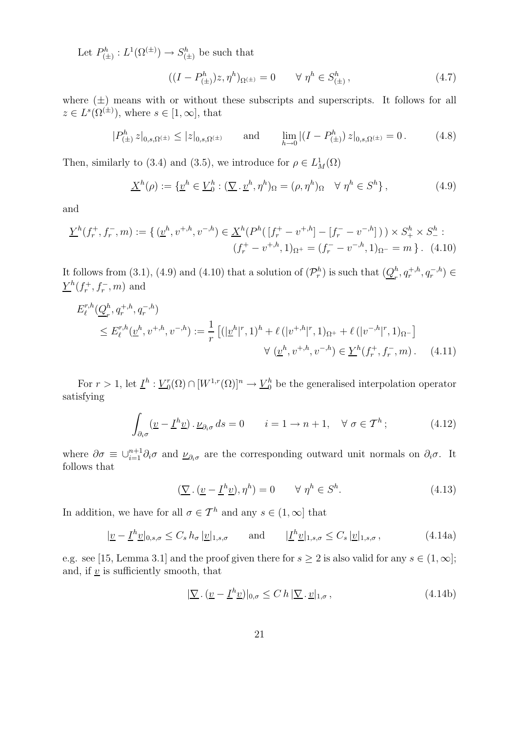Let  $P_{\left(A\right)}^h$  $S^h_{(\pm)} : L^1(\Omega^{(\pm)}) \to S^h_{(\pm)}$  $\binom{h}{\pm}$  be such that

$$
((I - P_{(\pm)}^h)z, \eta^h)_{\Omega^{(\pm)}} = 0 \qquad \forall \ \eta^h \in S_{(\pm)}^h, \tag{4.7}
$$

where  $(\pm)$  means with or without these subscripts and superscripts. It follows for all  $z \in L^s(\Omega^{(\pm)}),$  where  $s \in [1,\infty],$  that

$$
|P_{(\pm)}^{h} z|_{0,s,\Omega^{(\pm)}} \leq |z|_{0,s,\Omega^{(\pm)}} \quad \text{and} \quad \lim_{h \to 0} |(I - P_{(\pm)}^{h}) z|_{0,s,\Omega^{(\pm)}} = 0. \quad (4.8)
$$

Then, similarly to (3.4) and (3.5), we introduce for  $\rho \in L^1_M(\Omega)$ 

$$
\underline{X}^h(\rho) := \{ \underline{v}^h \in \underline{V}_0^h : (\nabla \cdot \underline{v}^h, \eta^h)_{\Omega} = (\rho, \eta^h)_{\Omega} \quad \forall \ \eta^h \in S^h \},\tag{4.9}
$$

and

$$
\underline{Y}^{h}(f_{r}^{+}, f_{r}^{-}, m) := \{ (\underline{v}^{h}, v^{+, h}, v^{-, h}) \in \underline{X}^{h}(P^{h}([f_{r}^{+} - v^{+, h}] - [f_{r}^{-} - v^{-, h}])) \times S_{+}^{h} \times S_{-}^{h} : (f_{r}^{+} - v^{+, h}, 1)_{\Omega^{+}} = (f_{r}^{-} - v^{-, h}, 1)_{\Omega^{-}} = m \}.
$$
 (4.10)

It follows from (3.1), (4.9) and (4.10) that a solution of  $(\mathcal{P}_r^h)$  is such that  $(\underline{Q}_r^h)$  $_{r}^{h}, q_{r}^{+,h}, q_{r}^{-,h}) \in$  $\underline{Y}^h(f_r^+, f_r^-, m)$  and

$$
E_{\ell}^{r,h}(\underline{Q}_r^h, q_r^{+,h}, q_r^{-,h})
$$
  
\n
$$
\leq E_{\ell}^{r,h}(\underline{v}^h, v^{+,h}, v^{-,h}) := \frac{1}{r} \left[ (|{\underline{v}}^h|^r, 1)^h + \ell (|v^{+,h}|^r, 1)_{\Omega^+} + \ell (|v^{-,h}|^r, 1)_{\Omega^-} \right]
$$
  
\n
$$
\forall (\underline{v}^h, v^{+,h}, v^{-,h}) \in \underline{Y}^h(f_r^+, f_r^-, m).
$$
 (4.11)

For  $r > 1$ , let  $\underline{I}^h : \underline{V}_0^r$  $\mathcal{O}_0(\Omega) \cap [W^{1,r}(\Omega)]^n \to \underline{V}_0^h$  be the generalised interpolation operator satisfying

$$
\int_{\partial_i \sigma} (\underline{v} - \underline{I}^h \underline{v}) \cdot \underline{\nu}_{\partial_i \sigma} ds = 0 \qquad i = 1 \to n+1, \quad \forall \sigma \in \mathcal{T}^h; \tag{4.12}
$$

where  $\partial \sigma \equiv \cup_{i=1}^{n+1} \partial_i \sigma$  and  $\underline{\nu}_{\partial_i \sigma}$  are the corresponding outward unit normals on  $\partial_i \sigma$ . It follows that

$$
(\underline{\nabla} \cdot (\underline{v} - \underline{I}^h \underline{v}), \eta^h) = 0 \qquad \forall \ \eta^h \in S^h. \tag{4.13}
$$

In addition, we have for all  $\sigma \in \mathcal{T}^h$  and any  $s \in (1, \infty]$  that

$$
|\underline{v} - \underline{I}^h \underline{v}|_{0,s,\sigma} \le C_s h_\sigma |\underline{v}|_{1,s,\sigma} \quad \text{and} \quad |\underline{I}^h \underline{v}|_{1,s,\sigma} \le C_s |\underline{v}|_{1,s,\sigma}, \tag{4.14a}
$$

e.g. see [15, Lemma 3.1] and the proof given there for  $s \geq 2$  is also valid for any  $s \in (1, \infty]$ ; and, if  $\underline{v}$  is sufficiently smooth, that

$$
|\underline{\nabla} \cdot (\underline{v} - \underline{I}^h \underline{v})|_{0,\sigma} \le C \, h \, |\underline{\nabla} \cdot \underline{v}|_{1,\sigma} \,, \tag{4.14b}
$$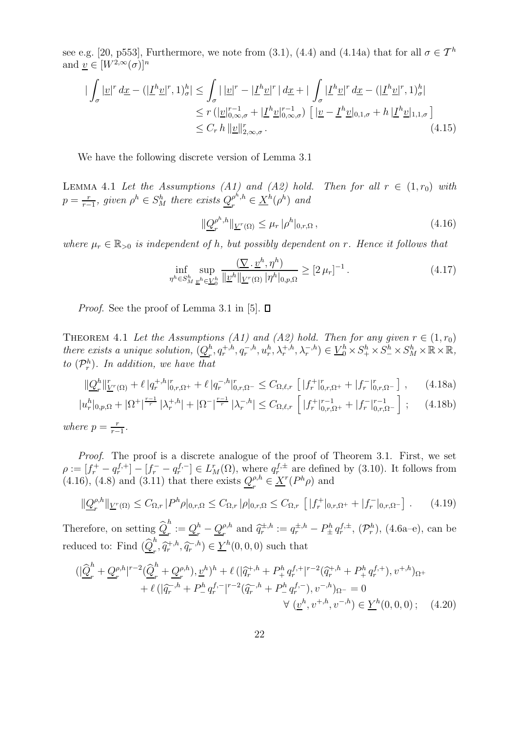see e.g. [20, p553], Furthermore, we note from (3.1), (4.4) and (4.14a) that for all  $\sigma \in \mathcal{T}^h$ and  $v \in [W^{2,\infty}(\sigma)]^n$ 

$$
\begin{split}\n|\int_{\sigma} |\underline{v}|^r \, d\underline{x} - (|\underline{I}^h \underline{v}|^r, 1)_\sigma^h| &\leq \int_{\sigma} |\, |\underline{v}|^r - |\underline{I}^h \underline{v}|^r \, | \, d\underline{x} + |\, \int_{\sigma} |\underline{I}^h \underline{v}|^r \, d\underline{x} - (|\underline{I}^h \underline{v}|^r, 1)_\sigma^h| \\
&\leq r \, (|\underline{v}|_{0,\infty,\sigma}^{r-1} + |\underline{I}^h \underline{v}|_{0,\infty,\sigma}^{r-1}) \, \left[ |\underline{v} - \underline{I}^h \underline{v}|_{0,1,\sigma} + h \, |\underline{I}^h \underline{v}|_{1,1,\sigma} \right] \\
&\leq C_r \, h \, \|\underline{v}\|_{2,\infty,\sigma}^r.\n\end{split} \tag{4.15}
$$

We have the following discrete version of Lemma 3.1

LEMMA 4.1 Let the Assumptions (A1) and (A2) hold. Then for all  $r \in (1,r_0)$  with  $p = \frac{r}{r-1}$  $\frac{r}{r-1}$ , given  $\rho^h \in S_M^h$  there exists  $\underline{Q}_r^{\rho^h,h}$  $e^{h,h}_r \in \underline{X}^h(\rho^h)$  and

$$
\|\underline{Q}_r^{\rho^h,h}\|_{\underline{V}^r(\Omega)} \le \mu_r \, |\rho^h|_{0,r,\Omega} \,,\tag{4.16}
$$

where  $\mu_r \in \mathbb{R}_{>0}$  is independent of h, but possibly dependent on r. Hence it follows that

$$
\inf_{\eta^h \in S_M^h} \sup_{\underline{v}^h \in \underline{V}_0^h} \frac{(\underline{\nabla} \cdot \underline{v}^h, \eta^h)}{\|\underline{v}^h\|_{\underline{V}^r(\Omega)} |\eta^h|_{0,p,\Omega}} \ge [2 \,\mu_r]^{-1} \,. \tag{4.17}
$$

*Proof.* See the proof of Lemma 3.1 in [5].  $\Box$ 

THEOREM 4.1 Let the Assumptions (A1) and (A2) hold. Then for any given  $r \in (1, r_0)$ there exists a unique solution,  $(Q_n^h)$  $\mathcal{L}_r^h, q_r^{+,h}, q_r^{-,h}, u_r^h, \lambda_r^{+,h}, \lambda_r^{-,h}) \in \underline{V}_0^h \times S_+^h \times S_-^h \times S_M^h \times \mathbb{R} \times \mathbb{R}$ to  $(\mathcal{P}_r^h)$ . In addition, we have that

$$
\|\underline{Q}_r^h\|_{\underline{V}^r(\Omega)}^r + \ell |q_r^{+,h}|_{0,r,\Omega^+}^r + \ell |q_r^{-,h}|_{0,r,\Omega^-}^r \le C_{\Omega,\ell,r} \left[|f_r^+|_{0,r,\Omega^+}^r + |f_r^-|_{0,r,\Omega^-}^r\right],\tag{4.18a}
$$

$$
|u_r^h|_{0,p,\Omega} + |\Omega^+|^{\frac{r-1}{r}} |\lambda_r^{+,h}| + |\Omega^-|^{\frac{r-1}{r}} |\lambda_r^{-,h}| \leq C_{\Omega,\ell,r} \left[ |f_r^+|_{0,r,\Omega^+}^{r-1} + |f_r^-|_{0,r,\Omega^-}^{r-1} \right];\tag{4.18b}
$$

where  $p = \frac{r}{r-1}$  $\frac{r}{r-1}$ .

Proof. The proof is a discrete analogue of the proof of Theorem 3.1. First, we set  $\rho := [f_r^+ - q_r^{f,+}] - [f_r^- - q_r^{f,-}] \in L_M^r(\Omega)$ , where  $q_r^{f,\pm}$  are defined by (3.10). It follows from  $(4.16)$ ,  $(4.8)$  and  $(3.11)$  that there exists  $Q_{n}^{\rho,h}$  $r^{p,h}_r \in \underline{X}^r(P^h\rho)$  and

$$
\|\underline{Q}_r^{\rho,h}\|_{\underline{V}^r(\Omega)} \le C_{\Omega,r} |P^h\rho|_{0,r,\Omega} \le C_{\Omega,r} |\rho|_{0,r,\Omega} \le C_{\Omega,r} \left[ |f_r^+|_{0,r,\Omega^+} + |f_r^-|_{0,r,\Omega^-} \right]. \tag{4.19}
$$

Therefore, on setting  $\widehat{\mathcal{Q}}_r^h$  $\frac{n}{r}:=\underline{Q}_r^h$  $\frac{h}{r}-\underline{Q}_{r}^{\rho,h}$  $q_r^{p,h}$  and  $\hat{q}_r^{\pm,h} := q_r^{\pm,h} - P_{\pm}^h q_r^{f,\pm}, (\mathcal{P}_r^h), (4.6a-e),$  can be reduced to: Find  $(\hat{\underline{Q}}_r^h$  $(\hat{q}_r^{\dagger,h}, \hat{q}_r^{\dagger,h}) \in \underline{Y}^h(0,0,0)$  such that

$$
\begin{split} \left( |\widehat{\underline{Q}}_r^h + \underline{Q}_r^{\rho,h} |^{r-2} (\widehat{\underline{Q}}_r^h + \underline{Q}_r^{\rho,h}), \underline{v}^h \right)^h + \ell \left( |\widehat{q}_r^{+,h} + P_+^h q_r^{f,+} |^{r-2} (\widehat{q}_r^{+,h} + P_+^h q_r^{f,+}), v^{+,h} \right)^{r+1} \\ &+ \ell \left( |\widehat{q}_r^{-,h} + P_-^h q_r^{f,-} |^{r-2} (\widehat{q}_r^{-,h} + P_-^h q_r^{f,-}), v^{-,h} \right)^{r-2} = 0 \\ &\forall \ (\underline{v}^h, v^{+,h}, v^{-,h}) \in \underline{Y}^h(0,0,0) \ ; \end{split} \tag{4.20}
$$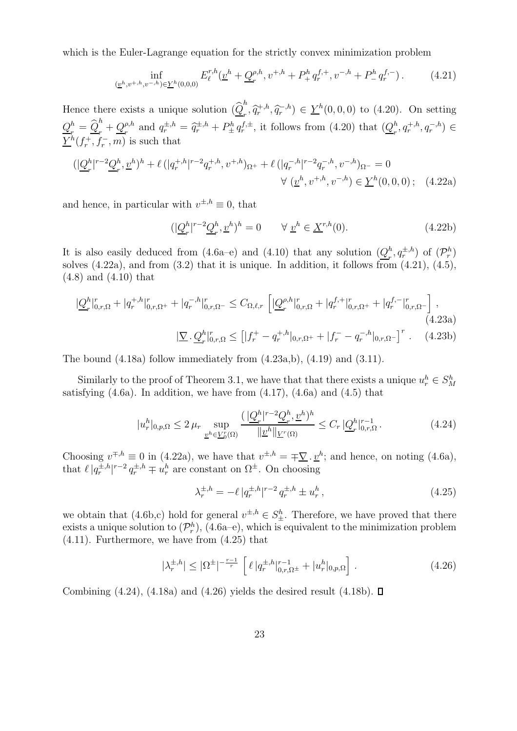which is the Euler-Lagrange equation for the strictly convex minimization problem

$$
\inf_{(\underline{v}^h, v^{+,h}, v^{-,h}) \in \underline{Y}^h(0,0,0)} E_{\ell}^{r,h}(\underline{v}^h + \underline{Q}_r^{\rho,h}, v^{+,h} + P_+^h q_r^{f,+}, v^{-,h} + P_-^h q_r^{f,-}). \tag{4.21}
$$

Hence there exists a unique solution  $(\widehat{Q}_r^h)$  $\left( \sum_{r}^{n} \hat{q}_{r}^{+,h}, \hat{q}_{r}^{-,h} \right) \in \underline{Y}^{h}(0,0,0)$  to (4.20). On setting  $Q_{_{\bmsymbol{v}}}^h$  $\frac{h}{r} = \frac{\widehat{Q}}{r}^h$  $\frac{n}{r}+\underline{Q}_{r}^{\rho,h}$  $r^{p,h}$  and  $q^{\pm,h}_{r} = \hat{q}^{\pm,h}_{r} + P^{h}_{\pm} q^{f,\pm}_{r}$ , it follows from (4.20) that  $(Q_r^h)$  $_{r}^{h}, q_{r}^{+,h}, q_{r}^{-,h}) \in$  $\underline{Y}^h(f_r^+, f_r^-, m)$  is such that

$$
(|\underline{Q}_r^h|^{r-2}\underline{Q}_r^h, \underline{v}^h)^h + \ell (|q_r^{+,h}|^{r-2}q_r^{+,h}, v^{+,h})_{\Omega^+} + \ell (|q_r^{-,h}|^{r-2}q_r^{-,h}, v^{-,h})_{\Omega^-} = 0
$$
  

$$
\forall (\underline{v}^h, v^{+,h}, v^{-,h}) \in \underline{Y}^h(0,0,0); \quad (4.22a)
$$

and hence, in particular with  $v^{\pm,h} \equiv 0$ , that

$$
(|\underline{Q}_r^h|^{r-2}\underline{Q}_r^h, \underline{v}^h)^h = 0 \qquad \forall \underline{v}^h \in \underline{X}^{r,h}(0). \tag{4.22b}
$$

It is also easily deduced from (4.6a–e) and (4.10) that any solution  $(Q_x^h)$  $\binom{h}{r}, q_r^{\pm, h}$  of  $(\mathcal{P}_r^h)$ solves  $(4.22a)$ , and from  $(3.2)$  that it is unique. In addition, it follows from  $(4.21)$ ,  $(4.5)$ , (4.8) and (4.10) that

$$
|\underline{Q}_r^h|_{0,r,\Omega}^r + |q_r^{+,h}|_{0,r,\Omega^+}^r + |q_r^{-,h}|_{0,r,\Omega^-}^r \leq C_{\Omega,\ell,r} \left[ |\underline{Q}_r^{\rho,h}|_{0,r,\Omega}^r + |q_r^{f,+}|_{0,r,\Omega^+}^r + |q_r^{f,-}|_{0,r,\Omega^-}^r \right],
$$
\n
$$
(4.23a)
$$
\n
$$
|\underline{\nabla} \cdot \underline{Q}_r^h|_{0,r,\Omega}^r \leq [|f_r^+ - q_r^{+,h}|_{0,r,\Omega^+} + |f_r^- - q_r^{-,h}|_{0,r,\Omega^-}]^r .
$$
\n
$$
(4.23b)
$$

The bound  $(4.18a)$  follow immediately from  $(4.23a,b)$ ,  $(4.19)$  and  $(3.11)$ .

Similarly to the proof of Theorem 3.1, we have that that there exists a unique  $u_r^h \in S_M^h$ satisfying  $(4.6a)$ . In addition, we have from  $(4.17)$ ,  $(4.6a)$  and  $(4.5)$  that

$$
|u_r^h|_{0,p,\Omega} \le 2 \,\mu_r \, \sup_{\underline{v}^h \in \underline{V}_0^r(\Omega)} \frac{(|\underline{Q}_r^h|^{r-2} \underline{Q}_r^h, \underline{v}^h)^h}{\|\underline{v}^h\|_{\underline{V}^r(\Omega)}} \le C_r \, |\underline{Q}_r^h|_{0,r,\Omega}^{r-1} \,. \tag{4.24}
$$

Choosing  $v^{\mp, h} \equiv 0$  in (4.22a), we have that  $v^{\pm, h} = \mp \nabla \cdot v^h$ ; and hence, on noting (4.6a), that  $\ell | q_r^{\pm,h} |^{r-2} q_r^{\pm,h} \mp u_r^h$  are constant on  $\Omega^{\pm}$ . On choosing

$$
\lambda_r^{\pm, h} = -\ell \, |q_r^{\pm, h}|^{r-2} \, q_r^{\pm, h} \pm u_r^h \,, \tag{4.25}
$$

we obtain that (4.6b,c) hold for general  $v^{\pm,h} \in S^h_{\pm}$ . Therefore, we have proved that there exists a unique solution to  $(\mathcal{P}_r^h)$ ,  $(4.6a-e)$ , which is equivalent to the minimization problem (4.11). Furthermore, we have from (4.25) that

$$
|\lambda_r^{\pm,h}| \le |\Omega^{\pm}|^{-\frac{r-1}{r}} \left[ \ell |q_r^{\pm,h}|_{0,r,\Omega^{\pm}}^{r-1} + |u_r^h|_{0,p,\Omega} \right]. \tag{4.26}
$$

Combining (4.24), (4.18a) and (4.26) yields the desired result (4.18b).  $\square$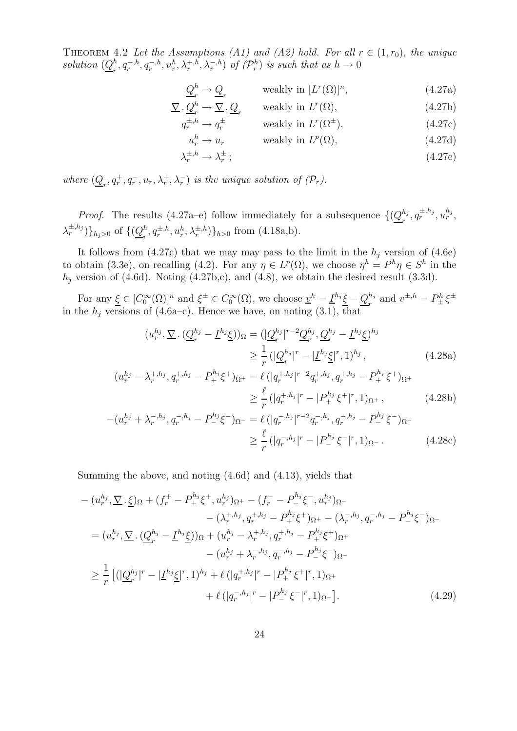THEOREM 4.2 Let the Assumptions (A1) and (A2) hold. For all  $r \in (1, r_0)$ , the unique solution  $(Q_r^h)$  $_n^h, q_r^{+,h}, q_r^{-,h}, u_r^h, \lambda_r^{+,h}, \lambda_r^{-,h})$  of  $(\mathcal{P}_r^h)$  is such that as  $h \to 0$ 

$$
\underline{Q}_r^h \to \underline{Q}_r \qquad \text{ weakly in } [L^r(\Omega)]^n,\tag{4.27a}
$$

$$
\underline{\nabla} \cdot \underline{Q}_r^h \to \underline{\nabla} \cdot \underline{Q}_r \qquad \text{weakly in } L^r(\Omega), \tag{4.27b}
$$

$$
q_r^{\pm, h} \to q_r^{\pm}
$$
 weakly in  $L^r(\Omega^{\pm}),$  (4.27c)

$$
u_r^h \to u_r \qquad \text{ weakly in } L^p(\Omega), \tag{4.27d}
$$

$$
\lambda_r^{\pm,h} \to \lambda_r^{\pm};\tag{4.27e}
$$

where  $(Q_r, q_r^+, q_r^-, u_r, \lambda_r^+, \lambda_r^-)$  is the unique solution of  $(\mathcal{P}_r)$ .

*Proof.* The results (4.27a–e) follow immediately for a subsequence  $\{(\underline{Q}_r^{h_j})\}$  $_{r}^{h_j},q_r^{\pm,h_j},u_r^{h_j},$  $\lambda_r^{\pm,h_j}$ ) $\}_{h_j>0}$  of  $\{(\underline{Q}_r^h)$  $\{h_r^h, q_r^{\pm,h}, u_r^h, \lambda_r^{\pm,h}\}\}_{h>0}$  from (4.18a,b).

It follows from (4.27c) that we may may pass to the limit in the  $h_j$  version of (4.6e) to obtain (3.3e), on recalling (4.2). For any  $\eta \in L^p(\Omega)$ , we choose  $\eta^h = P^h \eta \in S^h$  in the  $h_j$  version of (4.6d). Noting (4.27b,c), and (4.8), we obtain the desired result (3.3d).

For any  $\underline{\xi} \in [C_0^{\infty}(\Omega)]^n$  and  $\xi^{\pm} \in C_0^{\infty}(\Omega)$ , we choose  $\underline{v}^h = \underline{I}^{h_j} \underline{\xi} - \underline{Q}_r^{h_j}$  $r_t^{h_j}$  and  $v^{\pm,h} = P_{\pm}^h \xi^{\pm}$ in the  $h_j$  versions of (4.6a–c). Hence we have, on noting (3.1), that

$$
(u_r^{h_j}, \nabla \cdot (\underline{Q}_r^{h_j} - \underline{I}^{h_j} \underline{\xi}))_{\Omega} = (|\underline{Q}_r^{h_j}|^{r-2} \underline{Q}_r^{h_j}, \underline{Q}_r^{h_j} - \underline{I}^{h_j} \underline{\xi})^{h_j}
$$
  

$$
\geq \frac{1}{r} (|\underline{Q}_r^{h_j}|^r - |\underline{I}^{h_j} \underline{\xi}|^r, 1)^{h_j}, \qquad (4.28a)
$$

$$
(u_r^{h_j} - \lambda_r^{+,h_j}, q_r^{+,h_j} - P_+^{h_j} \xi^+)_{\Omega^+} = \ell (|q_r^{+,h_j}|^{r-2} q_r^{+,h_j}, q_r^{+,h_j} - P_+^{h_j} \xi^+)_{\Omega^+}
$$
  

$$
\geq \frac{\ell}{r} (|q_r^{+,h_j}|^r - |P_+^{h_j} \xi^+|^r, 1)_{\Omega^+},
$$
 (4.28b)

$$
-(u_r^{h_j} + \lambda_r^{-h_j}, q_r^{-h_j} - P_-^{h_j}\xi^-)_{\Omega^-} = \ell(|q_r^{-,h_j}|^{r-2}q_r^{-,h_j}, q_r^{-,h_j} - P_-^{h_j}\xi^-)_{\Omega^-}
$$

$$
\geq \frac{\ell}{r}(|q_r^{-,h_j}|^r - |P_-^{h_j}\xi^-|^r, 1)_{\Omega^-}.
$$
(4.28c)

Summing the above, and noting (4.6d) and (4.13), yields that

$$
-(u_r^{h_j}, \nabla \cdot \xi)_{\Omega} + (f_r^+ - P_+^{h_j} \xi^+, u_r^{h_j})_{\Omega^+} - (f_r^- - P_-^{h_j} \xi^-, u_r^{h_j})_{\Omega^-} - (\lambda_r^{+,h_j}, q_r^{+,h_j} - P_+^{h_j} \xi^+)_{\Omega^+} - (\lambda_r^{-,h_j}, q_r^{-,h_j} - P_-^{h_j} \xi^-)_{\Omega^-} = (u_r^{h_j}, \nabla \cdot (\underline{Q}_r^{h_j} - \underline{I}^{h_j} \xi))_{\Omega} + (u_r^{h_j} - \lambda_r^{+,h_j}, q_r^{+,h_j} - P_+^{h_j} \xi^+)_{\Omega^+} - (u_r^{h_j} + \lambda_r^{-,h_j}, q_r^{-,h_j} - P_-^{h_j} \xi^-)_{\Omega^-} \geq \frac{1}{r} [(|\underline{Q}_r^{h_j}|^r - |\underline{I}^{h_j} \xi|^r, 1)^{h_j} + \ell (|q_r^{+,h_j}|^r - |P_+^{h_j} \xi^+|^r, 1)_{\Omega^+} + \ell (|q_r^{-,h_j}|^r - |P_-^{h_j} \xi^-|^r, 1)_{\Omega^-}]. \tag{4.29}
$$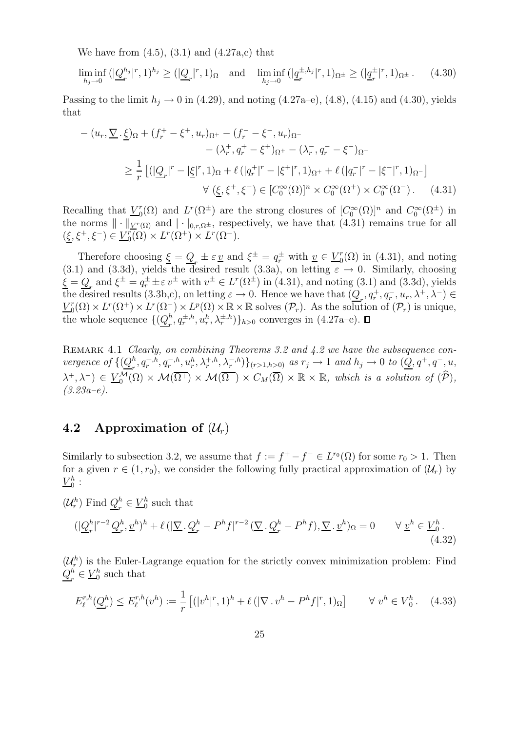We have from  $(4.5)$ ,  $(3.1)$  and  $(4.27a,c)$  that

$$
\liminf_{h_j \to 0} (|\underline{Q}_r^{h_j}|^r, 1)^{h_j} \ge (|\underline{Q}_r|^r, 1)_{\Omega} \text{ and } \liminf_{h_j \to 0} (|\underline{q}_r^{\pm, h_j}|^r, 1)_{\Omega^{\pm}} \ge (|\underline{q}_r^{\pm}|^r, 1)_{\Omega^{\pm}}. \tag{4.30}
$$

Passing to the limit  $h_j \to 0$  in (4.29), and noting (4.27a–e), (4.8), (4.15) and (4.30), yields that

$$
-(u_r, \nabla \cdot \underline{\xi})_{\Omega} + (f_r^+ - \xi^+, u_r)_{\Omega^+} - (f_r^- - \xi^-, u_r)_{\Omega^-} - (\lambda_r^+, q_r^+ - \xi^+)_{\Omega^+} - (\lambda_r^-, q_r^- - \xi^-)_{\Omega^-} \geq \frac{1}{r} \left[ (|\underline{Q}_r|^r - |\underline{\xi}|^r, 1)_{\Omega} + \ell (|q_r^+|^r - |\xi^+|^r, 1)_{\Omega^+} + \ell (|q_r^-|^r - |\xi^-|^r, 1)_{\Omega^-} \right] \forall (\underline{\xi}, \xi^+, \xi^-) \in [C_0^{\infty}(\Omega)]^n \times C_0^{\infty}(\Omega^+) \times C_0^{\infty}(\Omega^-). \tag{4.31}
$$

Recalling that  $V_0^r$  $L^r(\Omega)$  and  $L^r(\Omega^{\pm})$  are the strong closures of  $[C_0^{\infty}(\Omega)]^n$  and  $C_0^{\infty}(\Omega^{\pm})$  in the norms  $\|\cdot\|_{V^r(\Omega)}$  and  $|\cdot|_{0,r,\Omega^{\pm}}$ , respectively, we have that (4.31) remains true for all  $(\underline{\xi}, \xi^+, \xi^-) \in \underline{V}_0^r$  $L^r(\Omega) \times L^r(\Omega^+) \times L^r(\Omega^-).$ 

Therefore choosing  $\underline{\xi} = \underline{Q}_r \pm \varepsilon \underline{v}$  and  $\xi^{\pm} = q_r^{\pm}$  with  $\underline{v} \in \underline{V}_0^r$  $_{0}^{r}(\Omega)$  in (4.31), and noting (3.1) and (3.3d), yields the desired result (3.3a), on letting  $\varepsilon \to 0$ . Similarly, choosing  $\underline{\xi} = \underline{Q}_r$  and  $\xi^{\pm} = q_r^{\pm} \pm \varepsilon v^{\pm}$  with  $v^{\pm} \in L^r(\Omega^{\pm})$  in (4.31), and noting (3.1) and (3.3d), yields the desired results  $(3.3b,c)$ , on letting  $\varepsilon \to 0$ . Hence we have that  $(\underline{Q}_r, q_r^+, q_r^-, u_r, \lambda^+, \lambda^-) \in$  $V_0^r$  $L^r(\Omega) \times L^r(\Omega^+) \times L^r(\Omega^-) \times L^p(\Omega) \times \mathbb{R} \times \mathbb{R}$  solves  $(\mathcal{P}_r)$ . As the solution of  $(\mathcal{P}_r)$  is unique, the whole sequence  $\{(\underline{Q}_{r}^{h}% )_{r}\}_{r}^{r}$  $_{r}^{h}$ ,  $q_{r}^{\pm,h}$ ,  $u_{r}^{h}$ ,  $\lambda_{r}^{\pm,h}$  } $_{h>0}$  converges in (4.27a-e).

REMARK 4.1 Clearly, on combining Theorems 3.2 and 4.2 we have the subsequence convergence of  $\{(\underline{Q}_{r}^{h}% ,\underline{Q}_{r}^{h}(\theta_{r}^{h})\mid r\in\mathbb{N}_{0};r\in\mathbb{N}_{0};r\in\mathbb{N}_{0};r\in\mathbb{N}_{0};r\in\mathbb{N}_{0}\}$  $\{f^{h}_{r}, q^{+,h}_{r}, q^{-,h}_{r}, u^{h}_{r}, \lambda^{+,h}_{r}, \lambda^{-,h}_{r}\}\}_{(r>1,h>0)}$  as  $r_{j} \to 1$  and  $h_{j} \to 0$  to  $(\underline{Q}, q^{+}, q^{-}, u, \lambda^{h}_{r}, \lambda^{-,h}_{r}, \lambda^{-,h}_{r})\}_{(r>1,h>0)}$  $(\lambda^+, \lambda^-) \in \underline{V}_0^{\mathcal{M}}(\Omega) \times \mathcal{M}(\overline{\Omega^+}) \times \mathcal{M}(\overline{\Omega^-}) \times C_M(\overline{\Omega}) \times \mathbb{R} \times \mathbb{R}$ , which is a solution of  $(\widehat{\mathcal{P}})$ ,  $(3.23a-e).$ 

#### 4.2 Approximation of  $(\mathcal{U}_r)$

Similarly to subsection 3.2, we assume that  $f := f^+ - f^- \in L^{r_0}(\Omega)$  for some  $r_0 > 1$ . Then for a given  $r \in (1, r_0)$ , we consider the following fully practical approximation of  $(\mathcal{U}_r)$  by  $V^h_{\rm 0}$  $\begin{array}{c} h \\ 0 \end{array}$ :

 $(\mathcal{U}_r^h)$  Find  $\underline{\mathcal{Q}}_r^h$  $\frac{h}{r} \in \underline{V}_0^h$  $\frac{h}{0}$  such that

$$
(|\underline{Q}_r^h|^{r-2}\underline{Q}_r^h, \underline{v}^h)^h + \ell (|\underline{\nabla} \cdot \underline{Q}_r^h - P^h f|^{r-2} (\underline{\nabla} \cdot \underline{Q}_r^h - P^h f), \underline{\nabla} \cdot \underline{v}^h)_{\Omega} = 0 \qquad \forall \underline{v}^h \in \underline{V}_0^h. \tag{4.32}
$$

 $(\mathcal{U}_r^h)$  is the Euler-Lagrange equation for the strictly convex minimization problem: Find  $Q_{_{\bmsymbol{r}}}^h$  $\frac{h}{r} \in \underline{V}_0^h$  $_0<sup>h</sup>$  such that

$$
E_{\ell}^{r,h}(\underline{Q}_r^h) \le E_{\ell}^{r,h}(\underline{v}^h) := \frac{1}{r} \left[ (|\underline{v}^h|^r, 1)^h + \ell \left( (\underline{\nabla} \cdot \underline{v}^h - P^h f|^r, 1)_{\Omega} \right] \qquad \forall \underline{v}^h \in \underline{V}_0^h. \tag{4.33}
$$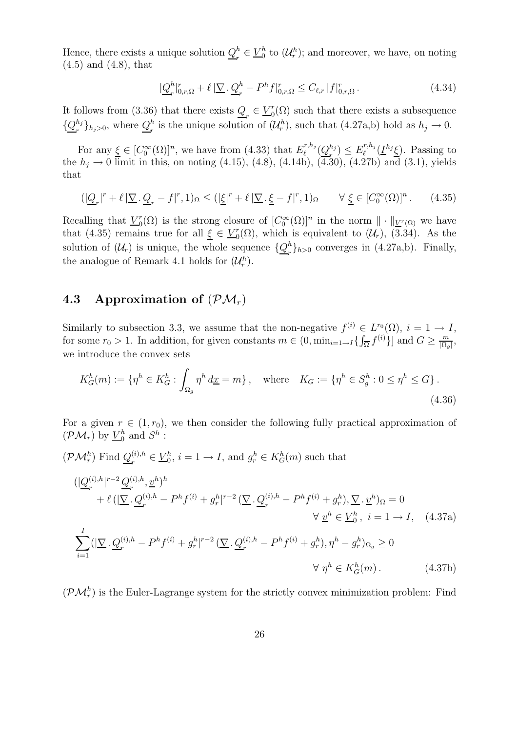Hence, there exists a unique solution  $Q^h_{\mu}$  $\frac{h}{r} \in \underline{V}_0^h$  $\mathfrak{b}_0^h$  to  $(\mathcal{U}_r^h)$ ; and moreover, we have, on noting (4.5) and (4.8), that

$$
|\underline{Q}_r^h|_{0,r,\Omega}^r + \ell |\underline{\nabla} \cdot \underline{Q}_r^h - P^h f|_{0,r,\Omega}^r \le C_{\ell,r} |f|_{0,r,\Omega}^r. \tag{4.34}
$$

It follows from (3.36) that there exists  $Q_r \in \underline{V}_0^r$  $_{0}^{r}(\Omega)$  such that there exists a subsequence  $\{\underline{Q}^{h_j}_r$  $\{h_j\}_{h_j>0}$ , where  $Q_r^h$  $_n^h$  is the unique solution of  $(\mathcal{U}_r^h)$ , such that  $(4.27a,b)$  hold as  $h_j \to 0$ .

For any  $\underline{\xi} \in [C_0^{\infty}(\Omega)]^n$ , we have from (4.33) that  $E_{\ell}^{r,h_j}$  $\ell^{r,h_j}(\underline{Q}_r^{h_j})$  $\binom{h_j}{r} \leq E_{\ell}^{r,h_j}$  $\ell^{r,h_j}(\underline{I}^{h_j}\underline{\xi})$ . Passing to the  $h_j \to 0$  limit in this, on noting (4.15), (4.8), (4.14b), (4.30), (4.27b) and (3.1), yields that

$$
(|\underline{Q}_r|^r + \ell |\underline{\nabla} \cdot \underline{Q}_r - f|^r, 1)_{\Omega} \le (|\underline{\xi}|^r + \ell |\underline{\nabla} \cdot \underline{\xi} - f|^r, 1)_{\Omega} \qquad \forall \underline{\xi} \in [C_0^{\infty}(\Omega)]^n. \tag{4.35}
$$

Recalling that  $V_0^r$  $\mathcal{O}_0(\Omega)$  is the strong closure of  $[C_0^{\infty}(\Omega)]^n$  in the norm  $\|\cdot\|_{L^r(\Omega)}$  we have that (4.35) remains true for all  $\underline{\xi} \in \underline{V}_0^r$  $C_0^r(\Omega)$ , which is equivalent to  $(\mathcal{U}_r)$ , (3.34). As the solution of  $(\mathcal{U}_r)$  is unique, the whole sequence  $\{Q_r^h\}$  ${}_{r}^{h}$ <sub>h>0</sub> converges in (4.27a,b). Finally, the analogue of Remark 4.1 holds for  $(\mathcal{U}_r^h)$ .

### 4.3 Approximation of  $(\mathcal{PM}_r)$

Similarly to subsection 3.3, we assume that the non-negative  $f^{(i)} \in L^{r_0}(\Omega)$ ,  $i = 1 \to I$ , for some  $r_0 > 1$ . In addition, for given constants  $m \in (0, \min_{i=1 \to I} \{\int_{\overline{\Omega}} f^{(i)}\}]$  and  $G \ge \frac{m}{|\Omega_{\varsigma}|}$  $\frac{m}{|\Omega_g|},$ we introduce the convex sets

$$
K_G^h(m) := \{ \eta^h \in K_G^h : \int_{\Omega_g} \eta^h \, d\underline{x} = m \}, \quad \text{where} \quad K_G := \{ \eta^h \in S_g^h : 0 \le \eta^h \le G \} \, .
$$
\n
$$
(4.36)
$$

For a given  $r \in (1, r_0)$ , we then consider the following fully practical approximation of  $(\mathcal{PM}_r)$  by  $\underline{V}_0^h$  $_0^h$  and  $S^h$  :

 $(\mathcal{PM}_r^h)$  Find  $\underline{Q}_r^{(i),h}$  $r^{(i),h}_r \in \underline{V}_0^h$  $b_0^h$ ,  $i = 1 \rightarrow I$ , and  $g_r^h \in K_G^h(m)$  such that  $(|\underline{Q}^{(i),h}_r$  $\int_r^{(i),h}$ | $r^{-2} \frac{Q_r^{(i),h}}{r}$  $(\stackrel{(i)}{r},\stackrel{(i)}{u})^h$  $+ \ell ( \vert \underline{\nabla} \cdot \underline{Q}^{(i),h}_r - P^h f^{(i)} + g^h_r \vert^{r-2} \left( \underline{\nabla} \cdot \underline{Q}^{(i),h}_r - P^h f^{(i)} + g^h_r \right), \underline{\nabla} \cdot \underline{v}^h \rangle_{\Omega} = 0$  $\forall \underline{v}^h \in \underline{V}_0^h$  $j_0^n, i = 1 \rightarrow I, (4.37a)$  $\sum$  $i=1$  $(|\underline{\nabla} \cdot \underline{Q}_r^{(i),h} - P^h f^{(i)} + g_r^h|^{r-2} (\underline{\nabla} \cdot \underline{Q}_r^{(i),h} - P^h f^{(i)} + g_r^h), \eta^h - g_r^h)_{\Omega_g} \geq 0$  $\forall \eta^h \in K_G^h(m).$  (4.37b)

 $(\mathcal{PM}_r^h)$  is the Euler-Lagrange system for the strictly convex minimization problem: Find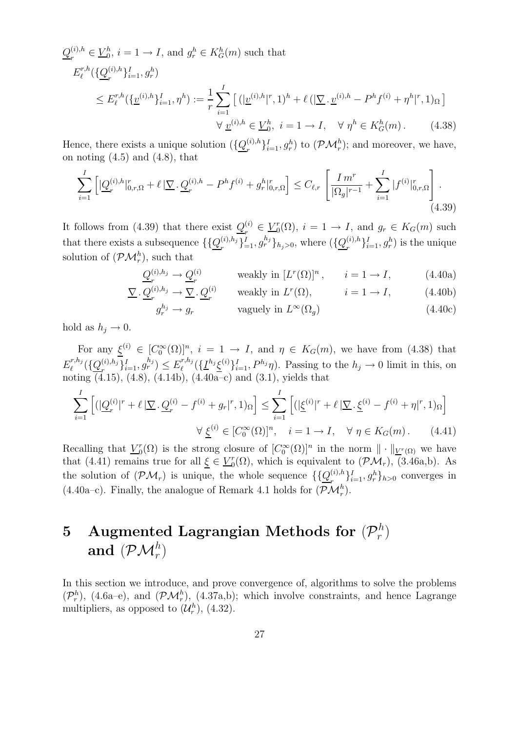$$
Q_r^{(i),h} \in \underline{V}_0^h, i = 1 \to I, \text{ and } g_r^h \in K_G^h(m) \text{ such that}
$$
  
\n
$$
E_\ell^{r,h}(\{\underline{Q}_r^{(i),h}\}_{i=1}^I, g_r^h)
$$
  
\n
$$
\leq E_\ell^{r,h}(\{\underline{v}^{(i),h}\}_{i=1}^I, \eta^h) := \frac{1}{r} \sum_{i=1}^I \left[ (|\underline{v}^{(i),h}|^r, 1)^h + \ell (|\underline{\nabla} \cdot \underline{v}^{(i),h} - P^h f^{(i)} + \eta^h|^r, 1)_\Omega \right]
$$
  
\n
$$
\forall \underline{v}^{(i),h} \in \underline{V}_0^h, i = 1 \to I, \quad \forall \eta^h \in K_G^h(m).
$$
\n(4.38)

Hence, there exists a unique solution  $(\{\mathcal{Q}_r^{(i),h}\})$  $\{f^{(i),h}_{r}\}_{i=1}^{I}, g^{h}_{r}$  to  $(\mathcal{PM}^{h}_{r})$ ; and moreover, we have, on noting  $(4.5)$  and  $(4.8)$ , that

$$
\sum_{i=1}^{I} \left[ \left| \underline{Q}_r^{(i),h} \right|_{0,r,\Omega}^r + \ell \left| \nabla \cdot \underline{Q}_r^{(i),h} - P^h f^{(i)} + g_r^h \right|_{0,r,\Omega}^r \right] \le C_{\ell,r} \left[ \frac{I \, m^r}{|\Omega_g|^{r-1}} + \sum_{i=1}^{I} |f^{(i)}|_{0,r,\Omega}^r \right]. \tag{4.39}
$$

It follows from (4.39) that there exist  $Q_{n}^{(i)}$  $r^{(i)} \in \underline{V}_0^r$  $g_0^r(\Omega)$ ,  $i = 1 \rightarrow I$ , and  $g_r \in K_G(m)$  such that there exists a subsequence  $\{\{\underline{Q}_r^{(i),h_j}\}$  $\{a_r^{(i),h_j}\}_{i=1}^I, g_r^{h_j}\}_{h_j>0}$ , where  $(\{\underline{Q}_r^{(i),h_j}\}_{j=1}^I, \{\underline{Q}_r^{(i),h_j}\}_{j=1}^I)$  $\{e^{(i),h}\}_{i=1}^I, g^h_r$  is the unique solution of  $(\mathcal{PM}_r^h)$ , such that

$$
\underline{Q}_r^{(i),h_j} \to \underline{Q}_r^{(i)} \qquad \text{ weakly in } [L^r(\Omega)]^n, \qquad i = 1 \to I,
$$
 (4.40a)

$$
\underline{\nabla} \cdot \underline{Q}_r^{(i),h_j} \to \underline{\nabla} \cdot \underline{Q}_r^{(i)} \qquad \text{weakly in } L^r(\Omega), \qquad i = 1 \to I,
$$
 (4.40b)

$$
g_r^{h_j} \to g_r \qquad \text{vaguely in } L^\infty(\Omega_g) \tag{4.40c}
$$

hold as  $h_i \rightarrow 0$ .

For any  $\underline{\xi}^{(i)} \in [C_0^{\infty}(\Omega)]^n$ ,  $i = 1 \to I$ , and  $\eta \in K_G(m)$ , we have from (4.38) that  $E^{r,h_j}_\ell$  $\ell^{r,h_j}(\{\underline{Q}^{(i),h_j}_r$  $\{f^{(i),h_j}_{r}\}_{i=1}^I, g^{h_j}_{r} \leq E^{r,h_j}_{\ell}$  $\ell^{r,h_j}(\{\underline{I}^{h_j}\underline{\xi}^{(i)}\}_{i=1}^I, P^{h_j}\eta)$ . Passing to the  $h_j \to 0$  limit in this, on noting (4.15), (4.8), (4.14b), (4.40a–c) and (3.1), yields that

$$
\sum_{i=1}^{I} \left[ (|\underline{Q}_r^{(i)}|^r + \ell | \underline{\nabla} \cdot \underline{Q}_r^{(i)} - f^{(i)} + g_r |^r, 1) \Omega \right] \le \sum_{i=1}^{I} \left[ (|\underline{\xi}^{(i)}|^r + \ell | \underline{\nabla} \cdot \underline{\xi}^{(i)} - f^{(i)} + \eta |^r, 1) \Omega \right]
$$

$$
\forall \underline{\xi}^{(i)} \in [C_0^{\infty}(\Omega)]^n, \quad i = 1 \to I, \quad \forall \eta \in K_G(m). \tag{4.41}
$$

Recalling that  $V_0^r$  $\mathcal{O}_0(\Omega)$  is the strong closure of  $[C_0^{\infty}(\Omega)]^n$  in the norm  $\|\cdot\|_{\underline{V}^r(\Omega)}$  we have that (4.41) remains true for all  $\underline{\xi} \in \underline{V}_0^r$  $C_0^r(\Omega)$ , which is equivalent to  $(\mathcal{PM}_r)$ ,  $(3.46a,b)$ . As the solution of  $(\mathcal{PM}_r)$  is unique, the whole sequence  $\{\{\mathcal{Q}_r^{(i),h}\}\}$  $\{a_i^{(i),h}\}_{i=1}^I, g_r^h\}_{h>0}$  converges in (4.40a–c). Finally, the analogue of Remark 4.1 holds for  $(\mathcal{PM}_r^h)$ .

#### $5$  Augmented Lagrangian Methods for  $(\mathcal{P}_r^h)$  $\binom{n}{r}$ and  $(\mathcal{PM}_r^h)$

In this section we introduce, and prove convergence of, algorithms to solve the problems  $(\mathcal{P}_r^h)$ , (4.6a–e), and  $(\mathcal{PM}_r^h)$ , (4.37a,b); which involve constraints, and hence Lagrange multipliers, as opposed to  $(\mathcal{U}_r^h)$ , (4.32).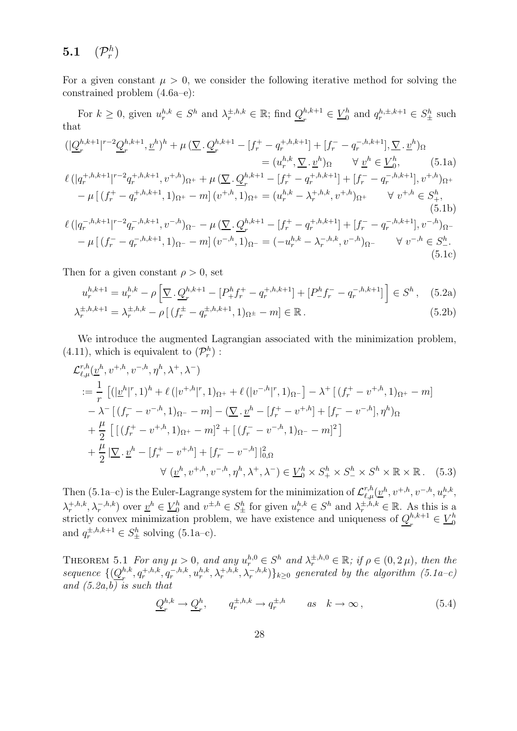#### $5.1$ h  $\binom{n}{r}$

For a given constant  $\mu > 0$ , we consider the following iterative method for solving the constrained problem (4.6a–e):

For  $k \geq 0$ , given  $u_r^{h,k} \in S^h$  and  $\lambda_r^{\pm, h,k} \in \mathbb{R}$ ; find  $\underline{Q}_r^{h,k+1}$  $e^{h,k+1} \in \underline{V}_0^h$  and  $q_r^{h,\pm,k+1} \in S_\pm^h$  such that

$$
\begin{split}\n& (\vert \underline{Q}_{r}^{h,k+1} \vert^{r-2} \underline{Q}_{r}^{h,k+1}, \underline{v}^{h})^{h} + \mu \left( \underline{\nabla} \cdot \underline{Q}_{r}^{h,k+1} - [f_{r}^{+} - q_{r}^{+h,k+1}] + [f_{r}^{-} - q_{r}^{-h,k+1}], \underline{\nabla} \cdot \underline{v}^{h} \right)_{\Omega} \\
& = (u_{r}^{h,k}, \underline{\nabla} \cdot \underline{v}^{h})_{\Omega} \qquad \forall \underline{v}^{h} \in \underline{V}_{0}^{h}, \qquad (5.1a) \\
\ell \left( \vert q_{r}^{+h,k+1} \vert^{r-2} q_{r}^{+h,k+1}, v^{+h} \right)_{\Omega^{+}} + \mu \left( \underline{\nabla} \cdot \underline{Q}_{r}^{h,k+1} - [f_{r}^{+} - q_{r}^{+h,k+1}] + [f_{r}^{-} - q_{r}^{-h,k+1}], v^{+h} \right)_{\Omega^{+}} \\
&- \mu \left[ (f_{r}^{+} - q_{r}^{+h,k+1}, 1)_{\Omega^{+}} - m \right] (v^{+h}, 1)_{\Omega^{+}} = (u_{r}^{h,k} - \lambda_{r}^{+h,k}, v^{+h})_{\Omega^{+}} \qquad \forall \ v^{+h} \in S_{+}^{h}, \\
& (5.1b) \\
\ell \left( \vert q_{r}^{-,h,k+1} \vert^{r-2} q_{r}^{-,h,k+1}, v^{-,h} \right)_{\Omega^{-}} - \mu \left( \underline{\nabla} \cdot \underline{Q}_{r}^{h,k+1} - [f_{r}^{+} - q_{r}^{+h,k+1}] + [f_{r}^{-} - q_{r}^{-,h,k+1}], v^{-,h} \right)_{\Omega^{-}} \\
&- \mu \left[ (f_{r}^{-} - q_{r}^{-,h,k+1}, 1)_{\Omega^{-}} - m \right] (v^{-,h}, 1)_{\Omega^{-}} = (-u_{r}^{h,k} - \lambda_{r}^{-,h,k}, v^{-,h})_{\Omega^{-}} \qquad \forall \ v^{-,h} \in S_{-}^{h}.\n\end{split} \tag{5.1c}
$$

Then for a given constant  $\rho > 0$ , set

$$
u_r^{h,k+1} = u_r^{h,k} - \rho \left[ \nabla \cdot \underline{Q}_r^{h,k+1} - [P_+^h f_r^+ - q_r^{+,h,k+1}] + [P_-^h f_r^- - q_r^{-,h,k+1}] \right] \in S^h \,, \tag{5.2a}
$$

$$
\lambda_r^{\pm, h, k+1} = \lambda_r^{\pm, h, k} - \rho \left[ (f_r^{\pm} - q_r^{\pm, h, k+1}, 1)_{\Omega^{\pm}} - m \right] \in \mathbb{R} \,. \tag{5.2b}
$$

We introduce the augmented Lagrangian associated with the minimization problem,  $(4.11)$ , which is equivalent to  $(\mathcal{P}_r^h)$  :

$$
\mathcal{L}_{\ell,\mu}^{r,h}(\underline{v}^{h},v^{+,h},v^{-,h},\eta^{h},\lambda^{+},\lambda^{-})
$$
  
\n
$$
:=\frac{1}{r}\left[ (|\underline{v}^{h}|^{r},1)^{h} + \ell (|v^{+,h}|^{r},1)_{\Omega^{+}} + \ell (|v^{-,h}|^{r},1)_{\Omega^{-}} \right] - \lambda^{+} \left[ (f_{r}^{+} - v^{+,h},1)_{\Omega^{+}} - m \right]
$$
  
\n
$$
- \lambda^{-} \left[ (f_{r}^{-} - v^{-,h},1)_{\Omega^{-}} - m \right] - (\underline{\nabla} \cdot \underline{v}^{h} - [f_{r}^{+} - v^{+,h}] + [f_{r}^{-} - v^{-,h}],\eta^{h})_{\Omega}
$$
  
\n
$$
+ \frac{\mu}{2} \left[ \left[ (f_{r}^{+} - v^{+,h},1)_{\Omega^{+}} - m \right]^{2} + \left[ (f_{r}^{-} - v^{-,h},1)_{\Omega^{-}} - m \right]^{2} \right]
$$
  
\n
$$
+ \frac{\mu}{2} |\underline{\nabla} \cdot \underline{v}^{h} - [f_{r}^{+} - v^{+,h}] + [f_{r}^{-} - v^{-,h}]|_{0,\Omega}^{2}
$$
  
\n
$$
\forall (\underline{v}^{h},v^{+,h},v^{-,h},\eta^{h},\lambda^{+},\lambda^{-}) \in \underline{V}_{0}^{h} \times S_{+}^{h} \times S_{-}^{h} \times S_{-}^{h} \times \mathbb{R} \times \mathbb{R}. \quad (5.3)
$$

Then (5.1a–c) is the Euler-Lagrange system for the minimization of  $\mathcal{L}_{\ell,\mu}^{r,h}(\underline{v}^h, v^{+,h}, v^{-,h}, u_r^{h,k}, \underline{v}^{h,k})$  $\lambda_r^{+,h,k}, \lambda_r^{-,h,k}$  over  $\underline{v}^h \in \underline{V}_0^h$ h and  $v^{\pm,h} \in S^h_{\pm}$  for given  $u_r^{h,k} \in S^h$  and  $\lambda_r^{\pm,h,k} \in \mathbb{R}$ . As this is a strictly convex minimization problem, we have existence and uniqueness of  $Q_{n}^{h,k+1}$  $e^{h,k+1}_r \in \underline{V}_0^h$ 0 and  $q_r^{\pm,h,k+1} \in S_{\pm}^h$  solving (5.1a-c).

THEOREM 5.1 For any  $\mu > 0$ , and any  $u_r^{h,0} \in S^h$  and  $\lambda_r^{\pm, h,0} \in \mathbb{R}$ ; if  $\rho \in (0, 2\mu)$ , then the sequence  $\{(\mathcal{Q}^{h,k}_r)$  $\{a_r^{h,k},q_r^{+,h,k},q_r^{-,h,k},u_r^{h,k},\lambda_r^{+,h,k},\lambda_r^{-,h,k})\}_{k\geq 0}$  generated by the algorithm  $(5.1a-c)$ and  $(5.2a,b)$  is such that

$$
\underline{Q}_r^{h,k} \to \underline{Q}_r^h, \qquad q_r^{\pm,h,k} \to q_r^{\pm,h} \qquad \text{as} \quad k \to \infty \,, \tag{5.4}
$$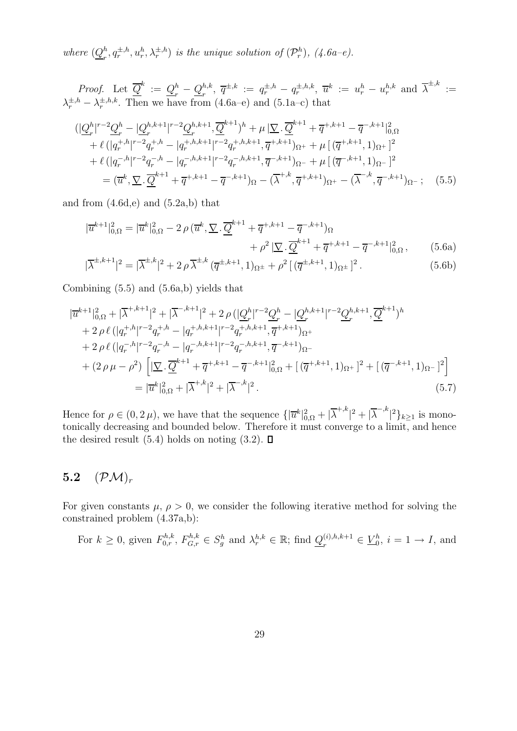where  $(Q_n^h)$  $_{r}^{h}, q_{r}^{\pm,h}, u_{r}^{h}, \lambda_{r}^{\pm,h}$  is the unique solution of  $(\mathcal{P}_{r}^{h}),$   $(4.6a-e).$ 

*Proof.* Let 
$$
\overline{Q}^k := Q_r^h - Q_r^{h,k}, \overline{q}^{\pm,k} := q_r^{\pm,h} - q_r^{\pm,h,k}, \overline{u}^k := u_r^h - u_r^{h,k}
$$
 and  $\overline{\lambda}^{\pm,k} := \lambda_r^{\pm,h,k}$ . Then we have from (4.6a-e) and (5.1a-c) that

$$
\begin{split}\n&\left(|\underline{Q}_{r}^{h}|^{r-2}\underline{Q}_{r}^{h}-|\underline{Q}_{r}^{h,k+1}|^{r-2}\underline{Q}_{r}^{h,k+1},\overline{\underline{Q}}^{k+1}\right)^{h}+\mu\left|\underline{\nabla}\cdot\overline{\underline{Q}}^{k+1}+\overline{q}^{+,k+1}-\overline{q}^{-,k+1}\right|_{0,\Omega}^{2} \\
&+\ell\left(|q_{r}^{+,h}|^{r-2}q_{r}^{+,h}-|q_{r}^{+,h,k+1}|^{r-2}q_{r}^{+,h,k+1},\overline{q}^{+,k+1}\right)_{\Omega^{+}}+\mu\left[(\overline{q}^{+,k+1},1)_{\Omega^{+}}\right]^{2} \\
&+\ell\left(|q_{r}^{-,h}|^{r-2}q_{r}^{-,h}-|q_{r}^{-,h,k+1}|^{r-2}q_{r}^{-,h,k+1},\overline{q}^{-,k+1}\right)_{\Omega^{-}}+\mu\left[(\overline{q}^{-,k+1},1)_{\Omega^{-}}\right]^{2} \\
&=(\overline{u}^{k},\underline{\nabla}\cdot\overline{\underline{Q}}^{k+1}+\overline{q}^{+,k+1}-\overline{q}^{-,k+1}\right)_{\Omega}-(\overline{\lambda}^{+,k},\overline{q}^{+,k+1})_{\Omega^{+}}-(\overline{\lambda}^{-,k},\overline{q}^{-,k+1})_{\Omega^{-}};\n\end{split} \tag{5.5}
$$

and from  $(4.6d,e)$  and  $(5.2a,b)$  that

$$
|\overline{u}^{k+1}|_{0,\Omega}^2 = |\overline{u}^k|_{0,\Omega}^2 - 2\rho(\overline{u}^k, \underline{\nabla} \cdot \underline{\overline{Q}}^{k+1} + \overline{q}^{+,k+1} - \overline{q}^{-,k+1})_{\Omega} + \rho^2 |\underline{\nabla} \cdot \underline{\overline{Q}}^{k+1} + \overline{q}^{+,k+1} - \overline{q}^{-,k+1}|_{0,\Omega}^2, \qquad (5.6a)
$$

$$
|\overline{\lambda}^{\pm,k+1}|^2 = |\overline{\lambda}^{\pm,k}|^2 + 2\rho \overline{\lambda}^{\pm,k} (\overline{q}^{\pm,k+1},1)_{\Omega^{\pm}} + \rho^2 [(\overline{q}^{\pm,k+1},1)_{\Omega^{\pm}}]^2.
$$
 (5.6b)

Combining (5.5) and (5.6a,b) yields that

$$
|\overline{u}^{k+1}|_{0,\Omega}^{2} + |\overline{\lambda}^{+,k+1}|^{2} + |\overline{\lambda}^{-,k+1}|^{2} + 2\rho \left(|\underline{Q}_{r}^{h}|^{r-2}\underline{Q}_{r}^{h} - |\underline{Q}_{r}^{h,k+1}|^{r-2}\underline{Q}_{r}^{h,k+1}, \overline{\underline{Q}}^{k+1}\right)^{h}
$$
  
+ 2\rho \ell \left(|q\_{r}^{+,h}|^{r-2}q\_{r}^{+,h} - |q\_{r}^{+,h,k+1}|^{r-2}q\_{r}^{+,h,k+1}, \overline{q}^{+,k+1}\right)\_{\Omega^{+}}  
+ 2\rho \ell \left(|q\_{r}^{-,h}|^{r-2}q\_{r}^{-,h} - |q\_{r}^{-,h,k+1}|^{r-2}q\_{r}^{-,h,k+1}, \overline{q}^{-,k+1}\right)\_{\Omega^{-}}  
+ (2\rho \mu - \rho^{2})\left[|\underline{\nabla} \cdot \overline{\underline{Q}}^{k+1} + \overline{q}^{+,k+1} - \overline{q}^{-,k+1}|\_{0,\Omega}^{2} + [(\overline{q}^{+,k+1}, 1)\_{\Omega^{+}}]^{2} + [(\overline{q}^{-,k+1}, 1)\_{\Omega^{-}}]^{2}\right]  
= |\overline{u}^{k}|\_{0,\Omega}^{2} + |\overline{\lambda}^{+,k}|^{2} + |\overline{\lambda}^{-,k}|^{2}. \tag{5.7}

Hence for  $\rho \in (0, 2\mu)$ , we have that the sequence  $\{|\overline{u}^k|_{0,\Omega}^2 + |\overline{\lambda}^{+,k}\}\$  $|^{2}+|\overline{\lambda}^{-,k}% -{\overline{\lambda}^{-,k}}|^{2}$  $\binom{2}{k}$  is monotonically decreasing and bounded below. Therefore it must converge to a limit, and hence the desired result (5.4) holds on noting (3.2).  $\square$ 

### 5.2  $(\mathcal{PM})_r$

For given constants  $\mu$ ,  $\rho > 0$ , we consider the following iterative method for solving the constrained problem (4.37a,b):

For 
$$
k \ge 0
$$
, given  $F_{0,r}^{h,k}$ ,  $F_{G,r}^{h,k} \in S_g^h$  and  $\lambda_r^{h,k} \in \mathbb{R}$ ; find  $\underline{Q}_r^{(i),h,k+1} \in \underline{V}_0^h$ ,  $i = 1 \to I$ , and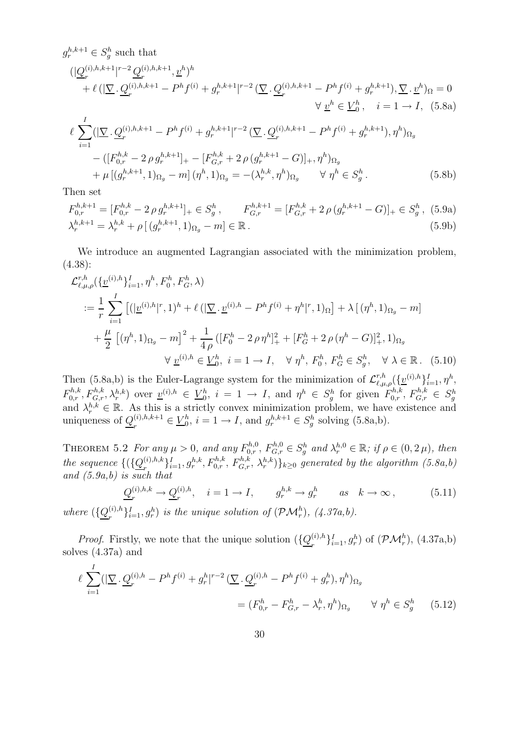$$
g_r^{h,k+1} \in S_g^h \text{ such that}
$$
  
\n
$$
(|Q_r^{(i),h,k+1}|^{r-2} Q_r^{(i),h,k+1}, \underline{v}^h)^h
$$
  
\n
$$
+ \ell (|\underline{\nabla} \cdot Q_r^{(i),h,k+1} - P^h f^{(i)} + g_r^{h,k+1}|^{r-2} (\underline{\nabla} \cdot Q_r^{(i),h,k+1} - P^h f^{(i)} + g_r^{h,k+1}), \underline{\nabla} \cdot \underline{v}^h)_{\Omega} = 0
$$
  
\n
$$
\forall \underline{v}^h \in \underline{V}_0^h, \quad i = 1 \to I, \quad (5.8a)
$$
  
\n
$$
\ell \sum_{i=1}^I (|\underline{\nabla} \cdot Q_r^{(i),h,k+1} - P^h f^{(i)} + g_r^{h,k+1}|^{r-2} (\underline{\nabla} \cdot Q_r^{(i),h,k+1} - P^h f^{(i)} + g_r^{h,k+1}), \eta^h)_{\Omega_g}
$$
  
\n
$$
- ([F_{0,r}^{h,k} - 2 \rho g_r^{h,k+1}]_+ - [F_{G,r}^{h,k} + 2 \rho (g_r^{h,k+1} - G)]_+, \eta^h)_{\Omega_g}
$$
  
\n
$$
+ \mu [(g_r^{h,k+1}, 1)_{\Omega_g} - m] (\eta^h, 1)_{\Omega_g} = -(\lambda_r^{h,k}, \eta^h)_{\Omega_g} \qquad \forall \eta^h \in S_g^h.
$$
  
\n(5.8b)

Then set

$$
F_{0,r}^{h,k+1} = [F_{0,r}^{h,k} - 2 \rho g_r^{h,k+1}]_+ \in S_g^h, \qquad F_{G,r}^{h,k+1} = [F_{G,r}^{h,k} + 2 \rho (g_r^{h,k+1} - G)]_+ \in S_g^h, (5.9a)
$$
  

$$
\lambda_r^{h,k+1} = \lambda_r^{h,k} + \rho [(g_r^{h,k+1}, 1)_{\Omega_g} - m] \in \mathbb{R}.
$$
 (5.9b)

We introduce an augmented Lagrangian associated with the minimization problem, (4.38):

$$
\mathcal{L}_{\ell,\mu,\rho}^{r,h}(\{\underline{v}^{(i),h}\}_{i=1}^I, \eta^h, F_0^h, F_G^h, \lambda)
$$
  

$$
:= \frac{1}{r} \sum_{i=1}^I \left[ (|\underline{v}^{(i),h}|^r, 1)^h + \ell (|\nabla \cdot \underline{v}^{(i),h} - P^h f^{(i)} + \eta^h|^r, 1)_{\Omega} \right] + \lambda \left[ (\eta^h, 1)_{\Omega_g} - m \right]
$$
  

$$
+ \frac{\mu}{2} \left[ (\eta^h, 1)_{\Omega_g} - m \right]^2 + \frac{1}{4\rho} \left( [F_0^h - 2\rho \eta^h]_+^2 + [F_G^h + 2\rho (\eta^h - G)]_+^2, 1 \right)_{\Omega_g}
$$
  

$$
\forall \underline{v}^{(i),h} \in \underline{V}_0^h, \quad i = 1 \to I, \quad \forall \eta^h, F_0^h, F_G^h \in S_g^h, \quad \forall \lambda \in \mathbb{R}. \tag{5.10}
$$

Then (5.8a,b) is the Euler-Lagrange system for the minimization of  $\mathcal{L}_{\ell,\mu,\rho}^{r,h}(\{\underline{v}^{(i),h}\}_{i=1}^I, \eta^h,$  $F_{0,r}^{h,k}, F_{G,r}^{h,k}, \lambda_r^{h,k}$  over  $\underline{v}^{(i),h} \in \underline{V}_0^h$  $\mathbf{b}_0^h$ ,  $i = 1 \rightarrow I$ , and  $\eta^h \in S_g^h$  for given  $F_{0,r}^{h,k}$ ,  $F_{G,r}^{h,k} \in S_g^h$ and  $\lambda_r^{h,k} \in \mathbb{R}$ . As this is a strictly convex minimization problem, we have existence and uniqueness of  $Q_{r}^{(i),h,k+1}$  $_{r}^{(i),h,k+1} \in \underline{V}_{0}^{h}$  $b_0^h$ ,  $i = 1 \rightarrow I$ , and  $g_r^{h,k+1} \in S_g^h$  solving (5.8a,b).

THEOREM 5.2 For any  $\mu > 0$ , and any  $F_{0,r}^{h,0}$ ,  $F_{G,r}^{h,0} \in S_g^h$  and  $\lambda_r^{h,0} \in \mathbb{R}$ ; if  $\rho \in (0, 2\mu)$ , then the sequence  $\{(\{\underline{Q}_r^{(i),h,k}\})}$  $\{F^{(i),h,k}_{r}\}_{i=1}^{I}, g^{h,k}_{r}, F^{h,k}_{0,r}, F^{h,k}_{G,r}, \lambda^{h,k}_{r}\}$ <sub>k</sub> $\geq 0$  generated by the algorithm  $(5.8a,b)$ and  $(5.9a,b)$  is such that

$$
\underline{Q}_r^{(i),h,k} \to \underline{Q}_r^{(i),h}, \quad i = 1 \to I, \qquad g_r^{h,k} \to g_r^h \qquad as \quad k \to \infty, \tag{5.11}
$$

where  $(\{\underline{Q}^{(i),h}_r$  $\{f^{(i),h}_{r}\}_{i=1}^{I}, g^{h}_{r}$  is the unique solution of  $(\mathcal{PM}^{h}_{r})$ ,  $(4.37a,b)$ .

*Proof.* Firstly, we note that the unique solution  $(\{Q_r^{(i),h}\})$  $\{g_r^{(i),h}\}_{i=1}^I, g_r^h$  of  $(\mathcal{PM}_r^h)$ ,  $(4.37a,b)$ solves (4.37a) and

$$
\ell \sum_{i=1}^{I} (|\nabla \cdot \underline{Q}_r^{(i),h} - P^h f^{(i)} + g_r^h|^{r-2} (\nabla \cdot \underline{Q}_r^{(i),h} - P^h f^{(i)} + g_r^h), \eta^h)_{\Omega_g}
$$
  
=  $(F_{0,r}^h - F_{G,r}^h - \lambda_r^h, \eta^h)_{\Omega_g} \qquad \forall \eta^h \in S_g^h$  (5.12)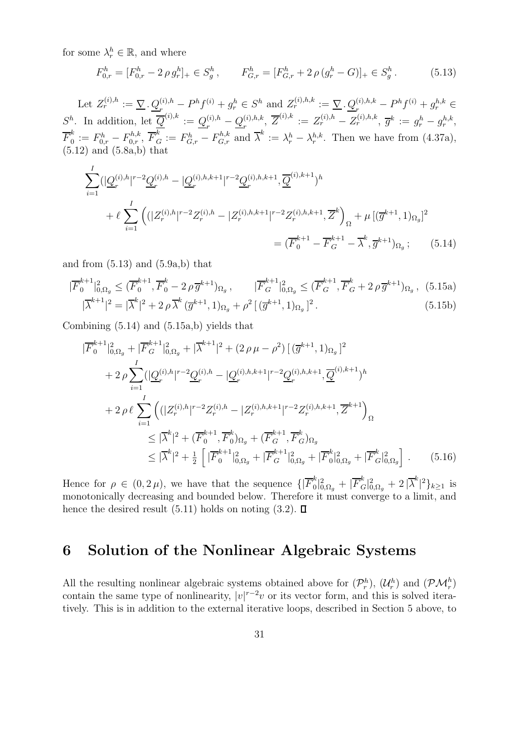for some  $\lambda_r^h \in \mathbb{R}$ , and where

I

$$
F_{0,r}^h = [F_{0,r}^h - 2 \rho g_r^h]_+ \in S_g^h, \qquad F_{G,r}^h = [F_{G,r}^h + 2 \rho (g_r^h - G)]_+ \in S_g^h. \tag{5.13}
$$

Let  $Z_r^{(i),h} := \sum_{r} \underline{Q}_r^{(i),h} - P^h f^{(i)} + g_r^h \in S^h$  and  $Z_r^{(i),h,k} := \sum_{r} \underline{Q}_r^{(i),h,k} - P^h f^{(i)} + g_r^{h,k} \in S^h$  $S^h$ . In addition, let  $\overline{Q}^{(i),k} := Q^{(i),h}_{n}$  $\frac{\overline{a}^{(i),h}-Q_r^{(i),h,k}}{r}$  $\overline{Z}^{(i),h,k},\; \overline{Z}^{(i),k} \, := \, Z^{(i),h}_r - Z^{(i),h,k}_r,\; \overline{g}^k \, := \, g^h_r - g^{h,k}_r,$  $\overline{F}_0^k$  $\mathcal{L}_0^k := F_{0,r}^h - F_{0,r}^{h,k}, \ \overline{F}_{\mathcal{G}}^k := F_{\mathcal{G},r}^h - F_{\mathcal{G},r}^{h,k} \text{ and } \overline{\lambda}^k := \lambda_r^h - \lambda_r^{h,k}.$  Then we have from (4.37a),  $(5.12)$  and  $(5.8a,b)$  that

$$
\sum_{i=1}^{I} (|\underline{Q}_r^{(i),h}|^{r-2} \underline{Q}_r^{(i),h} - |\underline{Q}_r^{(i),h,k+1}|^{r-2} \underline{Q}_r^{(i),h,k+1}, \overline{\underline{Q}}^{(i),k+1})^h
$$
  
+ 
$$
\ell \sum_{i=1}^{I} \left( (|Z_r^{(i),h}|^{r-2} Z_r^{(i),h} - |Z_r^{(i),h,k+1}|^{r-2} Z_r^{(i),h,k+1}, \overline{Z}^k \right)_{\Omega} + \mu \left[ (\overline{g}^{k+1}, 1)_{\Omega_g} \right]^2
$$
  
= 
$$
(\overline{F}_0^{k+1} - \overline{F}_G^{k+1} - \overline{\lambda}^k, \overline{g}^{k+1})_{\Omega_g}; \qquad (5.14)
$$

and from  $(5.13)$  and  $(5.9a,b)$  that

$$
|\overline{F}_{0}^{k+1}|_{0,\Omega_{g}}^{2} \leq (\overline{F}_{0}^{k+1}, \overline{F}_{0}^{k} - 2 \rho \overline{g}^{k+1})_{\Omega_{g}}, \qquad |\overline{F}_{G}^{k+1}|_{0,\Omega_{g}}^{2} \leq (\overline{F}_{G}^{k+1}, \overline{F}_{G}^{k} + 2 \rho \overline{g}^{k+1})_{\Omega_{g}}, (5.15a)
$$

$$
|\overline{\lambda}^{k+1}|^{2} = |\overline{\lambda}^{k}|^{2} + 2 \rho \overline{\lambda}^{k} (\overline{g}^{k+1}, 1)_{\Omega_{g}} + \rho^{2} [(\overline{g}^{k+1}, 1)_{\Omega_{g}}]^{2}.
$$
 (5.15b)

Combining (5.14) and (5.15a,b) yields that

$$
|\overline{F}_{0}^{k+1}|_{0,\Omega_{g}}^{2} + |\overline{F}_{G}^{k+1}|_{0,\Omega_{g}}^{2} + |\overline{\lambda}^{k+1}|^{2} + (2 \rho \mu - \rho^{2}) \left[ (\overline{g}^{k+1}, 1)_{\Omega_{g}} \right]^{2}
$$
  
+ 
$$
2 \rho \sum_{i=1}^{I} (|\underline{Q}_{r}^{(i),h}|^{r-2} \underline{Q}_{r}^{(i),h} - |\underline{Q}_{r}^{(i),h,k+1}|^{r-2} \underline{Q}_{r}^{(i),h,k+1}, \overline{Q}^{(i),k+1})^{h}
$$
  
+ 
$$
2 \rho \ell \sum_{i=1}^{I} \left( (|Z_{r}^{(i),h}|^{r-2} \overline{Z}_{r}^{(i),h} - |Z_{r}^{(i),h,k+1}|^{r-2} \overline{Z}_{r}^{(i),h,k+1}, \overline{Z}^{k+1} \right)_{\Omega}
$$
  

$$
\leq |\overline{\lambda}^{k}|^{2} + (\overline{F}_{0}^{k+1}, \overline{F}_{0}^{k})_{\Omega_{g}} + (\overline{F}_{G}^{k+1}, \overline{F}_{G}^{k})_{\Omega_{g}}
$$
  

$$
\leq |\overline{\lambda}^{k}|^{2} + \frac{1}{2} \left[ |\overline{F}_{0}^{k+1}|_{0,\Omega_{g}}^{2} + |\overline{F}_{G}^{k+1}|_{0,\Omega_{g}}^{2} + |\overline{F}_{0}^{k}|_{0,\Omega_{g}}^{2} + |\overline{F}_{G}^{k}|_{0,\Omega_{g}}^{2} \right].
$$
 (5.16)

Hence for  $\rho \in (0, 2\mu)$ , we have that the sequence  $\{|\overline{F}_0^k\}$  $\frac{k}{0} |_{0,\Omega_g}^2 + |\overline F^k_G$  $\frac{k}{G}|_{0,\Omega_g}^2+2\,|\overline{\lambda}^k|$  $|^{2}\}_{k\geq 1}$  is monotonically decreasing and bounded below. Therefore it must converge to a limit, and hence the desired result (5.11) holds on noting (3.2).  $\Box$ 

### 6 Solution of the Nonlinear Algebraic Systems

All the resulting nonlinear algebraic systems obtained above for  $(\mathcal{P}_r^h)$ ,  $(\mathcal{U}_r^h)$  and  $(\mathcal{PM}_r^h)$ contain the same type of nonlinearity,  $|v|^{r-2}v$  or its vector form, and this is solved iteratively. This is in addition to the external iterative loops, described in Section 5 above, to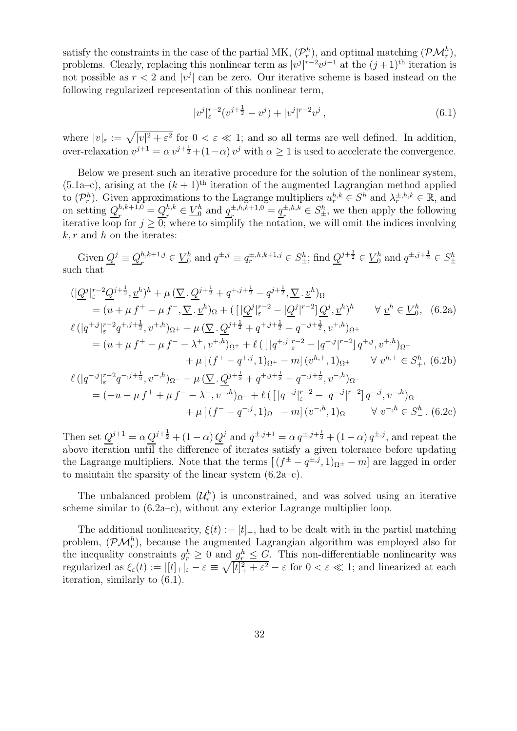satisfy the constraints in the case of the partial MK,  $(\mathcal{P}_r^h)$ , and optimal matching  $(\mathcal{PM}_r^h)$ , problems. Clearly, replacing this nonlinear term as  $|v^j|^{r-2}v^{j+1}$  at the  $(j+1)$ <sup>th</sup> iteration is not possible as  $r < 2$  and  $|v^j|$  can be zero. Our iterative scheme is based instead on the following regularized representation of this nonlinear term,

$$
|v^j|_{\varepsilon}^{r-2}(v^{j+\frac{1}{2}} - v^j) + |v^j|^{r-2}v^j , \qquad (6.1)
$$

where  $|v|_{\varepsilon} := \sqrt{|v|^2 + \varepsilon^2}$  for  $0 < \varepsilon \ll 1$ ; and so all terms are well defined. In addition, over-relaxation  $v^{j+1} = \alpha v^{j+\frac{1}{2}} + (1-\alpha) v^j$  with  $\alpha \ge 1$  is used to accelerate the convergence.

Below we present such an iterative procedure for the solution of the nonlinear system,  $(5.1a-c)$ , arising at the  $(k + 1)$ <sup>th</sup> iteration of the augmented Lagrangian method applied to  $(\mathcal{P}_r^h)$ . Given approximations to the Lagrange multipliers  $u_r^{h,k} \in S^h$  and  $\lambda_r^{\pm, h, k} \in \mathbb{R}$ , and on setting  $Q_{n}^{h,k+1,0}$  $r^{h,k+1,0}_{r} = Q^{h,k}_{r}$  $e^{h,k}_r \in \underline{V}_0^h$  $\frac{h}{0}$  and  $\underline{q}_r^{\pm,h,k+1,0}$  $x^{1, h, k+1, 0} = \underline{q}^{\pm, h, k}_r$  $z^{n,k} \in S_{\pm}^h$ , we then apply the following iterative loop for  $j \geq 0$ ; where to simplify the notation, we will omit the indices involving  $k, r$  and h on the iterates:

Given  $Q^j \equiv Q_r^{h,k+1,j}$  $e^{h,k+1,j} \in \underline{V}_0^h$  and  $q^{\pm,j} \equiv q_r^{\pm,h,k+1,j} \in S_{\pm}^h$ ; find  $\underline{Q}^{j+\frac{1}{2}} \in \underline{V}_0^h$  and  $q^{\pm,j+\frac{1}{2}} \in S_{\pm}^h$ such that

$$
\begin{split}\n&\left(|\underline{Q}^{j}|_{\varepsilon}^{r-2}\underline{Q}^{j+\frac{1}{2}},\underline{v}^{h}\right)^{h} + \mu\left(\underline{\nabla}\cdot\underline{Q}^{j+\frac{1}{2}} + q^{+,j+\frac{1}{2}} - q^{j+\frac{1}{2}},\underline{\nabla}\cdot\underline{v}^{h}\right)\Omega \\
&= (u + \mu f^{+} - \mu f^{-},\underline{\nabla}\cdot\underline{v}^{h})\Omega + \left(\left(|\underline{Q}^{j}|_{\varepsilon}^{r-2} - |\underline{Q}^{j}|^{r-2}\right]\underline{Q}^{j},\underline{v}^{h}\right)^{h} \qquad \forall \underline{v}^{h} \in \underline{V}_{0}^{h}, \quad (6.2a) \\
&\ell\left(|q^{+,j}|_{\varepsilon}^{r-2}q^{+,j+\frac{1}{2}},v^{+,h}\right)\Omega^{+} + \mu\left(\underline{\nabla}\cdot\underline{Q}^{j+\frac{1}{2}} + q^{+,j+\frac{1}{2}} - q^{-,j+\frac{1}{2}},v^{+,h}\right)\Omega^{+} \\
&= (u + \mu f^{+} - \mu f^{-} - \lambda^{+},v^{+,h})\Omega^{+} + \ell\left(\left(|q^{+,j}|_{\varepsilon}^{r-2} - |q^{+,j}|^{r-2}\right]q^{+,j},v^{+,h}\right)\Omega^{+} \\
&\quad + \mu\left[(f^{+} - q^{+,j}, 1)\Omega^{+} - m\right](v^{h,+}, 1)\Omega^{+} \qquad \forall v^{h,+} \in S_{+}^{h}, \quad (6.2b) \\
&\ell\left(|q^{-,j}|_{\varepsilon}^{r-2}q^{-,j+\frac{1}{2}},v^{-,h}\right)\Omega^{-} - \mu\left(\underline{\nabla}\cdot\underline{Q}^{j+\frac{1}{2}} + q^{+,j+\frac{1}{2}} - q^{-,j+\frac{1}{2}},v^{-,h}\right)\Omega^{-} \\
&= (-u - \mu f^{+} + \mu f^{-} - \lambda^{-},v^{-,h})\Omega^{-} + \ell\left(\left[|q^{-,j}|_{\varepsilon}^{r-2} - |q^{-,j}|^{r-2}\right]q^{-,j},v^{-,h}\right)\Omega^{-} \\
&\quad + \mu\left[(f^{-} - q^{-,j}, 1)\Omega^{-} - m\right](v^{-,h},
$$

Then set  $Q^{j+1} = \alpha Q^{j+\frac{1}{2}} + (1-\alpha) Q^j$  and  $q^{\pm, j+1} = \alpha q^{\pm, j+\frac{1}{2}} + (1-\alpha) q^{\pm, j}$ , and repeat the above iteration until the difference of iterates satisfy a given tolerance before updating the Lagrange multipliers. Note that the terms  $[(f^{\pm} - q^{\pm, j}, 1)_{\Omega^{\pm}} - m]$  are lagged in order to maintain the sparsity of the linear system (6.2a–c).

The unbalanced problem  $(\mathcal{U}_r^h)$  is unconstrained, and was solved using an iterative scheme similar to  $(6.2a-c)$ , without any exterior Lagrange multiplier loop.

The additional nonlinearity,  $\xi(t) := [t]_+$ , had to be dealt with in the partial matching problem,  $(\mathcal{PM}_r^h)$ , because the augmented Lagrangian algorithm was employed also for the inequality constraints  $g_r^h \geq 0$  and  $g_r^h \leq G$ . This non-differentiable nonlinearity was regularized as  $\xi_{\varepsilon}(t) := |[t]_+|_{\varepsilon} - \varepsilon \equiv \sqrt{[t]^2_+ + \varepsilon^2} - \varepsilon$  for  $0 < \varepsilon \ll 1$ ; and linearized at each iteration, similarly to (6.1).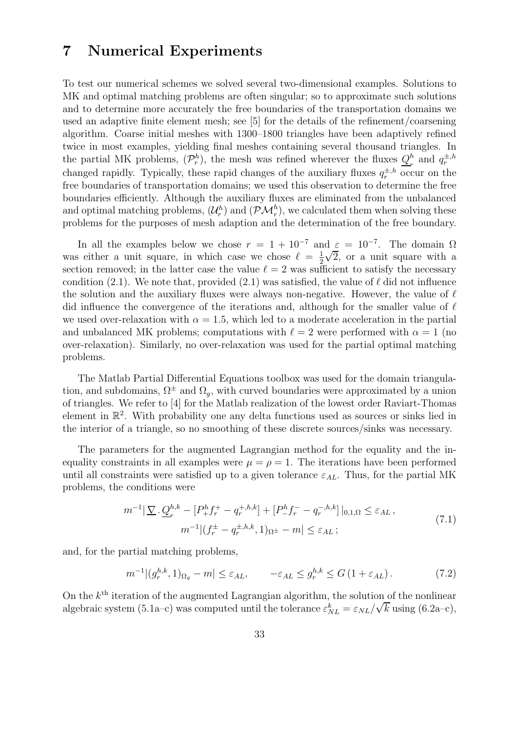### 7 Numerical Experiments

To test our numerical schemes we solved several two-dimensional examples. Solutions to MK and optimal matching problems are often singular; so to approximate such solutions and to determine more accurately the free boundaries of the transportation domains we used an adaptive finite element mesh; see [5] for the details of the refinement/coarsening algorithm. Coarse initial meshes with 1300–1800 triangles have been adaptively refined twice in most examples, yielding final meshes containing several thousand triangles. In the partial MK problems,  $(\mathcal{P}_r^h)$ , the mesh was refined wherever the fluxes  $Q_r^h$  $\frac{h}{r}$  and  $q_r^{\pm,h}$ changed rapidly. Typically, these rapid changes of the auxiliary fluxes  $q_r^{\pm,h}$  occur on the free boundaries of transportation domains; we used this observation to determine the free boundaries efficiently. Although the auxiliary fluxes are eliminated from the unbalanced and optimal matching problems,  $(\mathcal{U}_r^h)$  and  $(\mathcal{PM}_r^h)$ , we calculated them when solving these problems for the purposes of mesh adaption and the determination of the free boundary.

In all the examples below we chose  $r = 1 + 10^{-7}$  and  $\varepsilon = 10^{-7}$ . The domain  $\Omega$ was either a unit square, in which case we chose  $\ell = \frac{1}{2}$ 2  $\sqrt{2}$ , or a unit square with a section removed; in the latter case the value  $\ell = 2$  was sufficient to satisfy the necessary condition (2.1). We note that, provided (2.1) was satisfied, the value of  $\ell$  did not influence the solution and the auxiliary fluxes were always non-negative. However, the value of  $\ell$ did influence the convergence of the iterations and, although for the smaller value of  $\ell$ we used over-relaxation with  $\alpha = 1.5$ , which led to a moderate acceleration in the partial and unbalanced MK problems; computations with  $\ell = 2$  were performed with  $\alpha = 1$  (no over-relaxation). Similarly, no over-relaxation was used for the partial optimal matching problems.

The Matlab Partial Differential Equations toolbox was used for the domain triangulation, and subdomains,  $\Omega^{\pm}$  and  $\Omega_g$ , with curved boundaries were approximated by a union of triangles. We refer to [4] for the Matlab realization of the lowest order Raviart-Thomas element in R 2 . With probability one any delta functions used as sources or sinks lied in the interior of a triangle, so no smoothing of these discrete sources/sinks was necessary.

The parameters for the augmented Lagrangian method for the equality and the inequality constraints in all examples were  $\mu = \rho = 1$ . The iterations have been performed until all constraints were satisfied up to a given tolerance  $\varepsilon_{AL}$ . Thus, for the partial MK problems, the conditions were

$$
m^{-1}|\nabla \cdot \underline{Q}_r^{h,k} - [P_+^h f_r^+ - q_r^{+,h,k}] + [P_-^h f_r^- - q_r^{-,h,k}]|_{0,1,\Omega} \le \varepsilon_{AL},
$$
  

$$
m^{-1}|(f_r^{\pm} - q_r^{\pm,h,k}, 1)_{\Omega^{\pm}} - m| \le \varepsilon_{AL};
$$
\n(7.1)

and, for the partial matching problems,

$$
m^{-1} |(g_r^{h,k}, 1)_{\Omega_g} - m| \le \varepsilon_{AL}, \qquad -\varepsilon_{AL} \le g_r^{h,k} \le G \left( 1 + \varepsilon_{AL} \right). \tag{7.2}
$$

On the  $k^{\text{th}}$  iteration of the augmented Lagrangian algorithm, the solution of the nonlinear algebraic system (5.1a–c) was computed until the tolerance  $\varepsilon_{NL}^k = \varepsilon_{NL}/\sqrt{k}$  using (6.2a–c),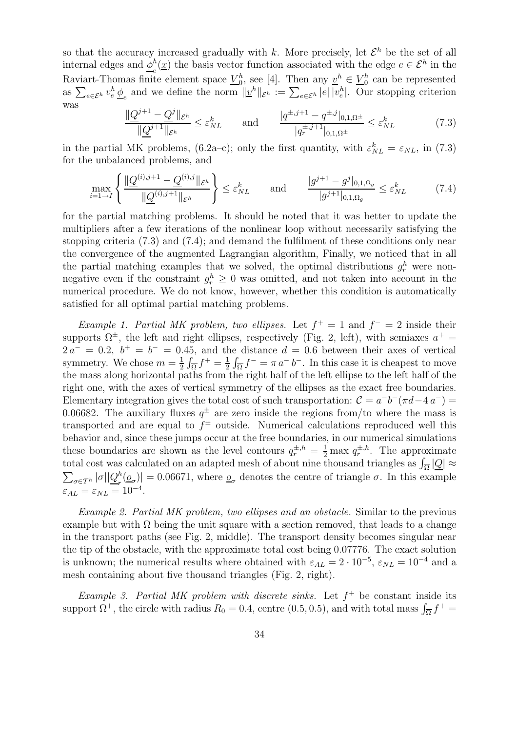so that the accuracy increased gradually with k. More precisely, let  $\mathcal{E}^h$  be the set of all internal edges and  $\underline{\phi}_e^h(\underline{x})$  the basis vector function associated with the edge  $e \in \mathcal{E}^h$  in the e Raviart-Thomas finite element space  $V_0^h$  $_0^h$ , see [4]. Then any  $v^h \in V_0^h$  $\binom{n}{0}$  can be represented as  $\sum_{e \in \mathcal{E}^h} v_e^h \underline{\phi}_e$  and we define the norm  $||\underline{v}^h||_{\mathcal{E}^h} := \sum_{e \in \mathcal{E}^h} |e| |v_e^h|$ . Our stopping criterion was

$$
\frac{\|\underline{Q}^{j+1} - \underline{Q}^j\|_{\mathcal{E}^h}}{\|\underline{Q}^{j+1}\|_{\mathcal{E}^h}} \le \varepsilon_{NL}^k \qquad \text{and} \qquad \frac{|q^{\pm, j+1} - q^{\pm, j}|_{0, 1, \Omega^{\pm}}}{|q_r^{\pm, j+1}|_{0, 1, \Omega^{\pm}}} \le \varepsilon_{NL}^k \tag{7.3}
$$

in the partial MK problems, (6.2a–c); only the first quantity, with  $\varepsilon_{NL}^k = \varepsilon_{NL}$ , in (7.3) for the unbalanced problems, and

$$
\max_{i=1\to I} \left\{ \frac{\|\underline{Q}^{(i),j+1} - \underline{Q}^{(i),j}\|_{\mathcal{E}^h}}{\|\underline{Q}^{(i),j+1}\|_{\mathcal{E}^h}} \right\} \le \varepsilon_{NL}^k \quad \text{and} \quad \frac{|g^{j+1} - g^j|_{0,1,\Omega_g}}{|g^{j+1}|_{0,1,\Omega_g}} \le \varepsilon_{NL}^k \tag{7.4}
$$

for the partial matching problems. It should be noted that it was better to update the multipliers after a few iterations of the nonlinear loop without necessarily satisfying the stopping criteria (7.3) and (7.4); and demand the fulfilment of these conditions only near the convergence of the augmented Lagrangian algorithm, Finally, we noticed that in all the partial matching examples that we solved, the optimal distributions  $g_r^h$  were nonnegative even if the constraint  $g_r^h \geq 0$  was omitted, and not taken into account in the numerical procedure. We do not know, however, whether this condition is automatically satisfied for all optimal partial matching problems.

Example 1. Partial MK problem, two ellipses. Let  $f^+ = 1$  and  $f^- = 2$  inside their supports  $\Omega^{\pm}$ , the left and right ellipses, respectively (Fig. 2, left), with semiaxes  $a^{+} =$  $2a^{-} = 0.2$ ,  $b^{+} = b^{-} = 0.45$ , and the distance  $d = 0.6$  between their axes of vertical symmetry. We chose  $m=\frac{1}{2}$  $\frac{1}{2} \int_{\overline{\Omega}} f^+ = \frac{1}{2}$  $\frac{1}{2} \int_{\overline{\Omega}} f^{-} = \pi a^{-} b^{-}$ . In this case it is cheapest to move the mass along horizontal paths from the right half of the left ellipse to the left half of the right one, with the axes of vertical symmetry of the ellipses as the exact free boundaries. Elementary integration gives the total cost of such transportation:  $C = a^-b^-(\pi d - 4a^-) =$ 0.06682. The auxiliary fluxes  $q^{\pm}$  are zero inside the regions from/to where the mass is transported and are equal to  $f^{\pm}$  outside. Numerical calculations reproduced well this behavior and, since these jumps occur at the free boundaries, in our numerical simulations these boundaries are shown as the level contours  $q_r^{\pm,h} = \frac{1}{2} \max q_r^{\pm,h}$ . The approximate total cost was calculated on an adapted mesh of about nine thousand triangles as  $\int_{\overline{\Omega}} |Q| \approx$  $\sum_{\sigma\in\mathcal{T}^h}|\sigma||\underline{Q}^h_r$  $\left( \frac{n}{r} \left( \frac{\sigma}{c} \right) \right) = 0.06671$ , where  $\sigma$  denotes the centre of triangle  $\sigma$ . In this example  $\varepsilon_{AL} = \varepsilon_{NL} = 10^{-4}.$ 

Example 2. Partial MK problem, two ellipses and an obstacle. Similar to the previous example but with  $\Omega$  being the unit square with a section removed, that leads to a change in the transport paths (see Fig. 2, middle). The transport density becomes singular near the tip of the obstacle, with the approximate total cost being 0.07776. The exact solution is unknown; the numerical results where obtained with  $\varepsilon_{AL} = 2 \cdot 10^{-5}$ ,  $\varepsilon_{NL} = 10^{-4}$  and a mesh containing about five thousand triangles (Fig. 2, right).

Example 3. Partial MK problem with discrete sinks. Let  $f^+$  be constant inside its support  $\Omega^+$ , the circle with radius  $R_0 = 0.4$ , centre (0.5, 0.5), and with total mass  $\int_{\overline{\Omega}} f^+ =$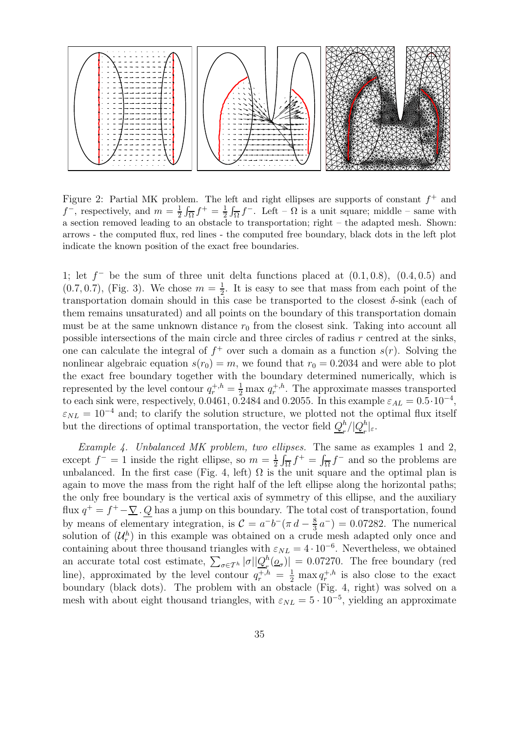

Figure 2: Partial MK problem. The left and right ellipses are supports of constant  $f^+$  and  $f^-$ , respectively, and  $m = \frac{1}{2} \int_{\overline{\Omega}} f^+ = \frac{1}{2} \int_{\overline{\Omega}} f^-$ . Left –  $\Omega$  is a unit square; middle – same with a section removed leading to an obstacle to transportation; right – the adapted mesh. Shown: arrows - the computed flux, red lines - the computed free boundary, black dots in the left plot indicate the known position of the exact free boundaries.

1; let  $f^-$  be the sum of three unit delta functions placed at  $(0.1, 0.8)$ ,  $(0.4, 0.5)$  and  $(0.7, 0.7),$  (Fig. 3). We chose  $m = \frac{1}{2}$  $\frac{1}{2}$ . It is easy to see that mass from each point of the transportation domain should in this case be transported to the closest  $\delta$ -sink (each of them remains unsaturated) and all points on the boundary of this transportation domain must be at the same unknown distance  $r_0$  from the closest sink. Taking into account all possible intersections of the main circle and three circles of radius  $r$  centred at the sinks, one can calculate the integral of  $f^+$  over such a domain as a function  $s(r)$ . Solving the nonlinear algebraic equation  $s(r_0) = m$ , we found that  $r_0 = 0.2034$  and were able to plot the exact free boundary together with the boundary determined numerically, which is represented by the level contour  $q_r^{+,h} = \frac{1}{2} \max q_r^{+,h}$ . The approximate masses transported to each sink were, respectively, 0.0461, 0.2484 and 0.2055. In this example  $\varepsilon_{AL} = 0.5 \cdot 10^{-4}$ ,  $\varepsilon_{NL} = 10^{-4}$  and; to clarify the solution structure, we plotted not the optimal flux itself but the directions of optimal transportation, the vector field  $Q_{\mu}^{h}$  $\frac{h}{r}/|\underline{Q}_r^h$  $\frac{n}{r}|_{\varepsilon}$ .

Example 4. Unbalanced MK problem, two ellipses. The same as examples 1 and 2, except  $f^- = 1$  inside the right ellipse, so  $m = \frac{1}{2}$  $\frac{1}{2} \int_{\overline{\Omega}} f^+ = \int_{\overline{\Omega}} f^-$  and so the problems are unbalanced. In the first case (Fig. 4, left)  $\Omega$  is the unit square and the optimal plan is again to move the mass from the right half of the left ellipse along the horizontal paths; the only free boundary is the vertical axis of symmetry of this ellipse, and the auxiliary flux  $q^+ = f^+ - \underline{\nabla} \cdot \underline{Q}$  has a jump on this boundary. The total cost of transportation, found by means of elementary integration, is  $\mathcal{C} = a^{-}b^{-}(\pi d - \frac{8}{3})$  $\frac{8}{3}a^{-}$ ) = 0.07282. The numerical solution of  $(\mathcal{U}_r^h)$  in this example was obtained on a crude mesh adapted only once and containing about three thousand triangles with  $\varepsilon_{NL} = 4 \cdot 10^{-6}$ . Nevertheless, we obtained an accurate total cost estimate,  $\sum_{\sigma\in\mathcal{T}^{h}}|\sigma||\mathcal{Q}^{h}_{r}$  $\left[ \frac{n}{r} \left( \underline{\mathbf{\mathcal{O}}}_{\sigma} \right) \right] = 0.07270$ . The free boundary (red line), approximated by the level contour  $q_r^{+,h} = \frac{1}{2} \max q_r^{+,h}$  is also close to the exact boundary (black dots). The problem with an obstacle (Fig. 4, right) was solved on a mesh with about eight thousand triangles, with  $\varepsilon_{NL} = 5 \cdot 10^{-5}$ , yielding an approximate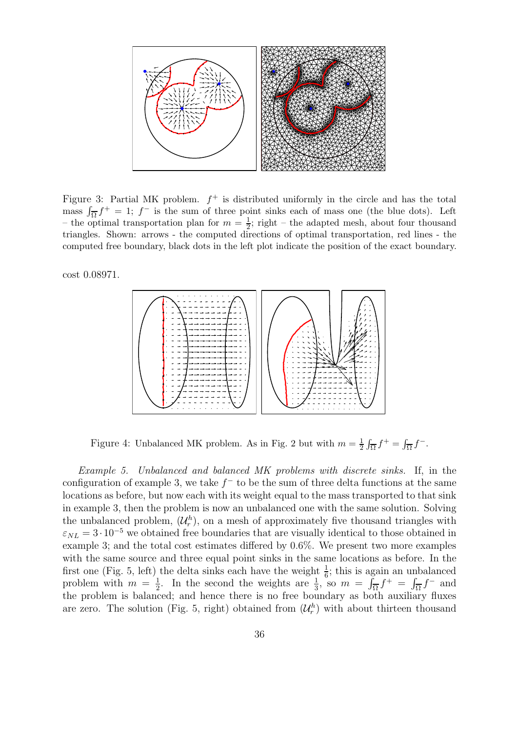

Figure 3: Partial MK problem.  $f^+$  is distributed uniformly in the circle and has the total mass  $\int_{\overline{\Omega}} f^+ = 1$ ; f is the sum of three point sinks each of mass one (the blue dots). Left – the optimal transportation plan for  $m = \frac{1}{2}$ ; right – the adapted mesh, about four thousand triangles. Shown: arrows - the computed directions of optimal transportation, red lines - the computed free boundary, black dots in the left plot indicate the position of the exact boundary.

cost 0.08971.



Figure 4: Unbalanced MK problem. As in Fig. 2 but with  $m = \frac{1}{2} \int_{\overline{\Omega}} f^+ = \int_{\overline{\Omega}} f^-$ .

Example 5. Unbalanced and balanced MK problems with discrete sinks. If, in the configuration of example 3, we take  $f^-$  to be the sum of three delta functions at the same locations as before, but now each with its weight equal to the mass transported to that sink in example 3, then the problem is now an unbalanced one with the same solution. Solving the unbalanced problem,  $(\mathcal{U}_r^h)$ , on a mesh of approximately five thousand triangles with  $\varepsilon_{NL} = 3 \cdot 10^{-5}$  we obtained free boundaries that are visually identical to those obtained in example 3; and the total cost estimates differed by 0.6%. We present two more examples with the same source and three equal point sinks in the same locations as before. In the first one (Fig. 5, left) the delta sinks each have the weight  $\frac{1}{6}$ ; this is again an unbalanced problem with  $m = \frac{1}{2}$  $\frac{1}{2}$ . In the second the weights are  $\frac{1}{3}$ , so  $m = \int_{\overline{\Omega}} f^{+} = \int_{\overline{\Omega}} f^{-}$  and the problem is balanced; and hence there is no free boundary as both auxiliary fluxes are zero. The solution (Fig. 5, right) obtained from  $(\mathcal{U}_r^h)$  with about thirteen thousand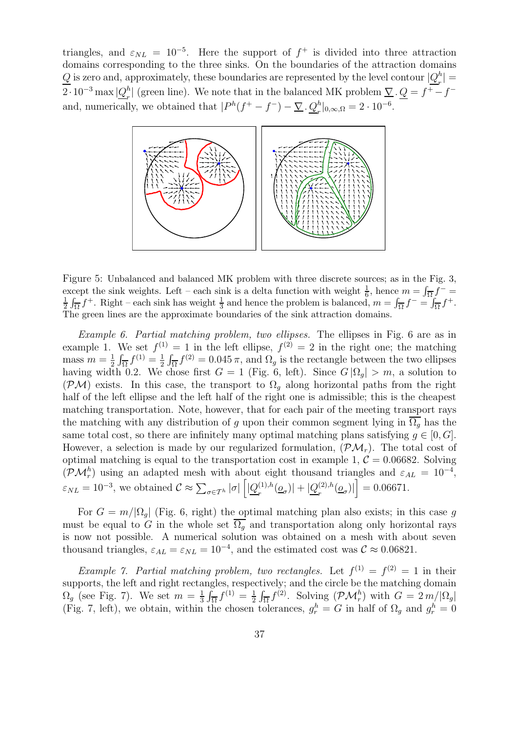triangles, and  $\varepsilon_{NL} = 10^{-5}$ . Here the support of  $f^+$  is divided into three attraction domains corresponding to the three sinks. On the boundaries of the attraction domains  $Q$  is zero and, approximately, these boundaries are represented by the level contour  $|Q_r^h|$  $\binom{n}{r}$  =  $2\cdot10^{-3}\max\vert Q_r^h$ <sup>h</sup><sup>[</sup>] (green line). We note that in the balanced MK problem  $\underline{\nabla} \cdot \underline{Q} = f^+ - f^$ and, numerically, we obtained that  $|P^h(f^+ - f^-) - \underline{\nabla} \cdot \underline{Q}_r^h|_{0,\infty,\Omega} = 2 \cdot 10^{-6}$ .



Figure 5: Unbalanced and balanced MK problem with three discrete sources; as in the Fig. 3, except the sink weights. Left – each sink is a delta function with weight  $\frac{1}{6}$ , hence  $m = \int_{\overline{\Omega}} f^{-} =$ 1  $\frac{1}{2} \int_{\overline{\Omega}} f^+$ . Right – each sink has weight  $\frac{1}{3}$  and hence the problem is balanced,  $m = \int_{\overline{\Omega}} f^- = \int_{\overline{\Omega}} f^+$ . The green lines are the approximate boundaries of the sink attraction domains.

Example 6. Partial matching problem, two ellipses. The ellipses in Fig. 6 are as in example 1. We set  $f^{(1)} = 1$  in the left ellipse,  $f^{(2)} = 2$  in the right one; the matching mass  $m=\frac{1}{2}$  $\frac{1}{2} \int_{\overline{\Omega}} f^{(1)} = \frac{1}{2}$  $\frac{1}{2} \int_{\overline{\Omega}} f^{(2)} = 0.045 \pi$ , and  $\Omega_g$  is the rectangle between the two ellipses having width 0.2. We chose first  $G = 1$  (Fig. 6, left). Since  $G |\Omega_q| > m$ , a solution to (PM) exists. In this case, the transport to  $\Omega_q$  along horizontal paths from the right half of the left ellipse and the left half of the right one is admissible; this is the cheapest matching transportation. Note, however, that for each pair of the meeting transport rays the matching with any distribution of q upon their common segment lying in  $\overline{\Omega_a}$  has the same total cost, so there are infinitely many optimal matching plans satisfying  $g \in [0, G]$ . However, a selection is made by our regularized formulation,  $(\mathcal{PM}_r)$ . The total cost of optimal matching is equal to the transportation cost in example 1,  $C = 0.06682$ . Solving  $(\mathcal{PM}_r^h)$  using an adapted mesh with about eight thousand triangles and  $\varepsilon_{AL} = 10^{-4}$ ,  $\varepsilon_{NL} = 10^{-3}$ , we obtained  $C \approx \sum_{\sigma \in \mathcal{T}^h} |\sigma| \left[ \left| \underline{Q}_r^{(1),h} \right| \right]$  $\frac{(1),h}{r}(\underline{o}_{\sigma})|+|\underline{Q}^{(2),h}_{r}|$  $\left| \frac{^{(2),h}(\rho}{r}\right| \right| = 0.06671.$ 

For  $G = m/|\Omega_q|$  (Fig. 6, right) the optimal matching plan also exists; in this case g must be equal to G in the whole set  $\overline{\Omega_q}$  and transportation along only horizontal rays is now not possible. A numerical solution was obtained on a mesh with about seven thousand triangles,  $\varepsilon_{AL} = \varepsilon_{NL} = 10^{-4}$ , and the estimated cost was  $C \approx 0.06821$ .

*Example 7. Partial matching problem, two rectangles.* Let  $f^{(1)} = f^{(2)} = 1$  in their supports, the left and right rectangles, respectively; and the circle be the matching domain  $\Omega_g$  (see Fig. 7). We set  $m=\frac{1}{3}$  $\frac{1}{3} \int_{\overline{\Omega}} f^{(1)} = \frac{1}{2}$  $\frac{1}{2} \int_{\overline{\Omega}} f^{(2)}$ . Solving  $(\mathcal{PM}_r^h)$  with  $G = 2 m / |\Omega_g|$ (Fig. 7, left), we obtain, within the chosen tolerances,  $g_r^h = G$  in half of  $\Omega_g$  and  $g_r^h = 0$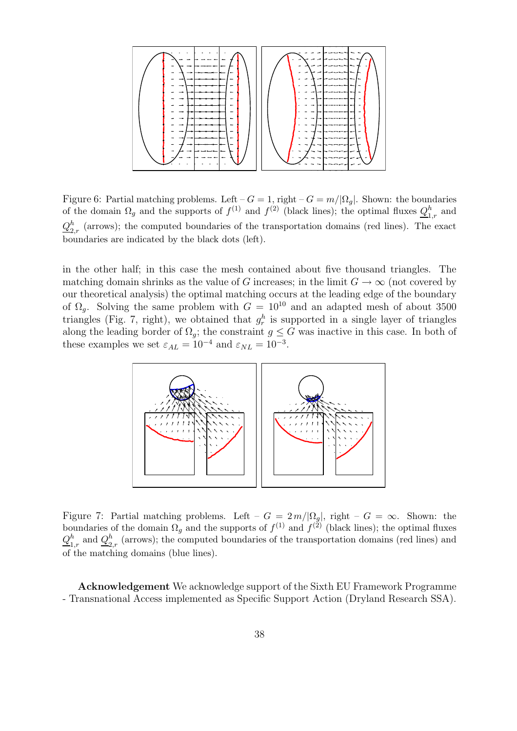

Figure 6: Partial matching problems. Left –  $G = 1$ , right –  $G = m/|\Omega_q|$ . Shown: the boundaries of the domain  $\Omega_g$  and the supports of  $f^{(1)}$  and  $f^{(2)}$  (black lines); the optimal fluxes  $Q_{1,r}^h$  and  $Q^h_{\bm \sigma}$  $_{2,r}^{n}$  (arrows); the computed boundaries of the transportation domains (red lines). The exact boundaries are indicated by the black dots (left).

in the other half; in this case the mesh contained about five thousand triangles. The matching domain shrinks as the value of G increases; in the limit  $G \to \infty$  (not covered by our theoretical analysis) the optimal matching occurs at the leading edge of the boundary of  $\Omega_g$ . Solving the same problem with  $G = 10^{10}$  and an adapted mesh of about 3500 triangles (Fig. 7, right), we obtained that  $g_r^h$  is supported in a single layer of triangles along the leading border of  $\Omega_q$ ; the constraint  $q \leq G$  was inactive in this case. In both of these examples we set  $\varepsilon_{AL} = 10^{-4}$  and  $\varepsilon_{NL} = 10^{-3}$ .



Figure 7: Partial matching problems. Left –  $G = 2 m / |\Omega_{g}|$ , right –  $G = \infty$ . Shown: the boundaries of the domain  $\Omega_g$  and the supports of  $f^{(1)}$  and  $f^{(2)}$  (black lines); the optimal fluxes  $Q_1^h$  $\frac{h}{1,r}$  and  $\frac{Q_2^h}{2}$  $_{2,r}^{h}$  (arrows); the computed boundaries of the transportation domains (red lines) and of the matching domains (blue lines).

Acknowledgement We acknowledge support of the Sixth EU Framework Programme - Transnational Access implemented as Specific Support Action (Dryland Research SSA).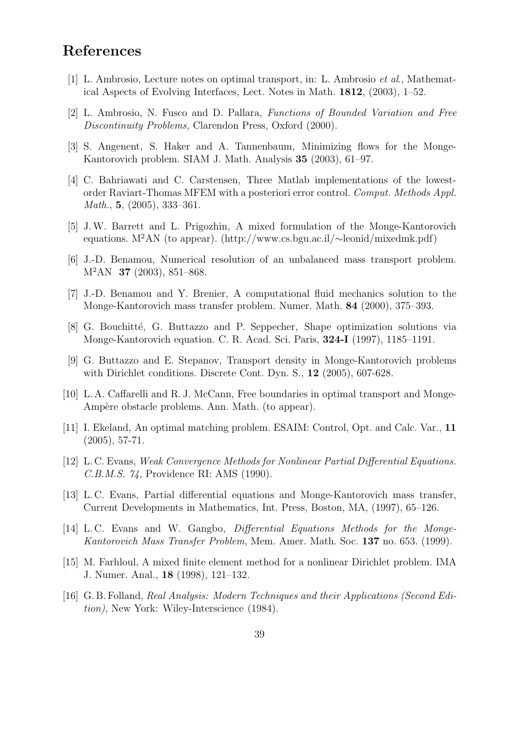# References

- [1] L. Ambrosio, Lecture notes on optimal transport, in: L. Ambrosio et al., Mathematical Aspects of Evolving Interfaces, Lect. Notes in Math. 1812, (2003), 1–52.
- [2] L. Ambrosio, N. Fusco and D. Pallara, Functions of Bounded Variation and Free Discontinuity Problems, Clarendon Press, Oxford (2000).
- [3] S. Angenent, S. Haker and A. Tannenbaum, Minimizing flows for the Monge-Kantorovich problem. SIAM J. Math. Analysis 35 (2003), 61–97.
- [4] C. Bahriawati and C. Carstensen, Three Matlab implementations of the lowestorder Raviart-Thomas MFEM with a posteriori error control. Comput. Methods Appl. Math., 5, (2005), 333–361.
- [5] J.W. Barrett and L. Prigozhin, A mixed formulation of the Monge-Kantorovich equations. M<sup>2</sup>AN (to appear). (http://www.cs.bgu.ac.il/∼leonid/mixedmk.pdf)
- [6] J.-D. Benamou, Numerical resolution of an unbalanced mass transport problem. M<sup>2</sup>AN **37** (2003), 851–868.
- [7] J.-D. Benamou and Y. Brenier, A computational fluid mechanics solution to the Monge-Kantorovich mass transfer problem. Numer. Math. 84 (2000), 375–393.
- [8] G. Bouchitté, G. Buttazzo and P. Seppecher, Shape optimization solutions via Monge-Kantorovich equation. C. R. Acad. Sci. Paris, 324-I (1997), 1185–1191.
- [9] G. Buttazzo and E. Stepanov, Transport density in Monge-Kantorovich problems with Dirichlet conditions. Discrete Cont. Dyn. S., 12 (2005), 607-628.
- [10] L. A. Caffarelli and R. J. McCann, Free boundaries in optimal transport and Monge-Ampère obstacle problems. Ann. Math. (to appear).
- [11] I. Ekeland, An optimal matching problem. ESAIM: Control, Opt. and Calc. Var., 11 (2005), 57-71.
- [12] L. C. Evans, Weak Convergence Methods for Nonlinear Partial Differential Equations. C.B.M.S. 74, Providence RI: AMS (1990).
- [13] L. C. Evans, Partial differential equations and Monge-Kantorovich mass transfer, Current Developments in Mathematics, Int. Press, Boston, MA, (1997), 65–126.
- [14] L. C. Evans and W. Gangbo, Differential Equations Methods for the Monge-Kantorovich Mass Transfer Problem, Mem. Amer. Math. Soc. 137 no. 653. (1999).
- [15] M. Farhloul, A mixed finite element method for a nonlinear Dirichlet problem. IMA J. Numer. Anal., 18 (1998), 121–132.
- [16] G. B. Folland, Real Analysis: Modern Techniques and their Applications (Second Edi*tion*), New York: Wiley-Interscience (1984).